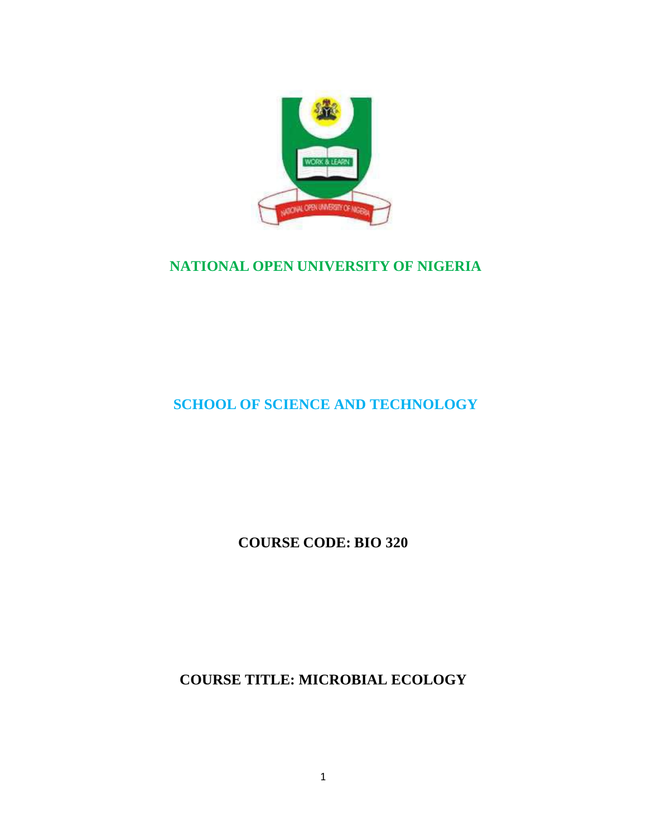

## **NATIONAL OPEN UNIVERSITY OF NIGERIA**

## **SCHOOL OF SCIENCE AND TECHNOLOGY**

**COURSE CODE: BIO 320**

**COURSE TITLE: MICROBIAL ECOLOGY**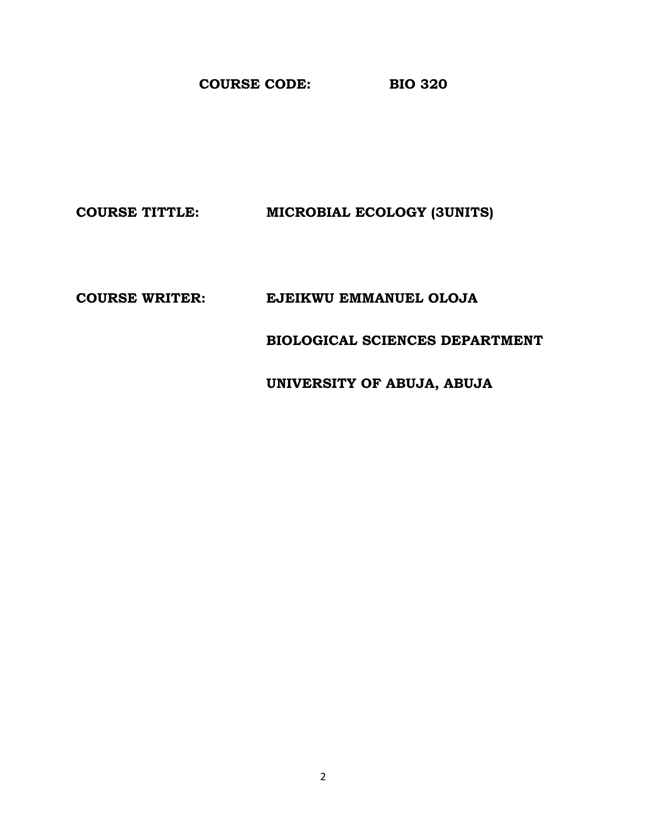**COURSE CODE: BIO 320** 

**COURSE TITTLE: MICROBIAL ECOLOGY (3UNITS)** 

**COURSE WRITER: EJEIKWU EMMANUEL OLOJA** 

 **BIOLOGICAL SCIENCES DEPARTMENT** 

 **UNIVERSITY OF ABUJA, ABUJA**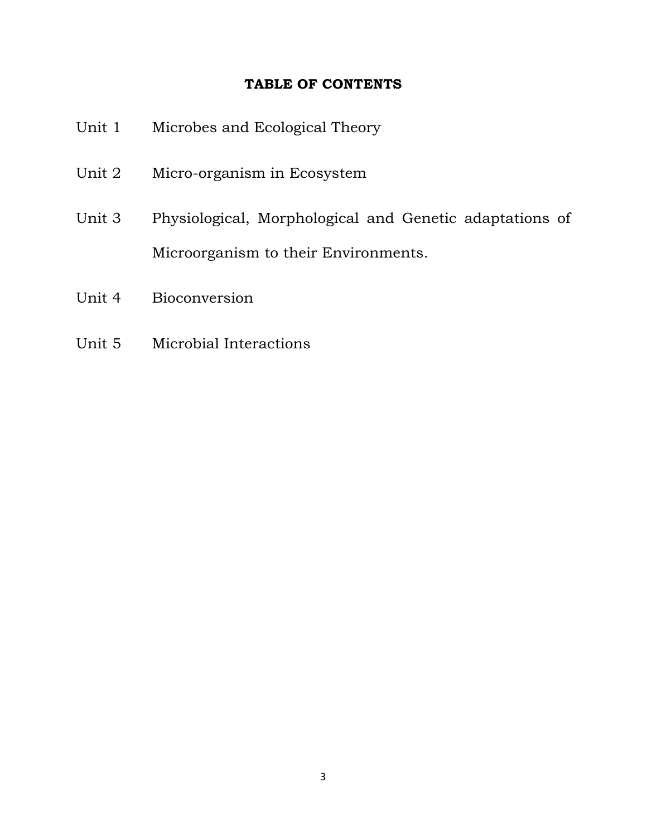#### **TABLE OF CONTENTS**

| Unit 1 | Microbes and Ecological Theory                          |
|--------|---------------------------------------------------------|
| Unit 2 | Micro-organism in Ecosystem                             |
| Unit 3 | Physiological, Morphological and Genetic adaptations of |
|        | Microorganism to their Environments.                    |
| Unit 4 | Bioconversion                                           |

Unit 5 Microbial Interactions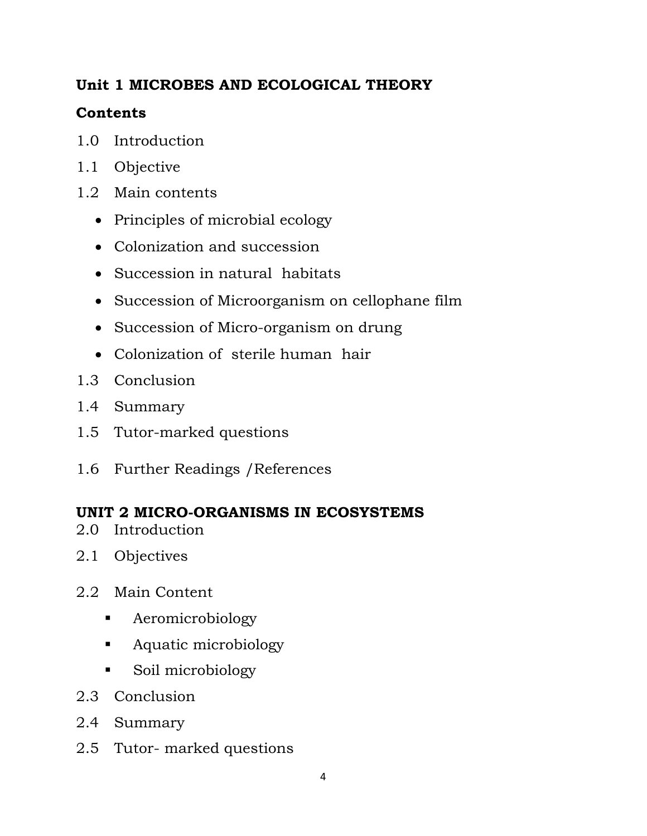## **Unit 1 MICROBES AND ECOLOGICAL THEORY**

## **Contents**

- 1.0 Introduction
- 1.1 Objective
- 1.2 Main contents
	- Principles of microbial ecology
	- Colonization and succession
	- Succession in natural habitats
	- Succession of Microorganism on cellophane film
	- Succession of Micro-organism on drung
	- Colonization of sterile human hair
- 1.3 Conclusion
- 1.4 Summary
- 1.5 Tutor-marked questions
- 1.6 Further Readings /References

## **UNIT 2 MICRO-ORGANISMS IN ECOSYSTEMS**

- 2.0 Introduction
- 2.1 Objectives
- 2.2 Main Content
	- **A**eromicrobiology
	- **Aquatic microbiology**
	- Soil microbiology
- 2.3 Conclusion
- 2.4 Summary
- 2.5 Tutor- marked questions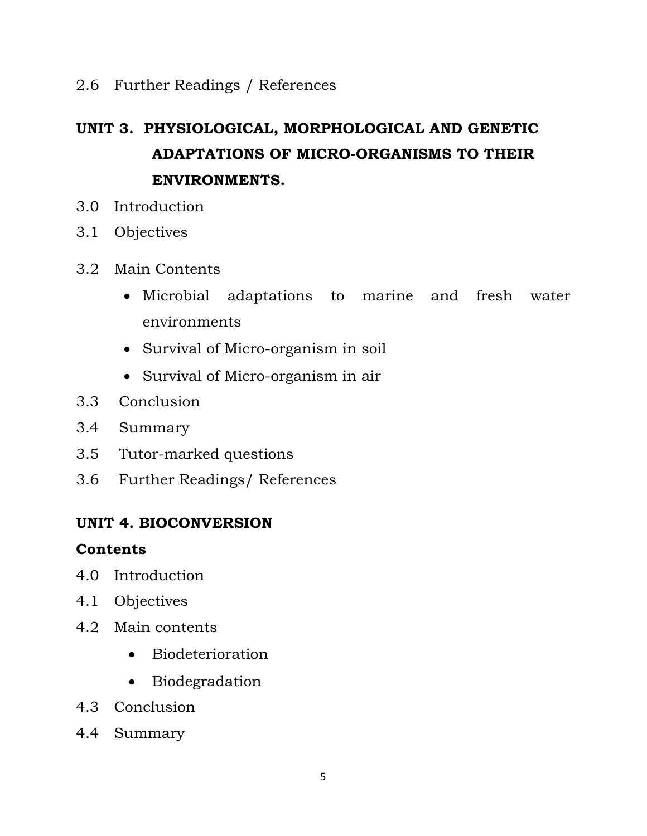### 2.6 Further Readings / References

# **UNIT 3. PHYSIOLOGICAL, MORPHOLOGICAL AND GENETIC ADAPTATIONS OF MICRO-ORGANISMS TO THEIR ENVIRONMENTS.**

- 3.0 Introduction
- 3.1 Objectives
- 3.2 Main Contents
	- Microbial adaptations to marine and fresh water environments
	- Survival of Micro-organism in soil
	- Survival of Micro-organism in air
- 3.3 Conclusion
- 3.4 Summary
- 3.5 Tutor-marked questions
- 3.6 Further Readings/ References

#### **UNIT 4. BIOCONVERSION**

#### **Contents**

- 4.0 Introduction
- 4.1 Objectives
- 4.2 Main contents
	- Biodeterioration
	- Biodegradation
- 4.3 Conclusion
- 4.4 Summary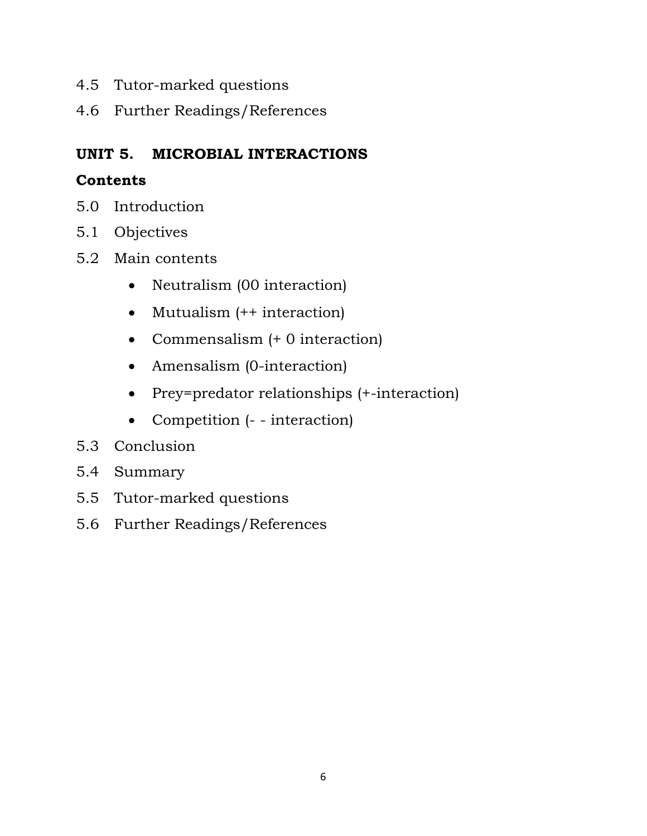- 4.5 Tutor-marked questions
- 4.6 Further Readings/References

## **UNIT 5. MICROBIAL INTERACTIONS**

## **Contents**

- 5.0 Introduction
- 5.1 Objectives
- 5.2 Main contents
	- Neutralism (00 interaction)
	- Mutualism (++ interaction)
	- Commensalism (+ 0 interaction)
	- Amensalism (0-interaction)
	- Prey=predator relationships (+-interaction)
	- Competition (- interaction)
- 5.3 Conclusion
- 5.4 Summary
- 5.5 Tutor-marked questions
- 5.6 Further Readings/References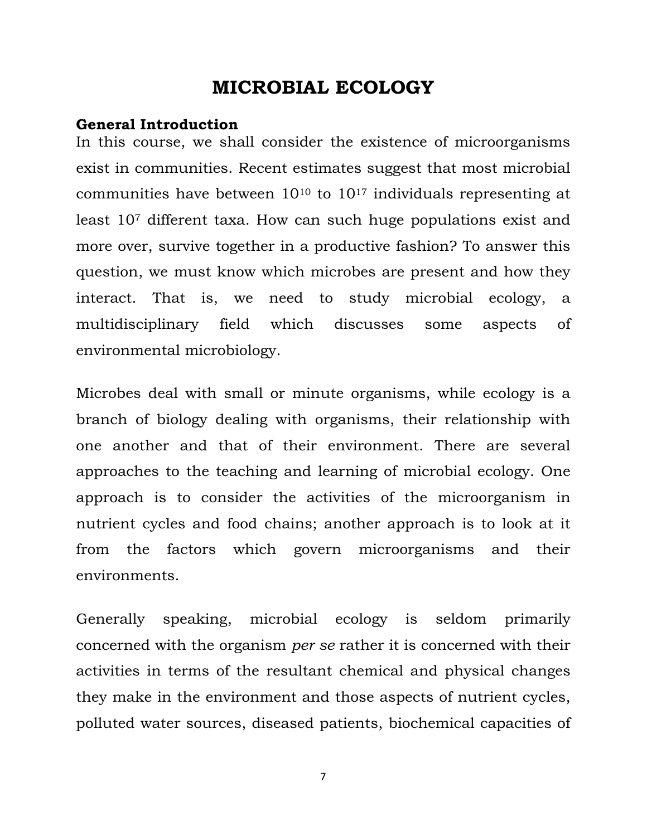# **MICROBIAL ECOLOGY**

#### **General Introduction**

In this course, we shall consider the existence of microorganisms exist in communities. Recent estimates suggest that most microbial communities have between  $10^{10}$  to  $10^{17}$  individuals representing at least 107 different taxa. How can such huge populations exist and more over, survive together in a productive fashion? To answer this question, we must know which microbes are present and how they interact. That is, we need to study microbial ecology, a multidisciplinary field which discusses some aspects of environmental microbiology.

Microbes deal with small or minute organisms, while ecology is a branch of biology dealing with organisms, their relationship with one another and that of their environment. There are several approaches to the teaching and learning of microbial ecology. One approach is to consider the activities of the microorganism in nutrient cycles and food chains; another approach is to look at it from the factors which govern microorganisms and their environments.

Generally speaking, microbial ecology is seldom primarily concerned with the organism *per se* rather it is concerned with their activities in terms of the resultant chemical and physical changes they make in the environment and those aspects of nutrient cycles, polluted water sources, diseased patients, biochemical capacities of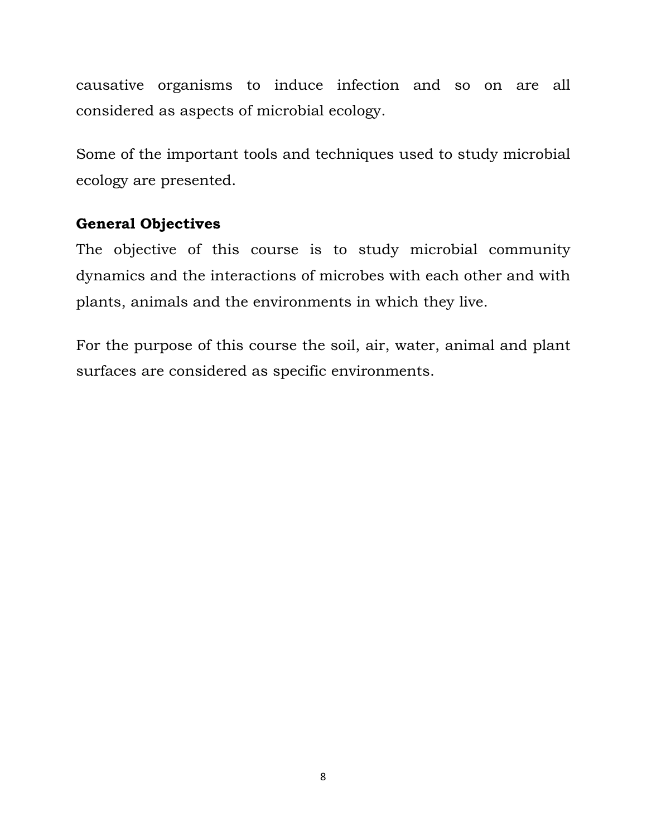causative organisms to induce infection and so on are all considered as aspects of microbial ecology.

Some of the important tools and techniques used to study microbial ecology are presented.

## **General Objectives**

The objective of this course is to study microbial community dynamics and the interactions of microbes with each other and with plants, animals and the environments in which they live.

For the purpose of this course the soil, air, water, animal and plant surfaces are considered as specific environments.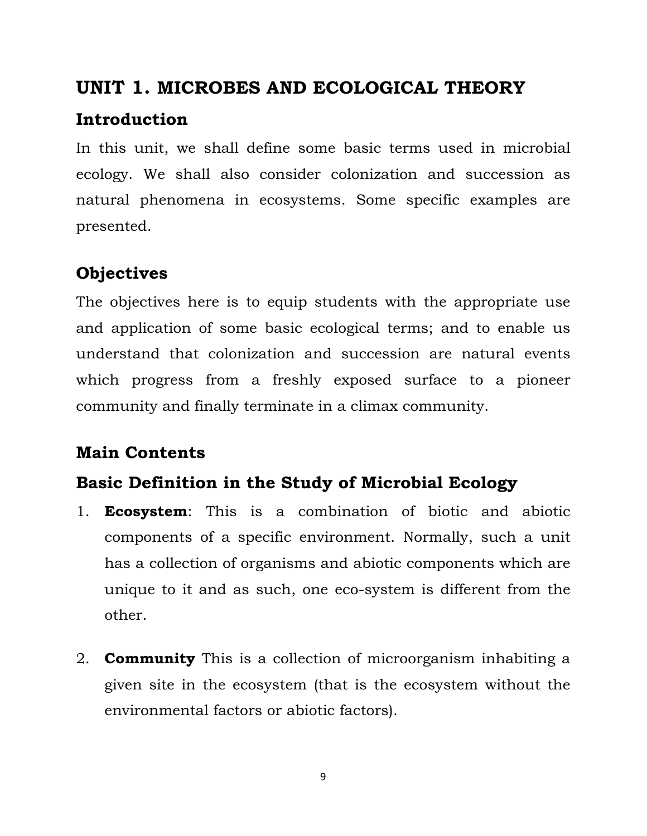# **UNIT 1. MICROBES AND ECOLOGICAL THEORY**

# **Introduction**

In this unit, we shall define some basic terms used in microbial ecology. We shall also consider colonization and succession as natural phenomena in ecosystems. Some specific examples are presented.

# **Objectives**

The objectives here is to equip students with the appropriate use and application of some basic ecological terms; and to enable us understand that colonization and succession are natural events which progress from a freshly exposed surface to a pioneer community and finally terminate in a climax community.

# **Main Contents**

# **Basic Definition in the Study of Microbial Ecology**

- 1. **Ecosystem**: This is a combination of biotic and abiotic components of a specific environment. Normally, such a unit has a collection of organisms and abiotic components which are unique to it and as such, one eco-system is different from the other.
- 2. **Community** This is a collection of microorganism inhabiting a given site in the ecosystem (that is the ecosystem without the environmental factors or abiotic factors).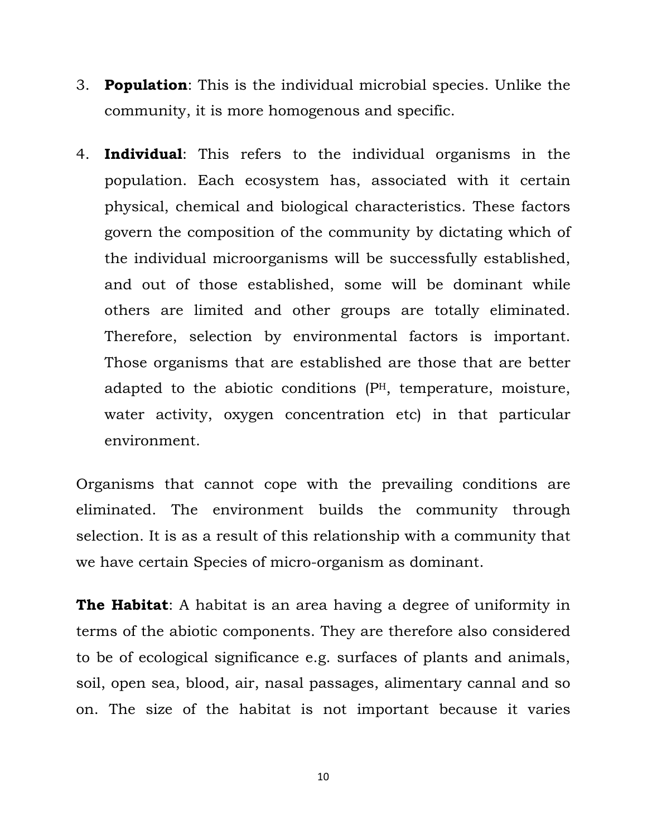- 3. **Population**: This is the individual microbial species. Unlike the community, it is more homogenous and specific.
- 4. **Individual**: This refers to the individual organisms in the population. Each ecosystem has, associated with it certain physical, chemical and biological characteristics. These factors govern the composition of the community by dictating which of the individual microorganisms will be successfully established, and out of those established, some will be dominant while others are limited and other groups are totally eliminated. Therefore, selection by environmental factors is important. Those organisms that are established are those that are better adapted to the abiotic conditions (PH, temperature, moisture, water activity, oxygen concentration etc) in that particular environment.

Organisms that cannot cope with the prevailing conditions are eliminated. The environment builds the community through selection. It is as a result of this relationship with a community that we have certain Species of micro-organism as dominant.

**The Habitat**: A habitat is an area having a degree of uniformity in terms of the abiotic components. They are therefore also considered to be of ecological significance e.g. surfaces of plants and animals, soil, open sea, blood, air, nasal passages, alimentary cannal and so on. The size of the habitat is not important because it varies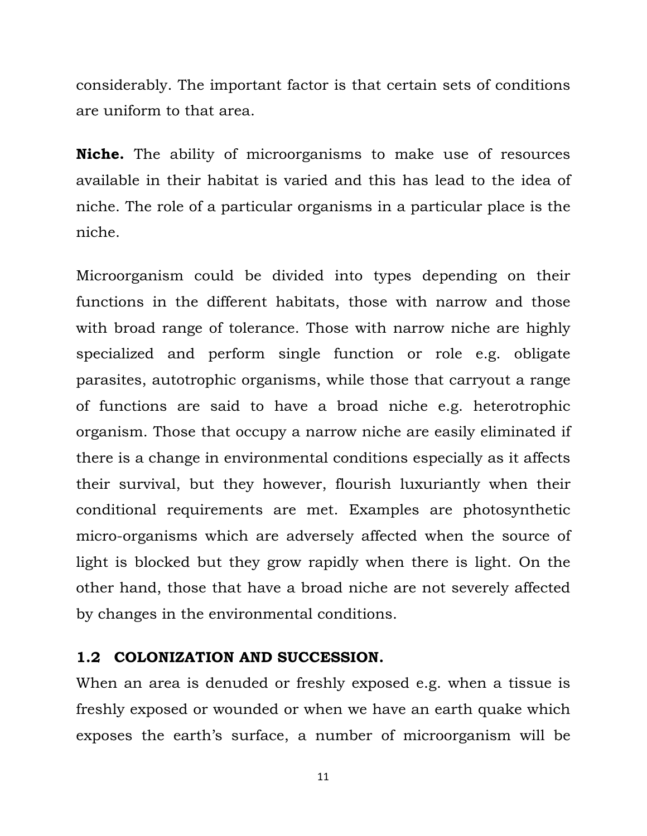considerably. The important factor is that certain sets of conditions are uniform to that area.

**Niche.** The ability of microorganisms to make use of resources available in their habitat is varied and this has lead to the idea of niche. The role of a particular organisms in a particular place is the niche.

Microorganism could be divided into types depending on their functions in the different habitats, those with narrow and those with broad range of tolerance. Those with narrow niche are highly specialized and perform single function or role e.g. obligate parasites, autotrophic organisms, while those that carryout a range of functions are said to have a broad niche e.g. heterotrophic organism. Those that occupy a narrow niche are easily eliminated if there is a change in environmental conditions especially as it affects their survival, but they however, flourish luxuriantly when their conditional requirements are met. Examples are photosynthetic micro-organisms which are adversely affected when the source of light is blocked but they grow rapidly when there is light. On the other hand, those that have a broad niche are not severely affected by changes in the environmental conditions.

#### **1.2 COLONIZATION AND SUCCESSION.**

When an area is denuded or freshly exposed e.g. when a tissue is freshly exposed or wounded or when we have an earth quake which exposes the earth's surface, a number of microorganism will be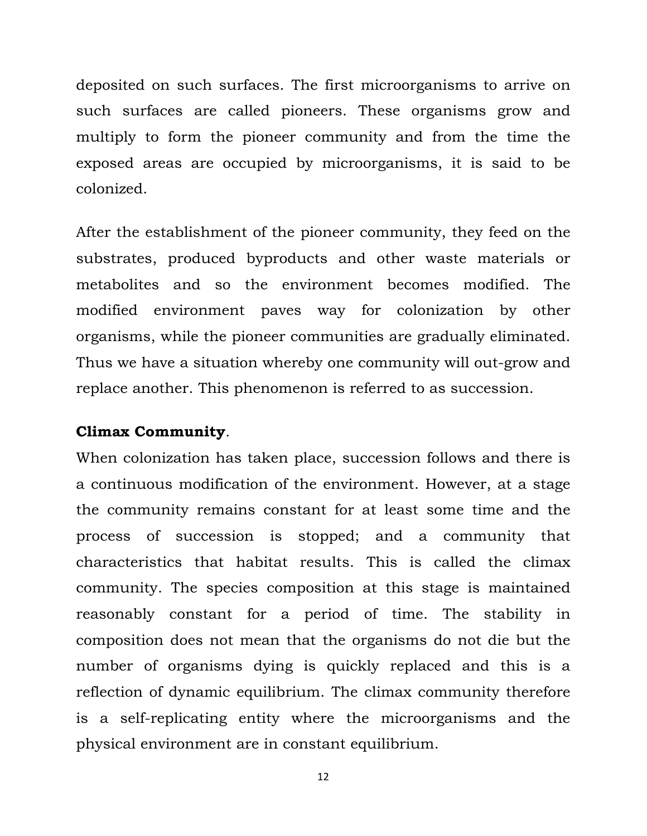deposited on such surfaces. The first microorganisms to arrive on such surfaces are called pioneers. These organisms grow and multiply to form the pioneer community and from the time the exposed areas are occupied by microorganisms, it is said to be colonized.

After the establishment of the pioneer community, they feed on the substrates, produced byproducts and other waste materials or metabolites and so the environment becomes modified. The modified environment paves way for colonization by other organisms, while the pioneer communities are gradually eliminated. Thus we have a situation whereby one community will out-grow and replace another. This phenomenon is referred to as succession.

#### **Climax Community**.

When colonization has taken place, succession follows and there is a continuous modification of the environment. However, at a stage the community remains constant for at least some time and the process of succession is stopped; and a community that characteristics that habitat results. This is called the climax community. The species composition at this stage is maintained reasonably constant for a period of time. The stability in composition does not mean that the organisms do not die but the number of organisms dying is quickly replaced and this is a reflection of dynamic equilibrium. The climax community therefore is a self-replicating entity where the microorganisms and the physical environment are in constant equilibrium.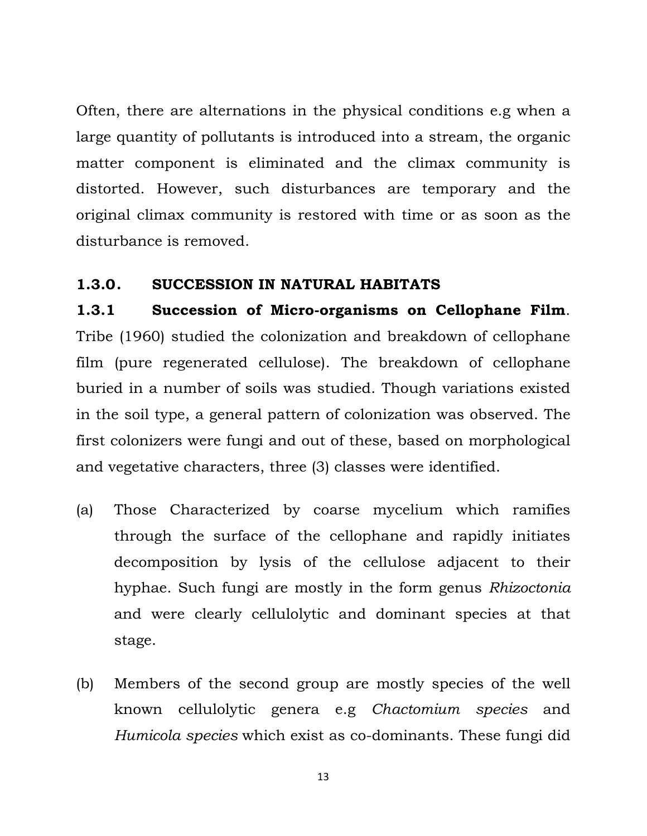Often, there are alternations in the physical conditions e.g when a large quantity of pollutants is introduced into a stream, the organic matter component is eliminated and the climax community is distorted. However, such disturbances are temporary and the original climax community is restored with time or as soon as the disturbance is removed.

#### **1.3.0. SUCCESSION IN NATURAL HABITATS**

**1.3.1 Succession of Micro-organisms on Cellophane Film**. Tribe (1960) studied the colonization and breakdown of cellophane film (pure regenerated cellulose). The breakdown of cellophane buried in a number of soils was studied. Though variations existed in the soil type, a general pattern of colonization was observed. The first colonizers were fungi and out of these, based on morphological and vegetative characters, three (3) classes were identified.

- (a) Those Characterized by coarse mycelium which ramifies through the surface of the cellophane and rapidly initiates decomposition by lysis of the cellulose adjacent to their hyphae. Such fungi are mostly in the form genus *Rhizoctonia* and were clearly cellulolytic and dominant species at that stage.
- (b) Members of the second group are mostly species of the well known cellulolytic genera e.g *Chactomium species* and *Humicola species* which exist as co-dominants. These fungi did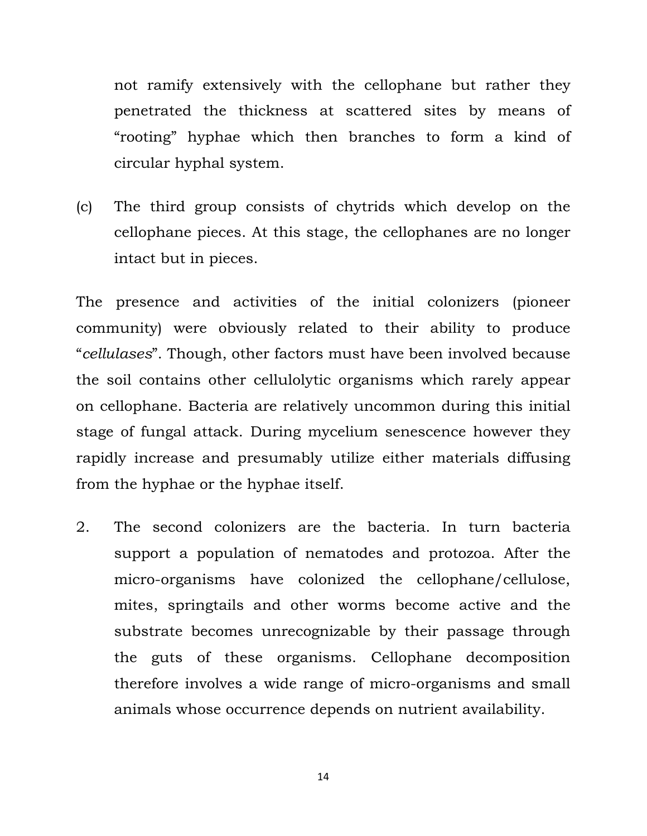not ramify extensively with the cellophane but rather they penetrated the thickness at scattered sites by means of "rooting" hyphae which then branches to form a kind of circular hyphal system.

(c) The third group consists of chytrids which develop on the cellophane pieces. At this stage, the cellophanes are no longer intact but in pieces.

The presence and activities of the initial colonizers (pioneer community) were obviously related to their ability to produce "*cellulases*". Though, other factors must have been involved because the soil contains other cellulolytic organisms which rarely appear on cellophane. Bacteria are relatively uncommon during this initial stage of fungal attack. During mycelium senescence however they rapidly increase and presumably utilize either materials diffusing from the hyphae or the hyphae itself.

2. The second colonizers are the bacteria. In turn bacteria support a population of nematodes and protozoa. After the micro-organisms have colonized the cellophane/cellulose, mites, springtails and other worms become active and the substrate becomes unrecognizable by their passage through the guts of these organisms. Cellophane decomposition therefore involves a wide range of micro-organisms and small animals whose occurrence depends on nutrient availability.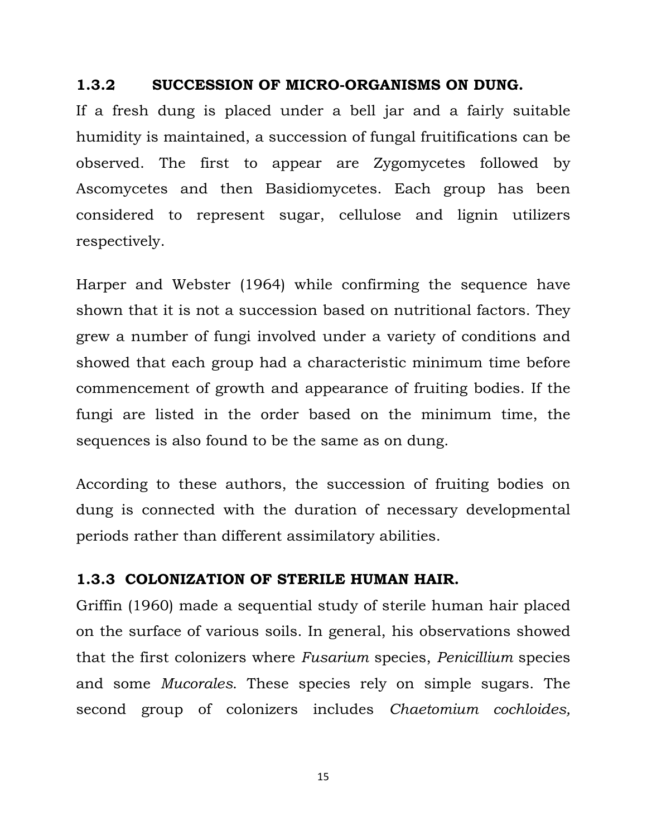#### **1.3.2 SUCCESSION OF MICRO-ORGANISMS ON DUNG.**

If a fresh dung is placed under a bell jar and a fairly suitable humidity is maintained, a succession of fungal fruitifications can be observed. The first to appear are Zygomycetes followed by Ascomycetes and then Basidiomycetes. Each group has been considered to represent sugar, cellulose and lignin utilizers respectively.

Harper and Webster (1964) while confirming the sequence have shown that it is not a succession based on nutritional factors. They grew a number of fungi involved under a variety of conditions and showed that each group had a characteristic minimum time before commencement of growth and appearance of fruiting bodies. If the fungi are listed in the order based on the minimum time, the sequences is also found to be the same as on dung.

According to these authors, the succession of fruiting bodies on dung is connected with the duration of necessary developmental periods rather than different assimilatory abilities.

#### **1.3.3 COLONIZATION OF STERILE HUMAN HAIR.**

Griffin (1960) made a sequential study of sterile human hair placed on the surface of various soils. In general, his observations showed that the first colonizers where *Fusarium* species, *Penicillium* species and some *Mucorales*. These species rely on simple sugars. The second group of colonizers includes *Chaetomium cochloides,*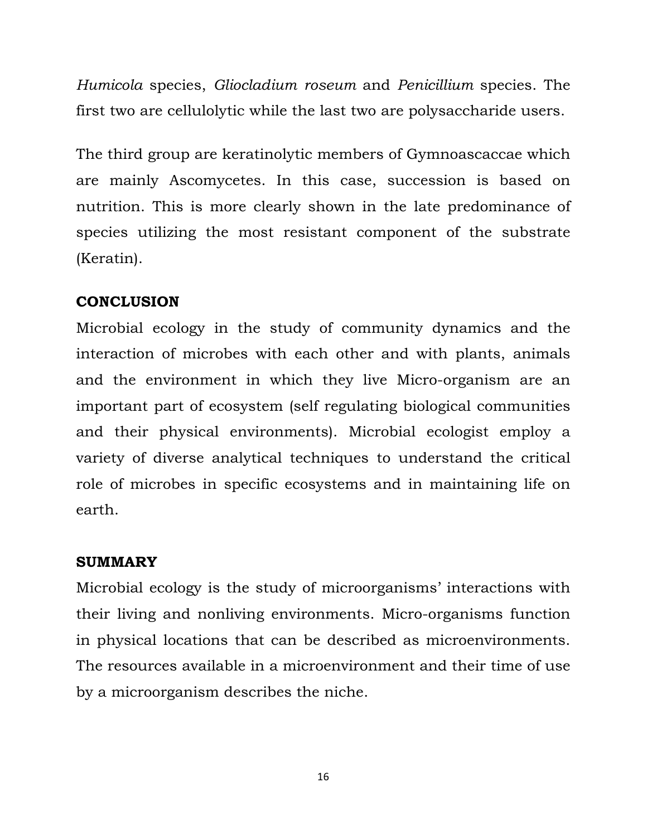*Humicola* species, *Gliocladium roseum* and *Penicillium* species. The first two are cellulolytic while the last two are polysaccharide users.

The third group are keratinolytic members of Gymnoascaccae which are mainly Ascomycetes. In this case, succession is based on nutrition. This is more clearly shown in the late predominance of species utilizing the most resistant component of the substrate (Keratin).

## **CONCLUSION**

Microbial ecology in the study of community dynamics and the interaction of microbes with each other and with plants, animals and the environment in which they live Micro-organism are an important part of ecosystem (self regulating biological communities and their physical environments). Microbial ecologist employ a variety of diverse analytical techniques to understand the critical role of microbes in specific ecosystems and in maintaining life on earth.

## **SUMMARY**

Microbial ecology is the study of microorganisms' interactions with their living and nonliving environments. Micro-organisms function in physical locations that can be described as microenvironments. The resources available in a microenvironment and their time of use by a microorganism describes the niche.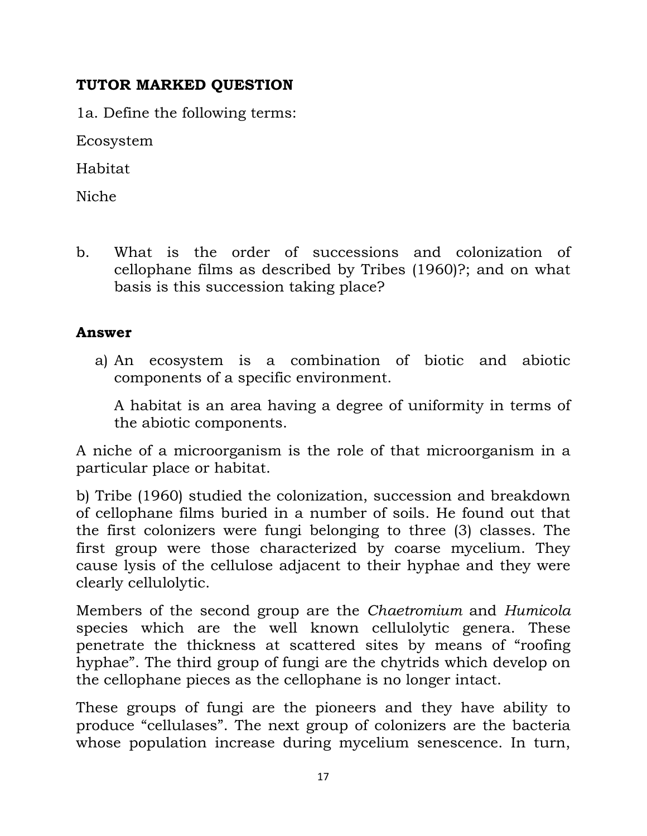## **TUTOR MARKED QUESTION**

1a. Define the following terms:

Ecosystem

Habitat

Niche

b. What is the order of successions and colonization of cellophane films as described by Tribes (1960)?; and on what basis is this succession taking place?

## **Answer**

a) An ecosystem is a combination of biotic and abiotic components of a specific environment.

A habitat is an area having a degree of uniformity in terms of the abiotic components.

A niche of a microorganism is the role of that microorganism in a particular place or habitat.

b) Tribe (1960) studied the colonization, succession and breakdown of cellophane films buried in a number of soils. He found out that the first colonizers were fungi belonging to three (3) classes. The first group were those characterized by coarse mycelium. They cause lysis of the cellulose adjacent to their hyphae and they were clearly cellulolytic.

Members of the second group are the *Chaetromium* and *Humicola* species which are the well known cellulolytic genera. These penetrate the thickness at scattered sites by means of "roofing hyphae". The third group of fungi are the chytrids which develop on the cellophane pieces as the cellophane is no longer intact.

These groups of fungi are the pioneers and they have ability to produce "cellulases". The next group of colonizers are the bacteria whose population increase during mycelium senescence. In turn,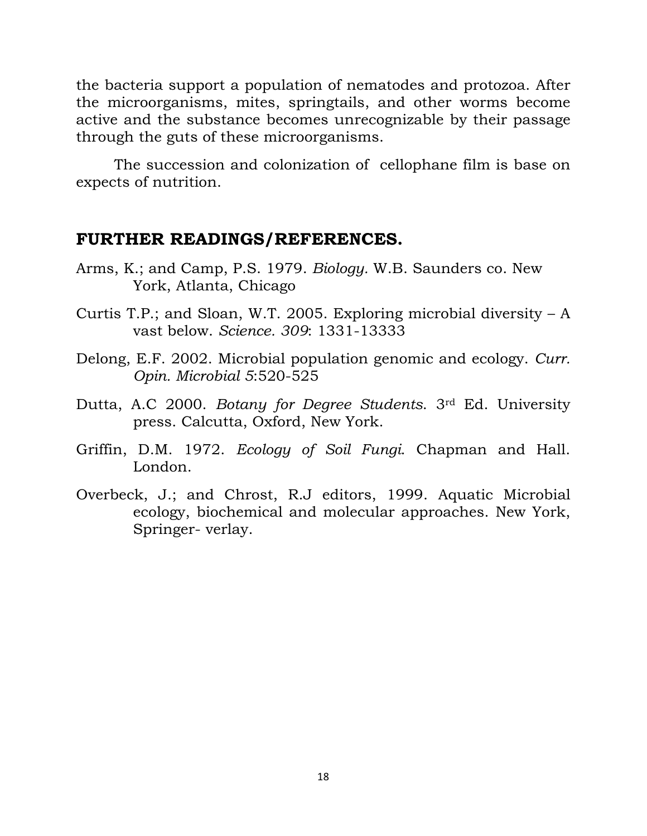the bacteria support a population of nematodes and protozoa. After the microorganisms, mites, springtails, and other worms become active and the substance becomes unrecognizable by their passage through the guts of these microorganisms.

 The succession and colonization of cellophane film is base on expects of nutrition.

### **FURTHER READINGS/REFERENCES.**

- Arms, K.; and Camp, P.S. 1979. *Biology.* W.B. Saunders co. New York, Atlanta, Chicago
- Curtis T.P.; and Sloan, W.T. 2005. Exploring microbial diversity A vast below. *Science. 309*: 1331-13333
- Delong, E.F. 2002. Microbial population genomic and ecology. *Curr. Opin. Microbial 5*:520-525
- Dutta, A.C 2000. *Botany for Degree Students*. 3rd Ed. University press. Calcutta, Oxford, New York.
- Griffin, D.M. 1972. *Ecology of Soil Fungi*. Chapman and Hall. London.
- Overbeck, J.; and Chrost, R.J editors, 1999. Aquatic Microbial ecology, biochemical and molecular approaches. New York, Springer- verlay.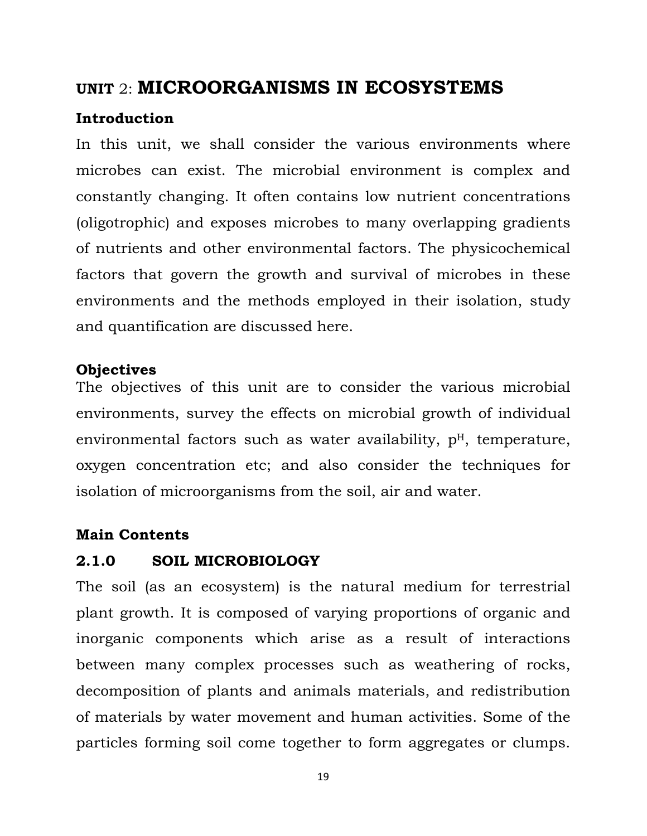# **UNIT** 2: **MICROORGANISMS IN ECOSYSTEMS**

#### **Introduction**

In this unit, we shall consider the various environments where microbes can exist. The microbial environment is complex and constantly changing. It often contains low nutrient concentrations (oligotrophic) and exposes microbes to many overlapping gradients of nutrients and other environmental factors. The physicochemical factors that govern the growth and survival of microbes in these environments and the methods employed in their isolation, study and quantification are discussed here.

#### **Objectives**

The objectives of this unit are to consider the various microbial environments, survey the effects on microbial growth of individual environmental factors such as water availability,  $p<sup>H</sup>$ , temperature, oxygen concentration etc; and also consider the techniques for isolation of microorganisms from the soil, air and water.

#### **Main Contents**

#### **2.1.0 SOIL MICROBIOLOGY**

The soil (as an ecosystem) is the natural medium for terrestrial plant growth. It is composed of varying proportions of organic and inorganic components which arise as a result of interactions between many complex processes such as weathering of rocks, decomposition of plants and animals materials, and redistribution of materials by water movement and human activities. Some of the particles forming soil come together to form aggregates or clumps.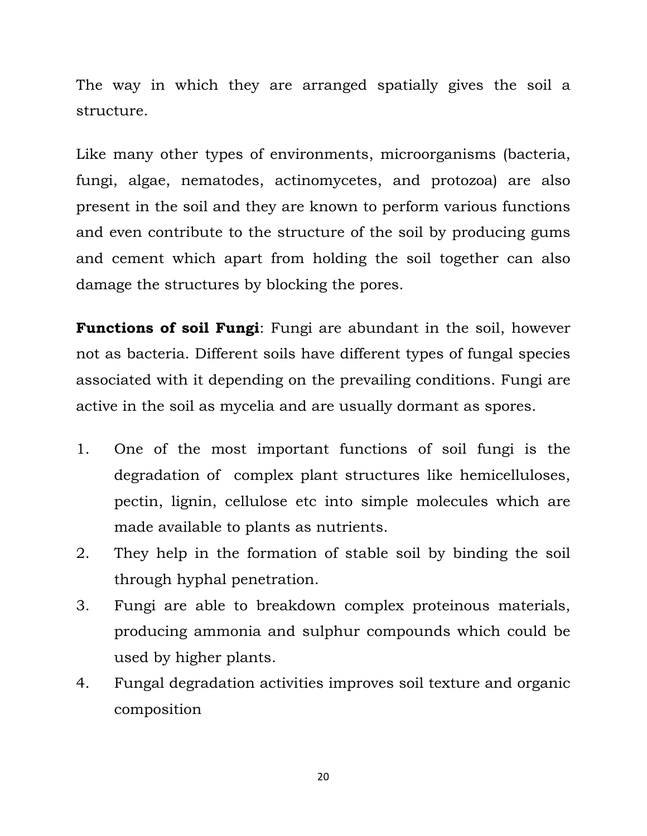The way in which they are arranged spatially gives the soil a structure.

Like many other types of environments, microorganisms (bacteria, fungi, algae, nematodes, actinomycetes, and protozoa) are also present in the soil and they are known to perform various functions and even contribute to the structure of the soil by producing gums and cement which apart from holding the soil together can also damage the structures by blocking the pores.

**Functions of soil Fungi**: Fungi are abundant in the soil, however not as bacteria. Different soils have different types of fungal species associated with it depending on the prevailing conditions. Fungi are active in the soil as mycelia and are usually dormant as spores.

- 1. One of the most important functions of soil fungi is the degradation of complex plant structures like hemicelluloses, pectin, lignin, cellulose etc into simple molecules which are made available to plants as nutrients.
- 2. They help in the formation of stable soil by binding the soil through hyphal penetration.
- 3. Fungi are able to breakdown complex proteinous materials, producing ammonia and sulphur compounds which could be used by higher plants.
- 4. Fungal degradation activities improves soil texture and organic composition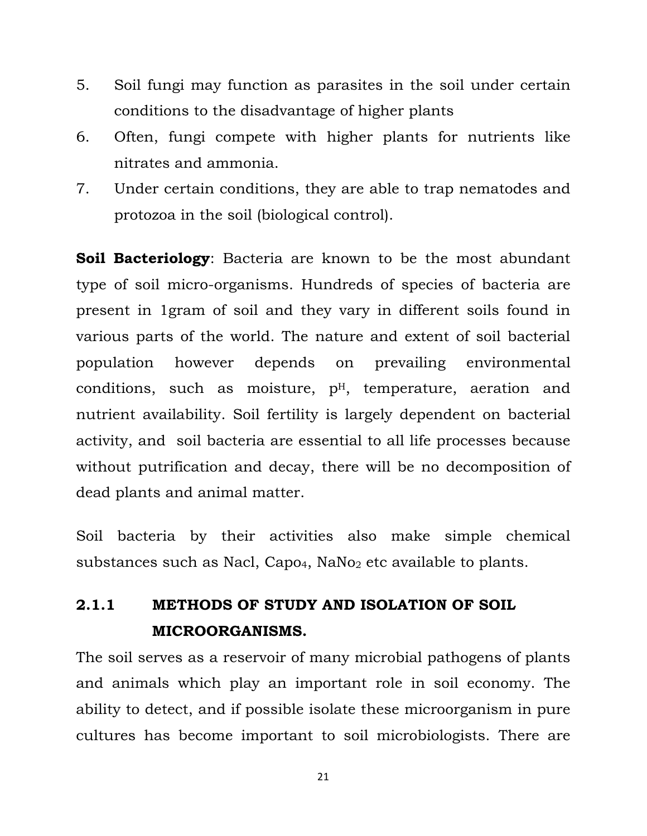- 5. Soil fungi may function as parasites in the soil under certain conditions to the disadvantage of higher plants
- 6. Often, fungi compete with higher plants for nutrients like nitrates and ammonia.
- 7. Under certain conditions, they are able to trap nematodes and protozoa in the soil (biological control).

**Soil Bacteriology**: Bacteria are known to be the most abundant type of soil micro-organisms. Hundreds of species of bacteria are present in 1gram of soil and they vary in different soils found in various parts of the world. The nature and extent of soil bacterial population however depends on prevailing environmental conditions, such as moisture,  $p<sup>H</sup>$ , temperature, aeration and nutrient availability. Soil fertility is largely dependent on bacterial activity, and soil bacteria are essential to all life processes because without putrification and decay, there will be no decomposition of dead plants and animal matter.

Soil bacteria by their activities also make simple chemical substances such as Nacl, Capo<sub>4</sub>, NaNo<sub>2</sub> etc available to plants.

# **2.1.1 METHODS OF STUDY AND ISOLATION OF SOIL MICROORGANISMS.**

The soil serves as a reservoir of many microbial pathogens of plants and animals which play an important role in soil economy. The ability to detect, and if possible isolate these microorganism in pure cultures has become important to soil microbiologists. There are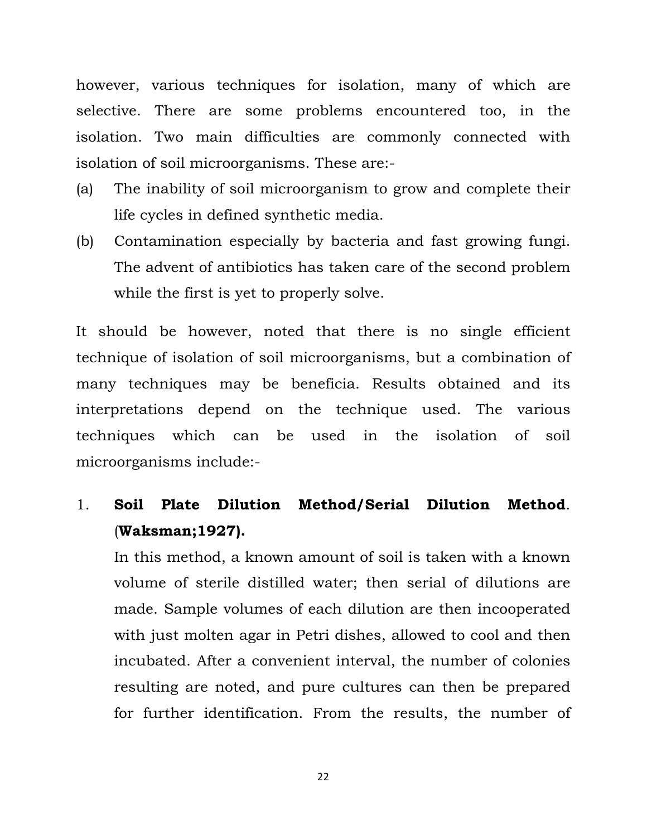however, various techniques for isolation, many of which are selective. There are some problems encountered too, in the isolation. Two main difficulties are commonly connected with isolation of soil microorganisms. These are:-

- (a) The inability of soil microorganism to grow and complete their life cycles in defined synthetic media.
- (b) Contamination especially by bacteria and fast growing fungi. The advent of antibiotics has taken care of the second problem while the first is yet to properly solve.

It should be however, noted that there is no single efficient technique of isolation of soil microorganisms, but a combination of many techniques may be beneficia. Results obtained and its interpretations depend on the technique used. The various techniques which can be used in the isolation of soil microorganisms include:-

# 1. **Soil Plate Dilution Method/Serial Dilution Method**. (**Waksman;1927).**

In this method, a known amount of soil is taken with a known volume of sterile distilled water; then serial of dilutions are made. Sample volumes of each dilution are then incooperated with just molten agar in Petri dishes, allowed to cool and then incubated. After a convenient interval, the number of colonies resulting are noted, and pure cultures can then be prepared for further identification. From the results, the number of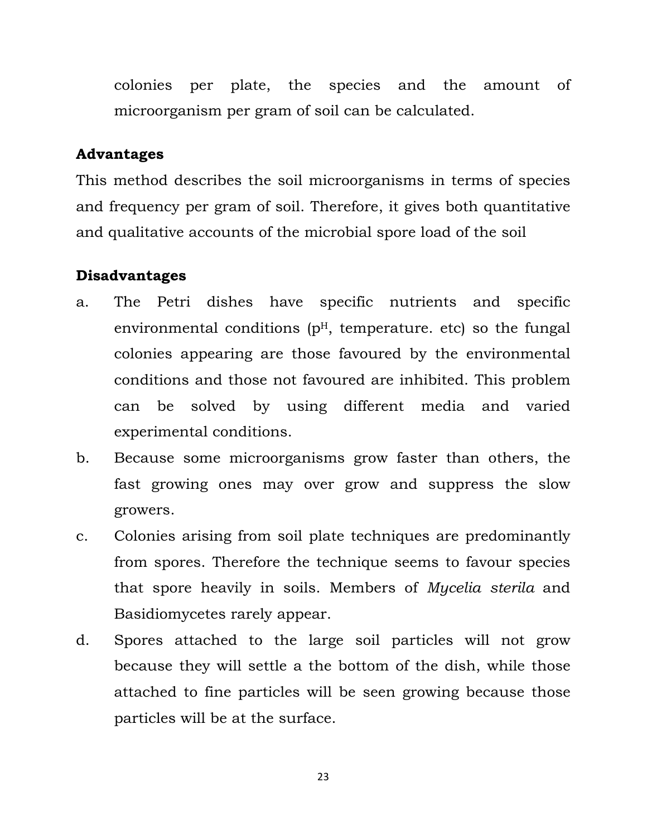colonies per plate, the species and the amount of microorganism per gram of soil can be calculated.

#### **Advantages**

This method describes the soil microorganisms in terms of species and frequency per gram of soil. Therefore, it gives both quantitative and qualitative accounts of the microbial spore load of the soil

#### **Disadvantages**

- a. The Petri dishes have specific nutrients and specific environmental conditions  $(p<sup>H</sup>$ , temperature. etc) so the fungal colonies appearing are those favoured by the environmental conditions and those not favoured are inhibited. This problem can be solved by using different media and varied experimental conditions.
- b. Because some microorganisms grow faster than others, the fast growing ones may over grow and suppress the slow growers.
- c. Colonies arising from soil plate techniques are predominantly from spores. Therefore the technique seems to favour species that spore heavily in soils. Members of *Mycelia sterila* and Basidiomycetes rarely appear.
- d. Spores attached to the large soil particles will not grow because they will settle a the bottom of the dish, while those attached to fine particles will be seen growing because those particles will be at the surface.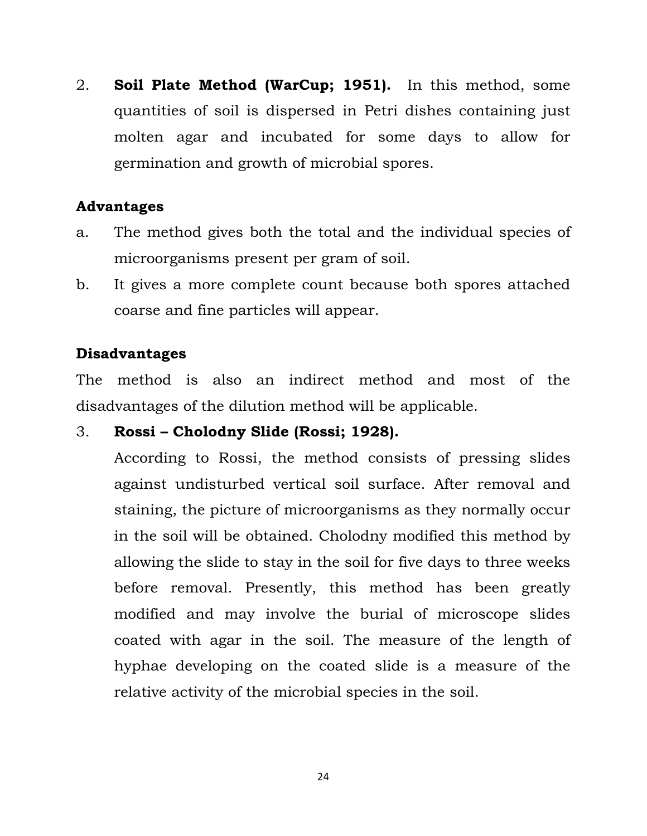2. **Soil Plate Method (WarCup; 1951).** In this method, some quantities of soil is dispersed in Petri dishes containing just molten agar and incubated for some days to allow for germination and growth of microbial spores.

#### **Advantages**

- a. The method gives both the total and the individual species of microorganisms present per gram of soil.
- b. It gives a more complete count because both spores attached coarse and fine particles will appear.

## **Disadvantages**

The method is also an indirect method and most of the disadvantages of the dilution method will be applicable.

## 3. **Rossi – Cholodny Slide (Rossi; 1928).**

According to Rossi, the method consists of pressing slides against undisturbed vertical soil surface. After removal and staining, the picture of microorganisms as they normally occur in the soil will be obtained. Cholodny modified this method by allowing the slide to stay in the soil for five days to three weeks before removal. Presently, this method has been greatly modified and may involve the burial of microscope slides coated with agar in the soil. The measure of the length of hyphae developing on the coated slide is a measure of the relative activity of the microbial species in the soil.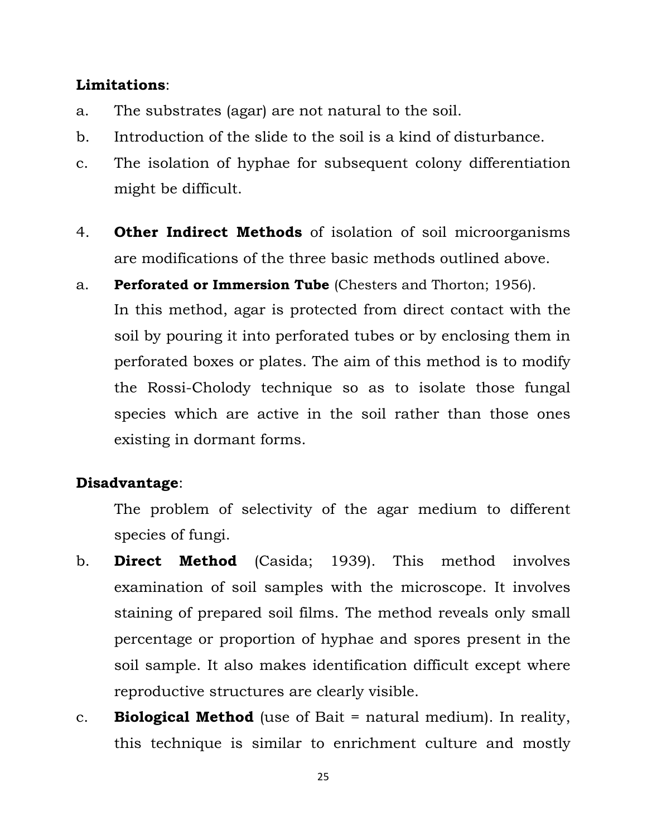#### **Limitations**:

- a. The substrates (agar) are not natural to the soil.
- b. Introduction of the slide to the soil is a kind of disturbance.
- c. The isolation of hyphae for subsequent colony differentiation might be difficult.
- 4. **Other Indirect Methods** of isolation of soil microorganisms are modifications of the three basic methods outlined above.
- a. **Perforated or Immersion Tube** (Chesters and Thorton; 1956). In this method, agar is protected from direct contact with the soil by pouring it into perforated tubes or by enclosing them in perforated boxes or plates. The aim of this method is to modify the Rossi-Cholody technique so as to isolate those fungal species which are active in the soil rather than those ones existing in dormant forms.

#### **Disadvantage**:

The problem of selectivity of the agar medium to different species of fungi.

- b. **Direct Method** (Casida; 1939). This method involves examination of soil samples with the microscope. It involves staining of prepared soil films. The method reveals only small percentage or proportion of hyphae and spores present in the soil sample. It also makes identification difficult except where reproductive structures are clearly visible.
- c. **Biological Method** (use of Bait = natural medium). In reality, this technique is similar to enrichment culture and mostly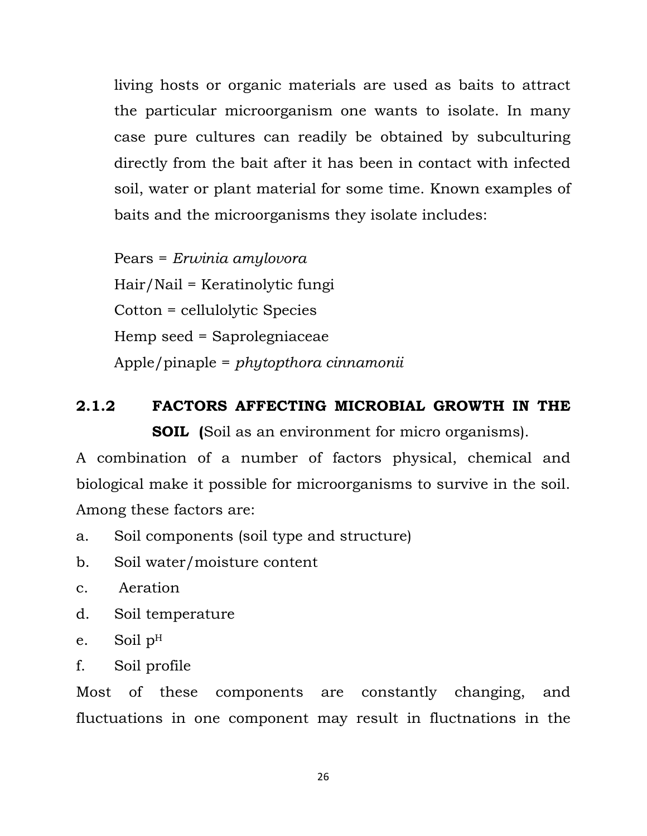living hosts or organic materials are used as baits to attract the particular microorganism one wants to isolate. In many case pure cultures can readily be obtained by subculturing directly from the bait after it has been in contact with infected soil, water or plant material for some time. Known examples of baits and the microorganisms they isolate includes:

Pears = *Erwinia amylovora* Hair/Nail = Keratinolytic fungi Cotton = cellulolytic Species Hemp seed = Saprolegniaceae Apple/pinaple = *phytopthora cinnamonii*

# **2.1.2 FACTORS AFFECTING MICROBIAL GROWTH IN THE SOIL (**Soil as an environment for micro organisms).

A combination of a number of factors physical, chemical and biological make it possible for microorganisms to survive in the soil. Among these factors are:

- a. Soil components (soil type and structure)
- b. Soil water/moisture content
- c. Aeration
- d. Soil temperature
- e. Soil pH
- f. Soil profile

Most of these components are constantly changing, and fluctuations in one component may result in fluctnations in the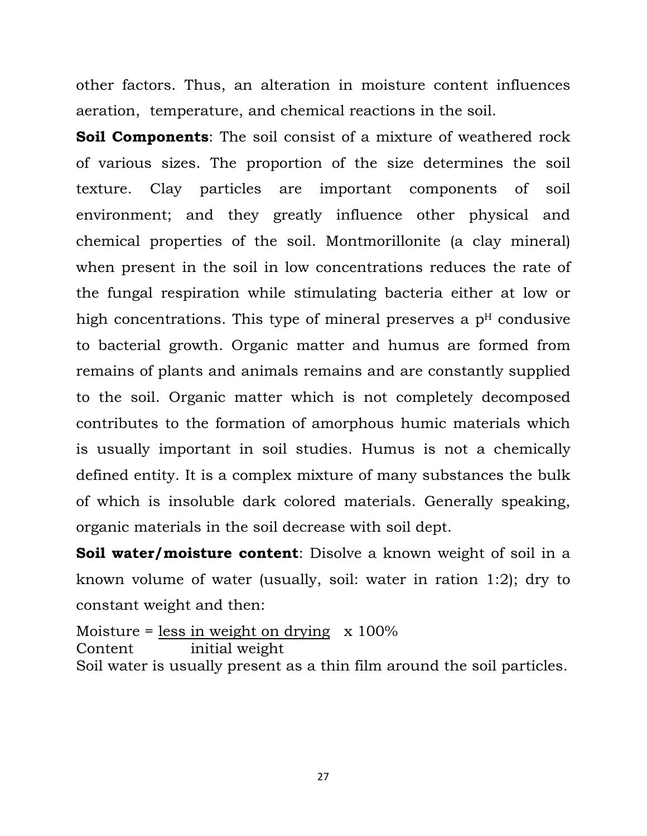other factors. Thus, an alteration in moisture content influences aeration, temperature, and chemical reactions in the soil.

**Soil Components:** The soil consist of a mixture of weathered rock of various sizes. The proportion of the size determines the soil texture. Clay particles are important components of soil environment; and they greatly influence other physical and chemical properties of the soil. Montmorillonite (a clay mineral) when present in the soil in low concentrations reduces the rate of the fungal respiration while stimulating bacteria either at low or high concentrations. This type of mineral preserves a  $p<sup>H</sup>$  condusive to bacterial growth. Organic matter and humus are formed from remains of plants and animals remains and are constantly supplied to the soil. Organic matter which is not completely decomposed contributes to the formation of amorphous humic materials which is usually important in soil studies. Humus is not a chemically defined entity. It is a complex mixture of many substances the bulk of which is insoluble dark colored materials. Generally speaking, organic materials in the soil decrease with soil dept.

**Soil water/moisture content**: Disolve a known weight of soil in a known volume of water (usually, soil: water in ration 1:2); dry to constant weight and then:

Moisture = less in weight on drying  $x 100\%$ Content initial weight Soil water is usually present as a thin film around the soil particles.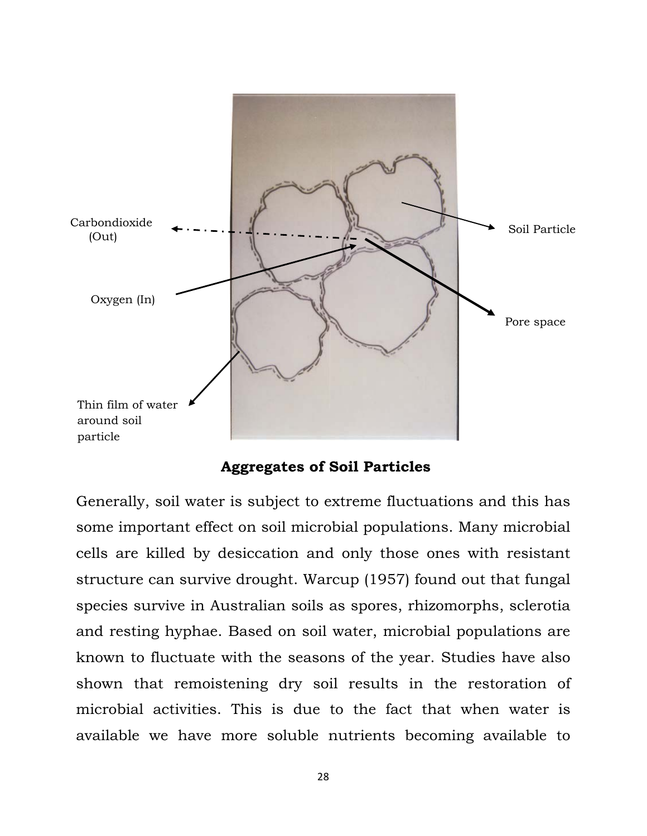

 **Aggregates of Soil Particles** 

Generally, soil water is subject to extreme fluctuations and this has some important effect on soil microbial populations. Many microbial cells are killed by desiccation and only those ones with resistant structure can survive drought. Warcup (1957) found out that fungal species survive in Australian soils as spores, rhizomorphs, sclerotia and resting hyphae. Based on soil water, microbial populations are known to fluctuate with the seasons of the year. Studies have also shown that remoistening dry soil results in the restoration of microbial activities. This is due to the fact that when water is available we have more soluble nutrients becoming available to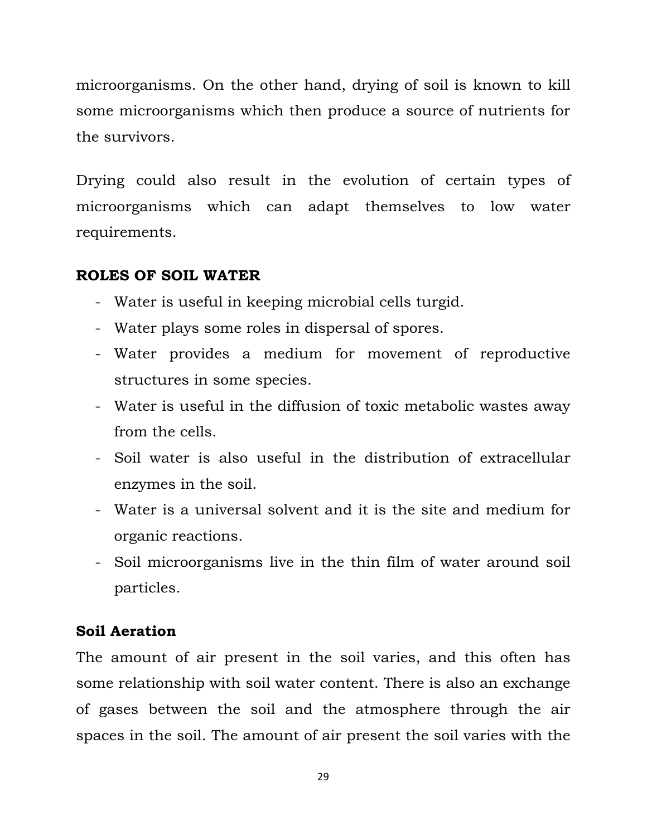microorganisms. On the other hand, drying of soil is known to kill some microorganisms which then produce a source of nutrients for the survivors.

Drying could also result in the evolution of certain types of microorganisms which can adapt themselves to low water requirements.

#### **ROLES OF SOIL WATER**

- Water is useful in keeping microbial cells turgid.
- Water plays some roles in dispersal of spores.
- Water provides a medium for movement of reproductive structures in some species.
- Water is useful in the diffusion of toxic metabolic wastes away from the cells.
- Soil water is also useful in the distribution of extracellular enzymes in the soil.
- Water is a universal solvent and it is the site and medium for organic reactions.
- Soil microorganisms live in the thin film of water around soil particles.

## **Soil Aeration**

The amount of air present in the soil varies, and this often has some relationship with soil water content. There is also an exchange of gases between the soil and the atmosphere through the air spaces in the soil. The amount of air present the soil varies with the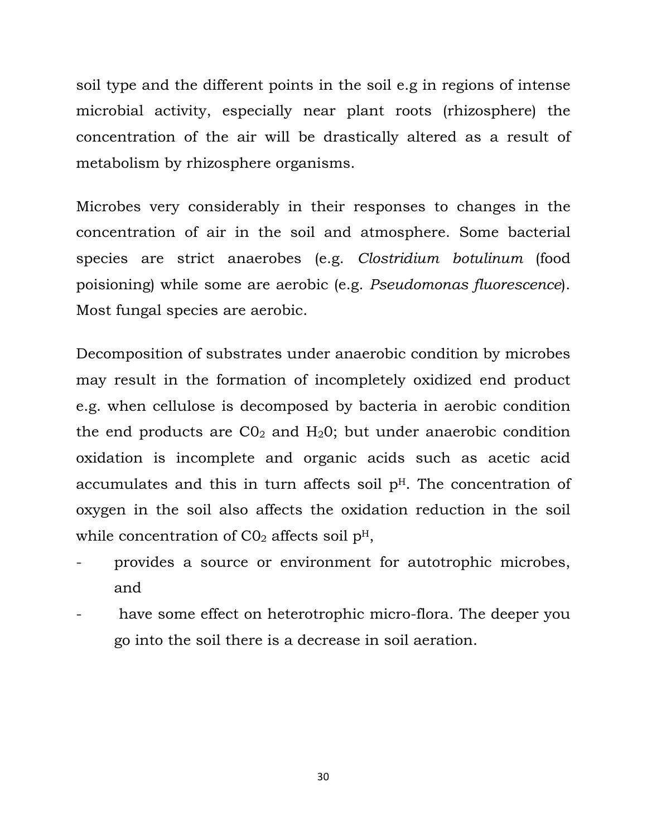soil type and the different points in the soil e.g in regions of intense microbial activity, especially near plant roots (rhizosphere) the concentration of the air will be drastically altered as a result of metabolism by rhizosphere organisms.

Microbes very considerably in their responses to changes in the concentration of air in the soil and atmosphere. Some bacterial species are strict anaerobes (e.g. *Clostridium botulinum* (food poisioning) while some are aerobic (e.g. *Pseudomonas fluorescence*). Most fungal species are aerobic.

Decomposition of substrates under anaerobic condition by microbes may result in the formation of incompletely oxidized end product e.g. when cellulose is decomposed by bacteria in aerobic condition the end products are  $CO<sub>2</sub>$  and  $H<sub>2</sub>O$ ; but under anaerobic condition oxidation is incomplete and organic acids such as acetic acid accumulates and this in turn affects soil  $p<sup>H</sup>$ . The concentration of oxygen in the soil also affects the oxidation reduction in the soil while concentration of  $CO<sub>2</sub>$  affects soil  $p<sup>H</sup>$ ,

- provides a source or environment for autotrophic microbes, and
- have some effect on heterotrophic micro-flora. The deeper you go into the soil there is a decrease in soil aeration.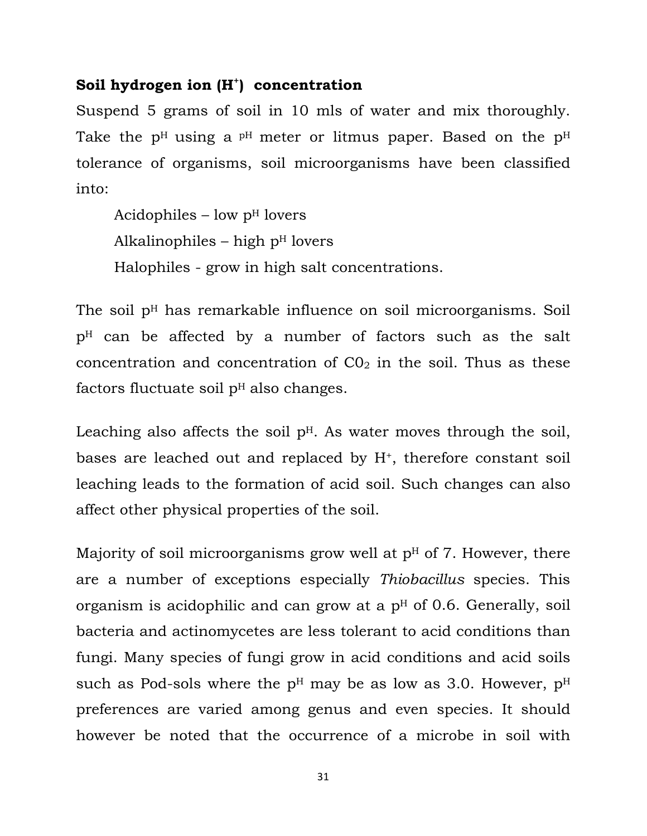#### Soil hydrogen ion  $(H^+)$  concentration

Suspend 5 grams of soil in 10 mls of water and mix thoroughly. Take the  $p<sup>H</sup>$  using a  $p<sup>H</sup>$  meter or litmus paper. Based on the  $p<sup>H</sup>$ tolerance of organisms, soil microorganisms have been classified into:

Acidophiles – low  $p<sup>H</sup>$  lovers Alkalinophiles – high  $p<sup>H</sup>$  lovers Halophiles - grow in high salt concentrations.

The soil  $p<sup>H</sup>$  has remarkable influence on soil microorganisms. Soil pH can be affected by a number of factors such as the salt concentration and concentration of  $CO<sub>2</sub>$  in the soil. Thus as these factors fluctuate soil  $p<sup>H</sup>$  also changes.

Leaching also affects the soil  $p<sup>H</sup>$ . As water moves through the soil, bases are leached out and replaced by H+, therefore constant soil leaching leads to the formation of acid soil. Such changes can also affect other physical properties of the soil.

Majority of soil microorganisms grow well at  $p<sup>H</sup>$  of 7. However, there are a number of exceptions especially *Thiobacillus* species. This organism is acidophilic and can grow at a  $p<sup>H</sup>$  of 0.6. Generally, soil bacteria and actinomycetes are less tolerant to acid conditions than fungi. Many species of fungi grow in acid conditions and acid soils such as Pod-sols where the  $p<sup>H</sup>$  may be as low as 3.0. However,  $p<sup>H</sup>$ preferences are varied among genus and even species. It should however be noted that the occurrence of a microbe in soil with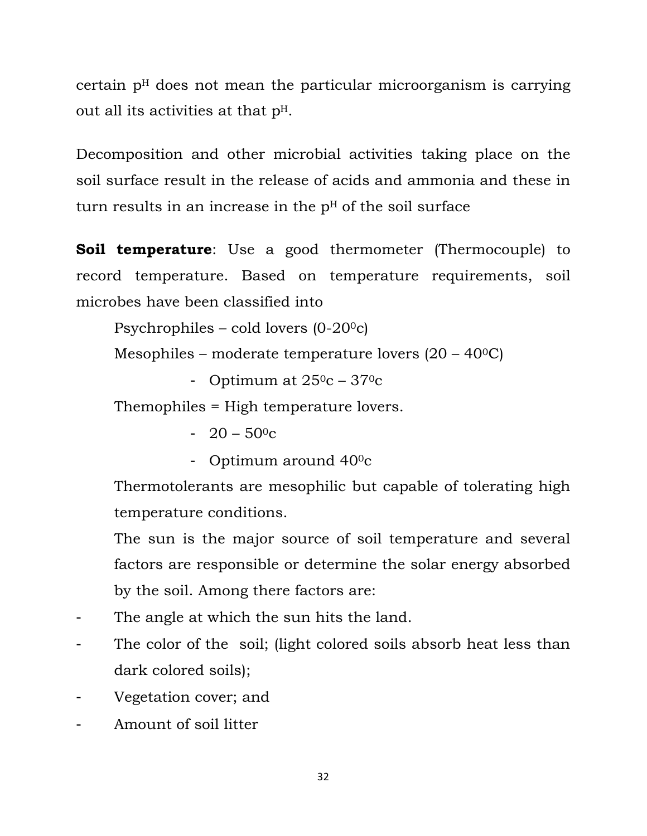certain  $p<sup>H</sup>$  does not mean the particular microorganism is carrying out all its activities at that pH.

Decomposition and other microbial activities taking place on the soil surface result in the release of acids and ammonia and these in turn results in an increase in the  $p<sup>H</sup>$  of the soil surface

**Soil temperature**: Use a good thermometer (Thermocouple) to record temperature. Based on temperature requirements, soil microbes have been classified into

Psychrophiles – cold lovers  $(0-20)$ <sup>o</sup>c)

Mesophiles – moderate temperature lovers  $(20 - 40^{\circ}C)$ 

- Optimum at  $25^0c - 37^0c$ 

Themophiles = High temperature lovers.

- $-20 50$ <sup>o</sup>c
- Optimum around 400c

Thermotolerants are mesophilic but capable of tolerating high temperature conditions.

The sun is the major source of soil temperature and several factors are responsible or determine the solar energy absorbed by the soil. Among there factors are:

- The angle at which the sun hits the land.
- The color of the soil; (light colored soils absorb heat less than dark colored soils);
- Vegetation cover; and
- Amount of soil litter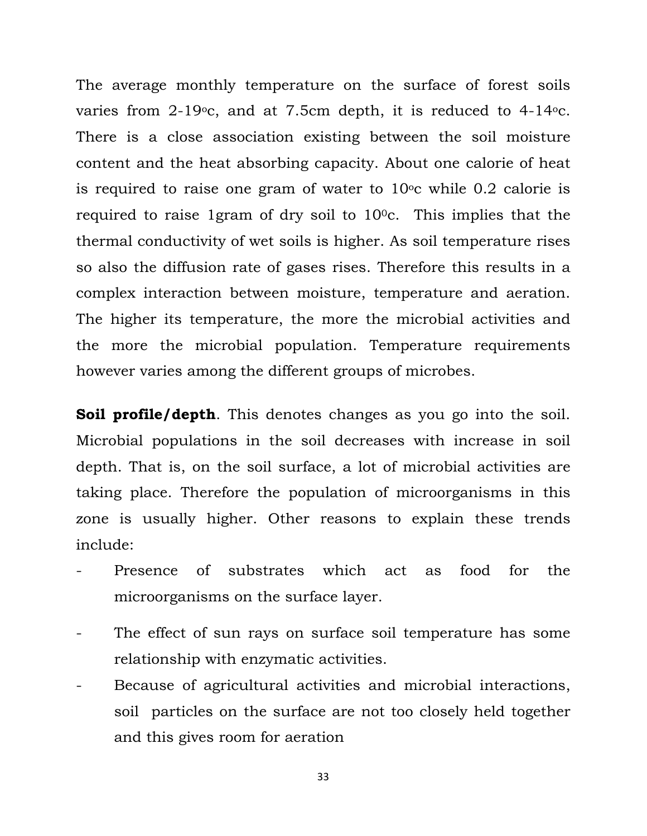The average monthly temperature on the surface of forest soils varies from  $2-19$ <sup>o</sup>c, and at 7.5cm depth, it is reduced to  $4-14$ <sup>o</sup>c. There is a close association existing between the soil moisture content and the heat absorbing capacity. About one calorie of heat is required to raise one gram of water to  $10^{\circ}$ c while 0.2 calorie is required to raise 1gram of dry soil to  $10^{\circ}$ . This implies that the thermal conductivity of wet soils is higher. As soil temperature rises so also the diffusion rate of gases rises. Therefore this results in a complex interaction between moisture, temperature and aeration. The higher its temperature, the more the microbial activities and the more the microbial population. Temperature requirements however varies among the different groups of microbes.

**Soil profile/depth**. This denotes changes as you go into the soil. Microbial populations in the soil decreases with increase in soil depth. That is, on the soil surface, a lot of microbial activities are taking place. Therefore the population of microorganisms in this zone is usually higher. Other reasons to explain these trends include:

- Presence of substrates which act as food for the microorganisms on the surface layer.
- The effect of sun rays on surface soil temperature has some relationship with enzymatic activities.
- Because of agricultural activities and microbial interactions, soil particles on the surface are not too closely held together and this gives room for aeration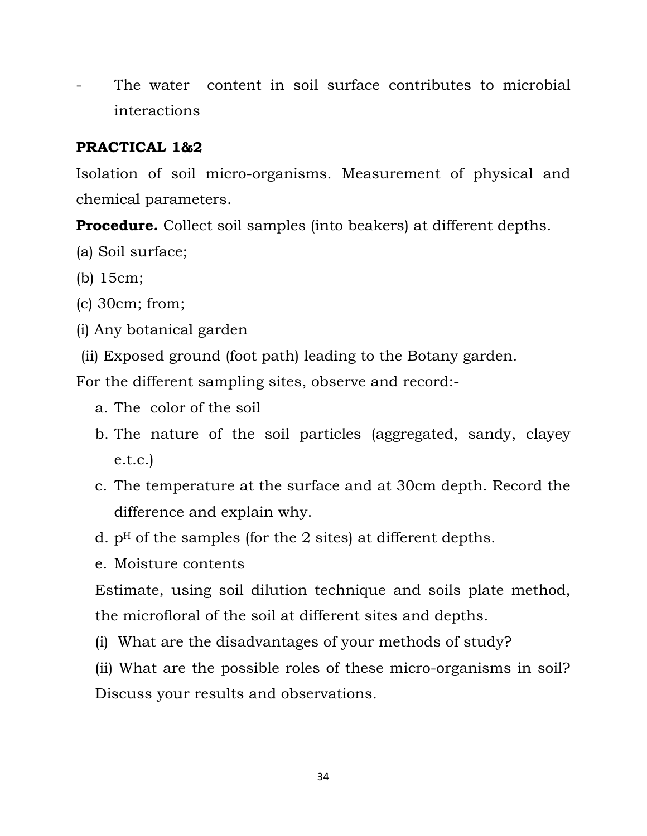The water content in soil surface contributes to microbial interactions

## **PRACTICAL 1&2**

Isolation of soil micro-organisms. Measurement of physical and chemical parameters.

**Procedure.** Collect soil samples (into beakers) at different depths.

- (a) Soil surface;
- (b) 15cm;
- (c) 30cm; from;
- (i) Any botanical garden
- (ii) Exposed ground (foot path) leading to the Botany garden.

For the different sampling sites, observe and record:-

- a. The color of the soil
- b. The nature of the soil particles (aggregated, sandy, clayey e.t.c.)
- c. The temperature at the surface and at 30cm depth. Record the difference and explain why.
- d.  $p<sup>H</sup>$  of the samples (for the 2 sites) at different depths.
- e. Moisture contents

Estimate, using soil dilution technique and soils plate method, the microfloral of the soil at different sites and depths.

(i) What are the disadvantages of your methods of study?

(ii) What are the possible roles of these micro-organisms in soil? Discuss your results and observations.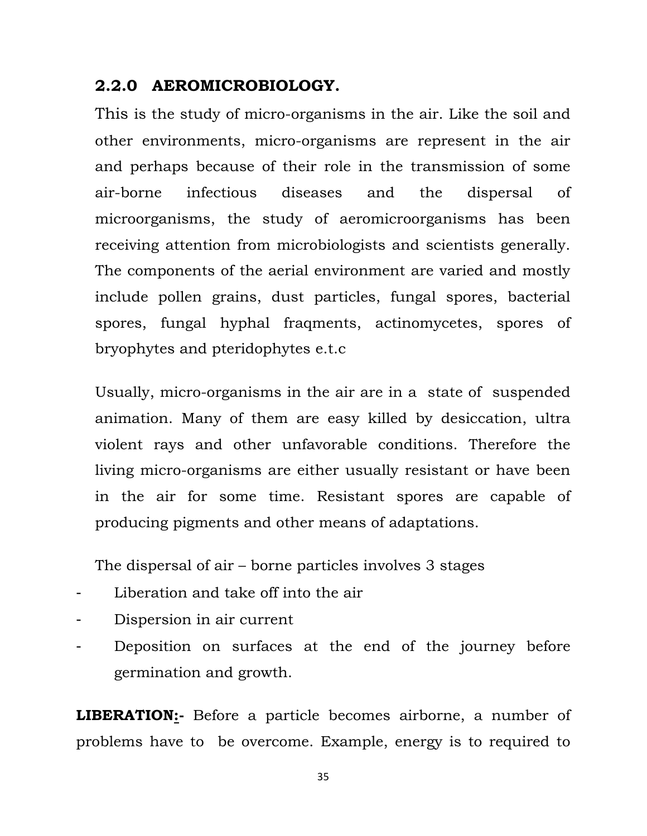## **2.2.0 AEROMICROBIOLOGY.**

This is the study of micro-organisms in the air. Like the soil and other environments, micro-organisms are represent in the air and perhaps because of their role in the transmission of some air-borne infectious diseases and the dispersal of microorganisms, the study of aeromicroorganisms has been receiving attention from microbiologists and scientists generally. The components of the aerial environment are varied and mostly include pollen grains, dust particles, fungal spores, bacterial spores, fungal hyphal fraqments, actinomycetes, spores of bryophytes and pteridophytes e.t.c

Usually, micro-organisms in the air are in a state of suspended animation. Many of them are easy killed by desiccation, ultra violent rays and other unfavorable conditions. Therefore the living micro-organisms are either usually resistant or have been in the air for some time. Resistant spores are capable of producing pigments and other means of adaptations.

The dispersal of air – borne particles involves 3 stages

- Liberation and take off into the air
- Dispersion in air current
- Deposition on surfaces at the end of the journey before germination and growth.

**LIBERATION:-** Before a particle becomes airborne, a number of problems have to be overcome. Example, energy is to required to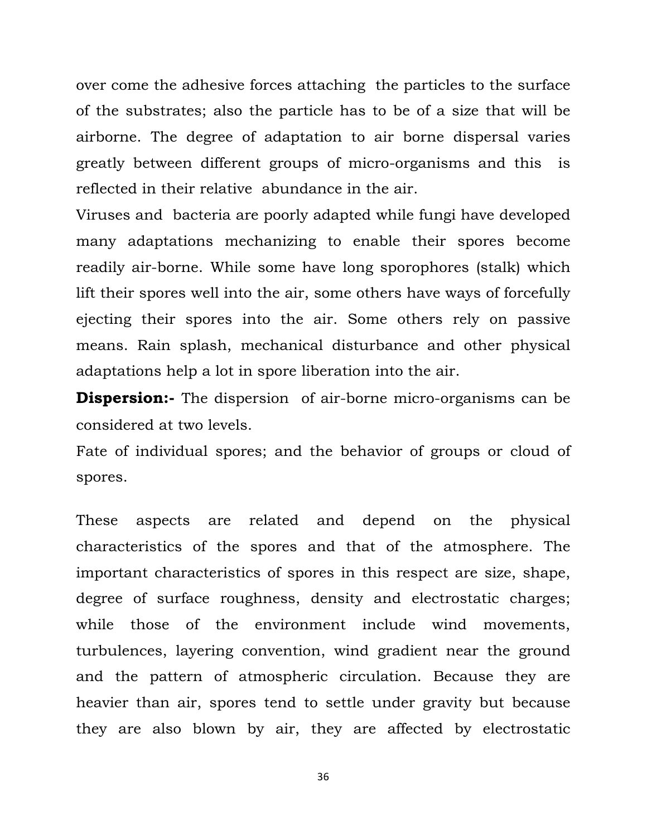over come the adhesive forces attaching the particles to the surface of the substrates; also the particle has to be of a size that will be airborne. The degree of adaptation to air borne dispersal varies greatly between different groups of micro-organisms and this is reflected in their relative abundance in the air.

Viruses and bacteria are poorly adapted while fungi have developed many adaptations mechanizing to enable their spores become readily air-borne. While some have long sporophores (stalk) which lift their spores well into the air, some others have ways of forcefully ejecting their spores into the air. Some others rely on passive means. Rain splash, mechanical disturbance and other physical adaptations help a lot in spore liberation into the air.

**Dispersion:**- The dispersion of air-borne micro-organisms can be considered at two levels.

Fate of individual spores; and the behavior of groups or cloud of spores.

These aspects are related and depend on the physical characteristics of the spores and that of the atmosphere. The important characteristics of spores in this respect are size, shape, degree of surface roughness, density and electrostatic charges; while those of the environment include wind movements, turbulences, layering convention, wind gradient near the ground and the pattern of atmospheric circulation. Because they are heavier than air, spores tend to settle under gravity but because they are also blown by air, they are affected by electrostatic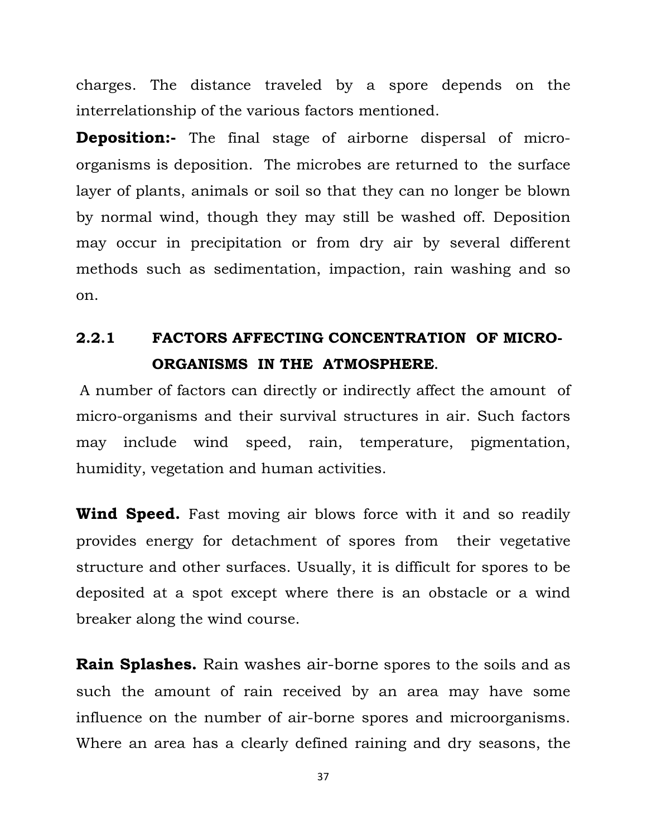charges. The distance traveled by a spore depends on the interrelationship of the various factors mentioned.

**Deposition:-** The final stage of airborne dispersal of microorganisms is deposition. The microbes are returned to the surface layer of plants, animals or soil so that they can no longer be blown by normal wind, though they may still be washed off. Deposition may occur in precipitation or from dry air by several different methods such as sedimentation, impaction, rain washing and so on.

# **2.2.1 FACTORS AFFECTING CONCENTRATION OF MICRO-ORGANISMS IN THE ATMOSPHERE.**

A number of factors can directly or indirectly affect the amount of micro-organisms and their survival structures in air. Such factors may include wind speed, rain, temperature, pigmentation, humidity, vegetation and human activities.

**Wind Speed.** Fast moving air blows force with it and so readily provides energy for detachment of spores from their vegetative structure and other surfaces. Usually, it is difficult for spores to be deposited at a spot except where there is an obstacle or a wind breaker along the wind course.

**Rain Splashes.** Rain washes air-borne spores to the soils and as such the amount of rain received by an area may have some influence on the number of air-borne spores and microorganisms. Where an area has a clearly defined raining and dry seasons, the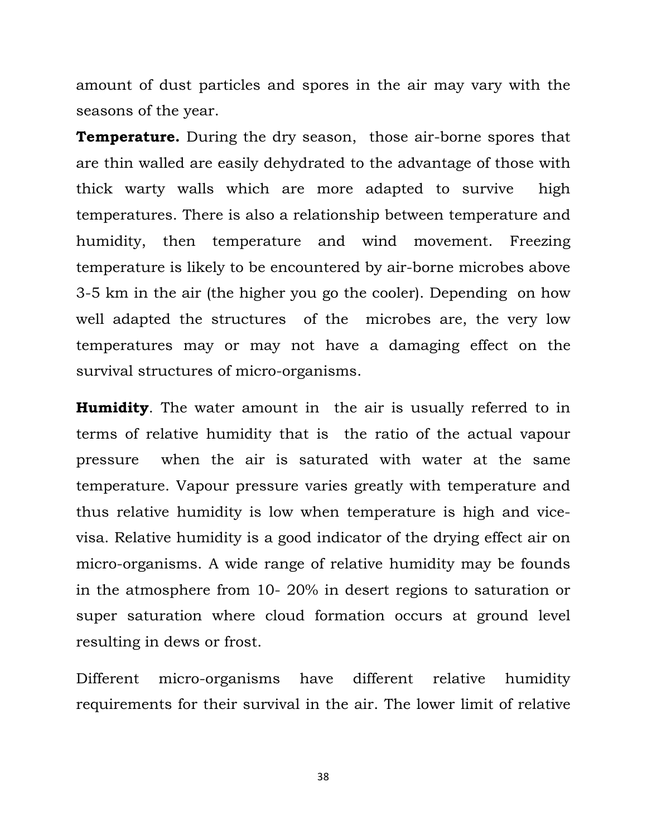amount of dust particles and spores in the air may vary with the seasons of the year.

**Temperature.** During the dry season, those air-borne spores that are thin walled are easily dehydrated to the advantage of those with thick warty walls which are more adapted to survive high temperatures. There is also a relationship between temperature and humidity, then temperature and wind movement. Freezing temperature is likely to be encountered by air-borne microbes above 3-5 km in the air (the higher you go the cooler). Depending on how well adapted the structures of the microbes are, the very low temperatures may or may not have a damaging effect on the survival structures of micro-organisms.

**Humidity**. The water amount in the air is usually referred to in terms of relative humidity that is the ratio of the actual vapour pressure when the air is saturated with water at the same temperature. Vapour pressure varies greatly with temperature and thus relative humidity is low when temperature is high and vicevisa. Relative humidity is a good indicator of the drying effect air on micro-organisms. A wide range of relative humidity may be founds in the atmosphere from 10- 20% in desert regions to saturation or super saturation where cloud formation occurs at ground level resulting in dews or frost.

Different micro-organisms have different relative humidity requirements for their survival in the air. The lower limit of relative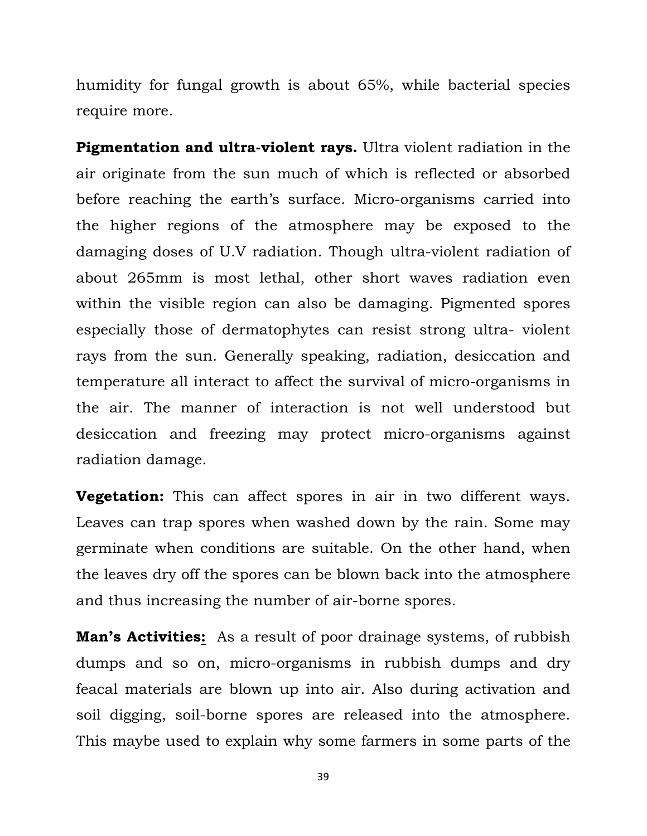humidity for fungal growth is about 65%, while bacterial species require more.

**Pigmentation and ultra-violent rays.** Ultra violent radiation in the air originate from the sun much of which is reflected or absorbed before reaching the earth's surface. Micro-organisms carried into the higher regions of the atmosphere may be exposed to the damaging doses of U.V radiation. Though ultra-violent radiation of about 265mm is most lethal, other short waves radiation even within the visible region can also be damaging. Pigmented spores especially those of dermatophytes can resist strong ultra- violent rays from the sun. Generally speaking, radiation, desiccation and temperature all interact to affect the survival of micro-organisms in the air. The manner of interaction is not well understood but desiccation and freezing may protect micro-organisms against radiation damage.

**Vegetation:** This can affect spores in air in two different ways. Leaves can trap spores when washed down by the rain. Some may germinate when conditions are suitable. On the other hand, when the leaves dry off the spores can be blown back into the atmosphere and thus increasing the number of air-borne spores.

**Man's Activities:** As a result of poor drainage systems, of rubbish dumps and so on, micro-organisms in rubbish dumps and dry feacal materials are blown up into air. Also during activation and soil digging, soil-borne spores are released into the atmosphere. This maybe used to explain why some farmers in some parts of the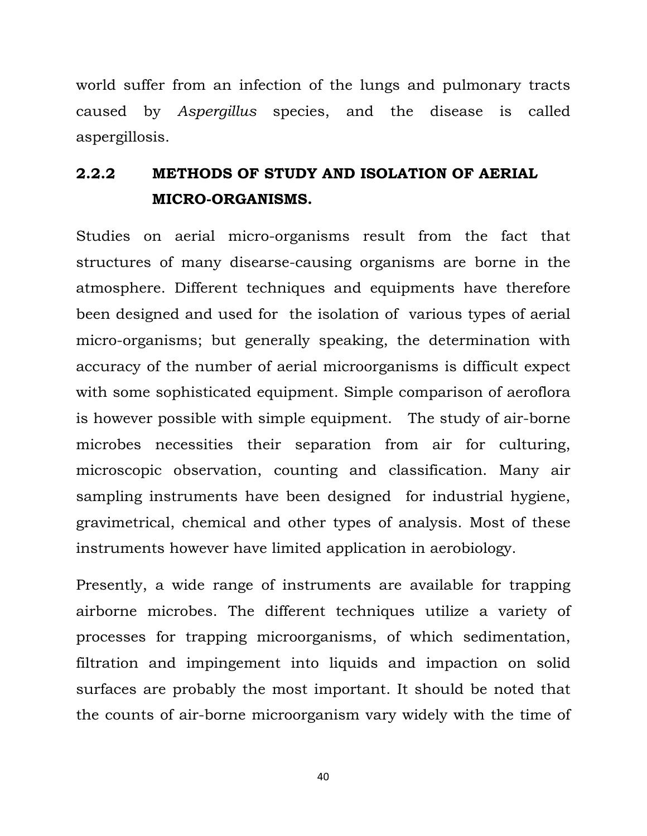world suffer from an infection of the lungs and pulmonary tracts caused by *Aspergillus* species, and the disease is called aspergillosis.

# **2.2.2 METHODS OF STUDY AND ISOLATION OF AERIAL MICRO-ORGANISMS.**

Studies on aerial micro-organisms result from the fact that structures of many disearse-causing organisms are borne in the atmosphere. Different techniques and equipments have therefore been designed and used for the isolation of various types of aerial micro-organisms; but generally speaking, the determination with accuracy of the number of aerial microorganisms is difficult expect with some sophisticated equipment. Simple comparison of aeroflora is however possible with simple equipment. The study of air-borne microbes necessities their separation from air for culturing, microscopic observation, counting and classification. Many air sampling instruments have been designed for industrial hygiene, gravimetrical, chemical and other types of analysis. Most of these instruments however have limited application in aerobiology.

Presently, a wide range of instruments are available for trapping airborne microbes. The different techniques utilize a variety of processes for trapping microorganisms, of which sedimentation, filtration and impingement into liquids and impaction on solid surfaces are probably the most important. It should be noted that the counts of air-borne microorganism vary widely with the time of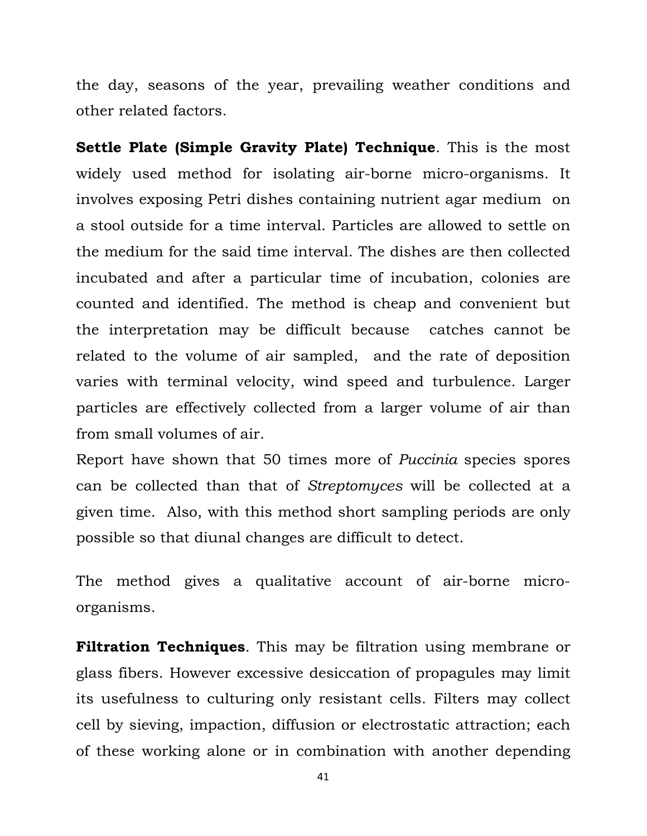the day, seasons of the year, prevailing weather conditions and other related factors.

**Settle Plate (Simple Gravity Plate) Technique**. This is the most widely used method for isolating air-borne micro-organisms. It involves exposing Petri dishes containing nutrient agar medium on a stool outside for a time interval. Particles are allowed to settle on the medium for the said time interval. The dishes are then collected incubated and after a particular time of incubation, colonies are counted and identified. The method is cheap and convenient but the interpretation may be difficult because catches cannot be related to the volume of air sampled, and the rate of deposition varies with terminal velocity, wind speed and turbulence. Larger particles are effectively collected from a larger volume of air than from small volumes of air.

Report have shown that 50 times more of *Puccinia* species spores can be collected than that of *Streptomyces* will be collected at a given time. Also, with this method short sampling periods are only possible so that diunal changes are difficult to detect.

The method gives a qualitative account of air-borne microorganisms.

**Filtration Techniques**. This may be filtration using membrane or glass fibers. However excessive desiccation of propagules may limit its usefulness to culturing only resistant cells. Filters may collect cell by sieving, impaction, diffusion or electrostatic attraction; each of these working alone or in combination with another depending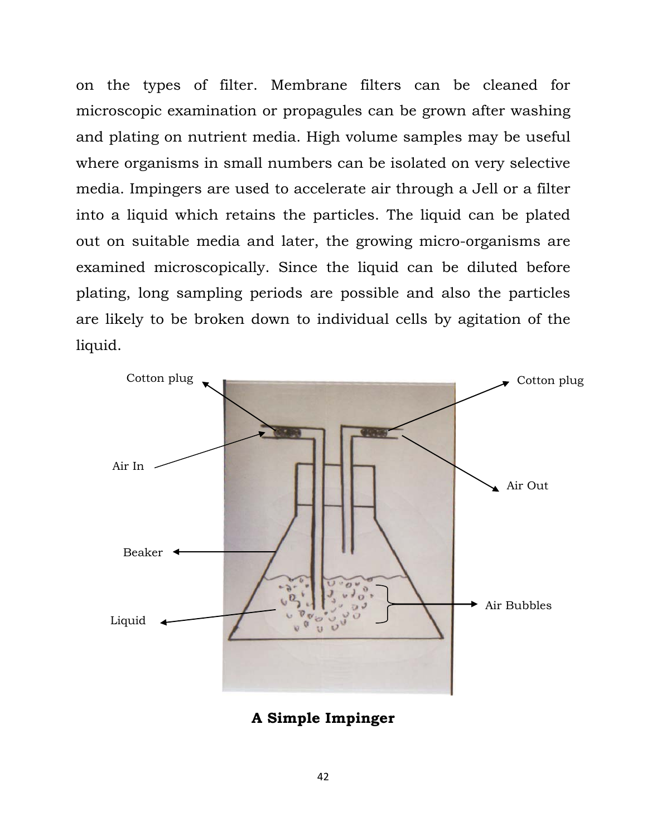on the types of filter. Membrane filters can be cleaned for microscopic examination or propagules can be grown after washing and plating on nutrient media. High volume samples may be useful where organisms in small numbers can be isolated on very selective media. Impingers are used to accelerate air through a Jell or a filter into a liquid which retains the particles. The liquid can be plated out on suitable media and later, the growing micro-organisms are examined microscopically. Since the liquid can be diluted before plating, long sampling periods are possible and also the particles are likely to be broken down to individual cells by agitation of the liquid.



**A Simple Impinger**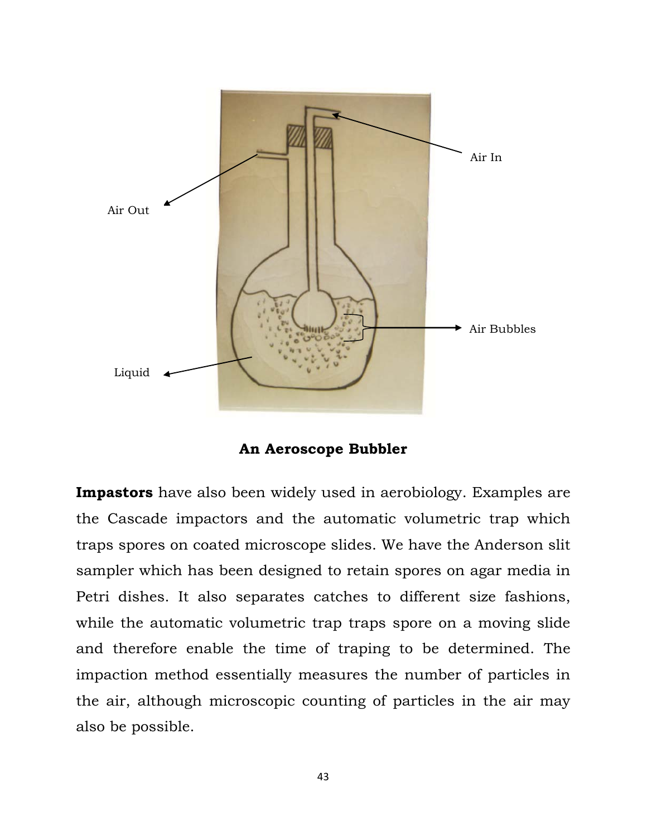

**An Aeroscope Bubbler** 

**Impastors** have also been widely used in aerobiology. Examples are the Cascade impactors and the automatic volumetric trap which traps spores on coated microscope slides. We have the Anderson slit sampler which has been designed to retain spores on agar media in Petri dishes. It also separates catches to different size fashions, while the automatic volumetric trap traps spore on a moving slide and therefore enable the time of traping to be determined. The impaction method essentially measures the number of particles in the air, although microscopic counting of particles in the air may also be possible.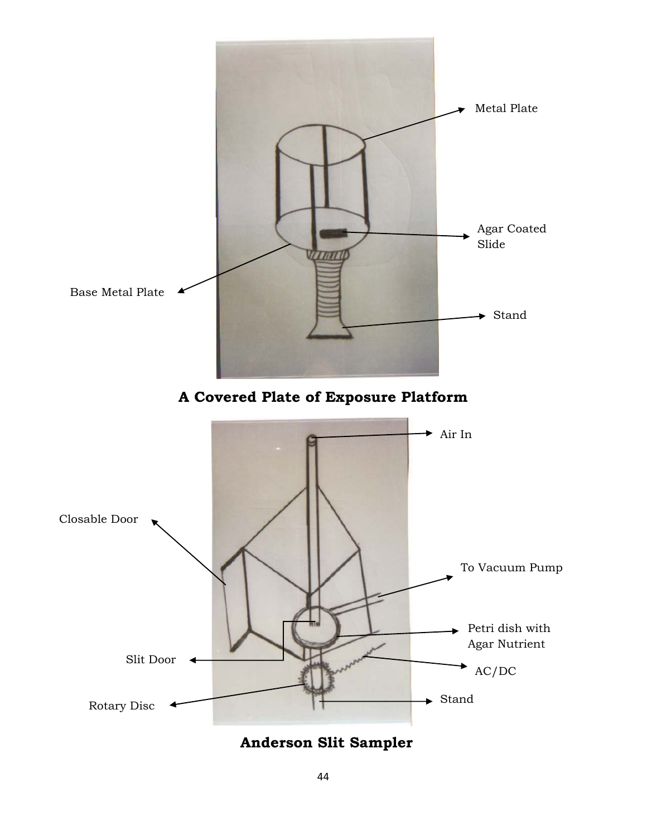

 **Anderson Slit Sampler**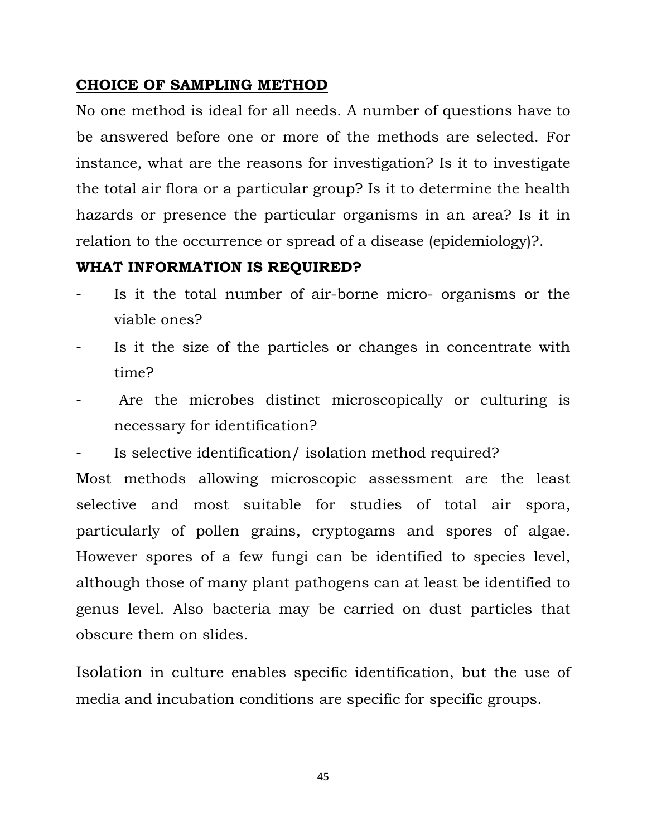## **CHOICE OF SAMPLING METHOD**

No one method is ideal for all needs. A number of questions have to be answered before one or more of the methods are selected. For instance, what are the reasons for investigation? Is it to investigate the total air flora or a particular group? Is it to determine the health hazards or presence the particular organisms in an area? Is it in relation to the occurrence or spread of a disease (epidemiology)?.

### **WHAT INFORMATION IS REQUIRED?**

- Is it the total number of air-borne micro- organisms or the viable ones?
- Is it the size of the particles or changes in concentrate with time?
- Are the microbes distinct microscopically or culturing is necessary for identification?
- Is selective identification/ isolation method required?

Most methods allowing microscopic assessment are the least selective and most suitable for studies of total air spora, particularly of pollen grains, cryptogams and spores of algae. However spores of a few fungi can be identified to species level, although those of many plant pathogens can at least be identified to genus level. Also bacteria may be carried on dust particles that obscure them on slides.

Isolation in culture enables specific identification, but the use of media and incubation conditions are specific for specific groups.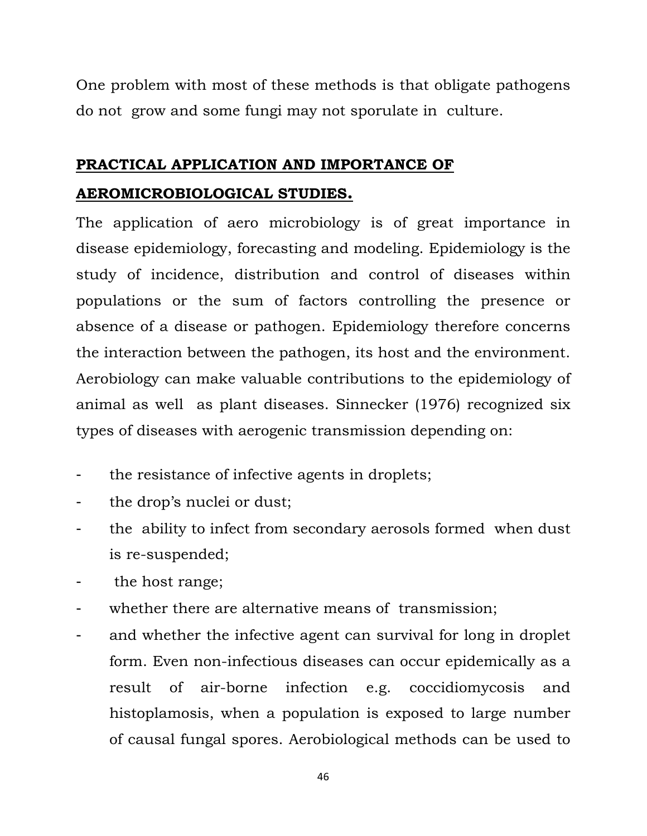One problem with most of these methods is that obligate pathogens do not grow and some fungi may not sporulate in culture.

# **PRACTICAL APPLICATION AND IMPORTANCE OF**

## **AEROMICROBIOLOGICAL STUDIES.**

The application of aero microbiology is of great importance in disease epidemiology, forecasting and modeling. Epidemiology is the study of incidence, distribution and control of diseases within populations or the sum of factors controlling the presence or absence of a disease or pathogen. Epidemiology therefore concerns the interaction between the pathogen, its host and the environment. Aerobiology can make valuable contributions to the epidemiology of animal as well as plant diseases. Sinnecker (1976) recognized six types of diseases with aerogenic transmission depending on:

- the resistance of infective agents in droplets;
- the drop's nuclei or dust;
- the ability to infect from secondary aerosols formed when dust is re-suspended;
- the host range;
- whether there are alternative means of transmission;
- and whether the infective agent can survival for long in droplet form. Even non-infectious diseases can occur epidemically as a result of air-borne infection e.g. coccidiomycosis and histoplamosis, when a population is exposed to large number of causal fungal spores. Aerobiological methods can be used to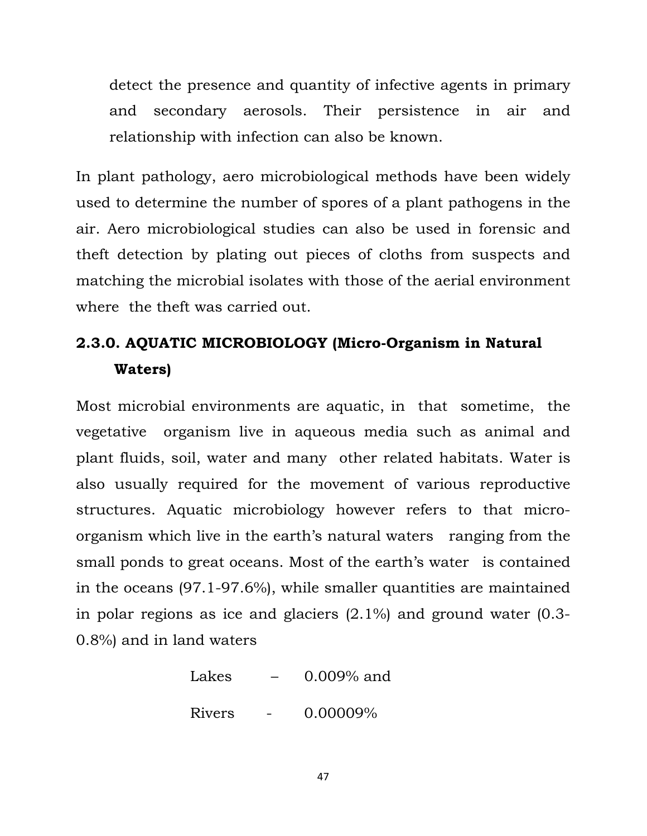detect the presence and quantity of infective agents in primary and secondary aerosols. Their persistence in air and relationship with infection can also be known.

In plant pathology, aero microbiological methods have been widely used to determine the number of spores of a plant pathogens in the air. Aero microbiological studies can also be used in forensic and theft detection by plating out pieces of cloths from suspects and matching the microbial isolates with those of the aerial environment where the theft was carried out.

# **2.3.0. AQUATIC MICROBIOLOGY (Micro-Organism in Natural Waters)**

Most microbial environments are aquatic, in that sometime, the vegetative organism live in aqueous media such as animal and plant fluids, soil, water and many other related habitats. Water is also usually required for the movement of various reproductive structures. Aquatic microbiology however refers to that microorganism which live in the earth's natural waters ranging from the small ponds to great oceans. Most of the earth's water is contained in the oceans (97.1-97.6%), while smaller quantities are maintained in polar regions as ice and glaciers (2.1%) and ground water (0.3- 0.8%) and in land waters

> Lakes  $-$  0.009% and Rivers - 0.00009%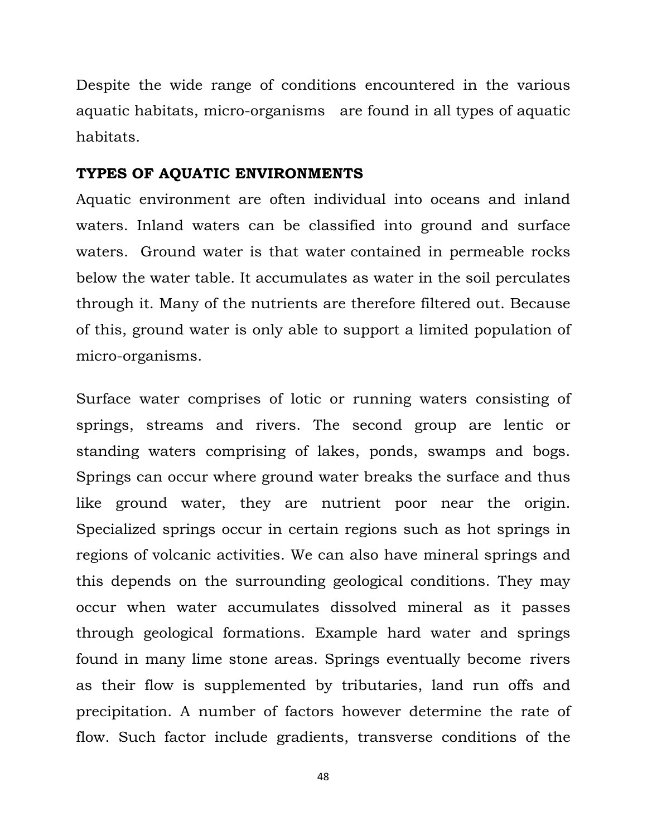Despite the wide range of conditions encountered in the various aquatic habitats, micro-organisms are found in all types of aquatic habitats.

#### **TYPES OF AQUATIC ENVIRONMENTS**

Aquatic environment are often individual into oceans and inland waters. Inland waters can be classified into ground and surface waters. Ground water is that water contained in permeable rocks below the water table. It accumulates as water in the soil perculates through it. Many of the nutrients are therefore filtered out. Because of this, ground water is only able to support a limited population of micro-organisms.

Surface water comprises of lotic or running waters consisting of springs, streams and rivers. The second group are lentic or standing waters comprising of lakes, ponds, swamps and bogs. Springs can occur where ground water breaks the surface and thus like ground water, they are nutrient poor near the origin. Specialized springs occur in certain regions such as hot springs in regions of volcanic activities. We can also have mineral springs and this depends on the surrounding geological conditions. They may occur when water accumulates dissolved mineral as it passes through geological formations. Example hard water and springs found in many lime stone areas. Springs eventually become rivers as their flow is supplemented by tributaries, land run offs and precipitation. A number of factors however determine the rate of flow. Such factor include gradients, transverse conditions of the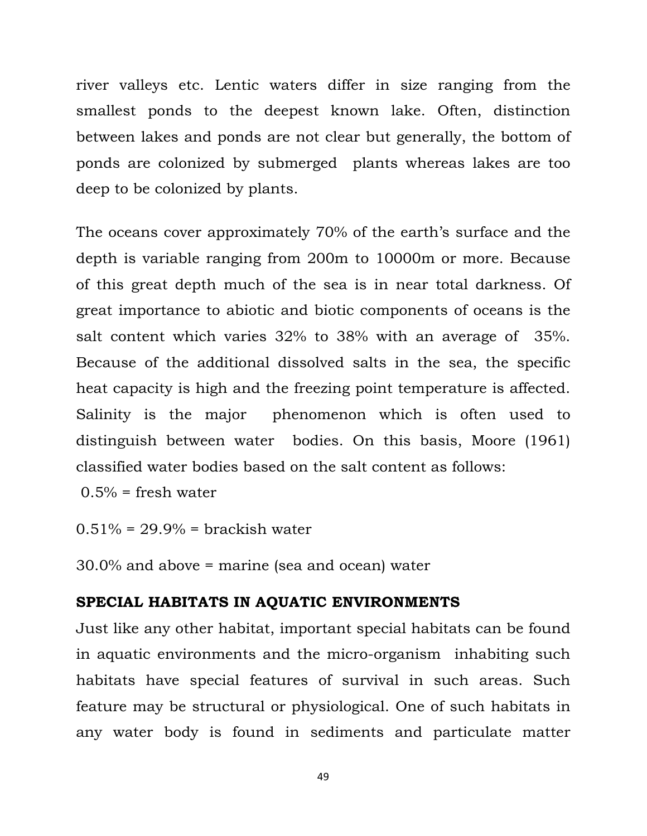river valleys etc. Lentic waters differ in size ranging from the smallest ponds to the deepest known lake. Often, distinction between lakes and ponds are not clear but generally, the bottom of ponds are colonized by submerged plants whereas lakes are too deep to be colonized by plants.

The oceans cover approximately 70% of the earth's surface and the depth is variable ranging from 200m to 10000m or more. Because of this great depth much of the sea is in near total darkness. Of great importance to abiotic and biotic components of oceans is the salt content which varies 32% to 38% with an average of 35%. Because of the additional dissolved salts in the sea, the specific heat capacity is high and the freezing point temperature is affected. Salinity is the major phenomenon which is often used to distinguish between water bodies. On this basis, Moore (1961) classified water bodies based on the salt content as follows:

 $0.5\%$  = fresh water

 $0.51\% = 29.9\% =$  brackish water

30.0% and above = marine (sea and ocean) water

#### **SPECIAL HABITATS IN AQUATIC ENVIRONMENTS**

Just like any other habitat, important special habitats can be found in aquatic environments and the micro-organism inhabiting such habitats have special features of survival in such areas. Such feature may be structural or physiological. One of such habitats in any water body is found in sediments and particulate matter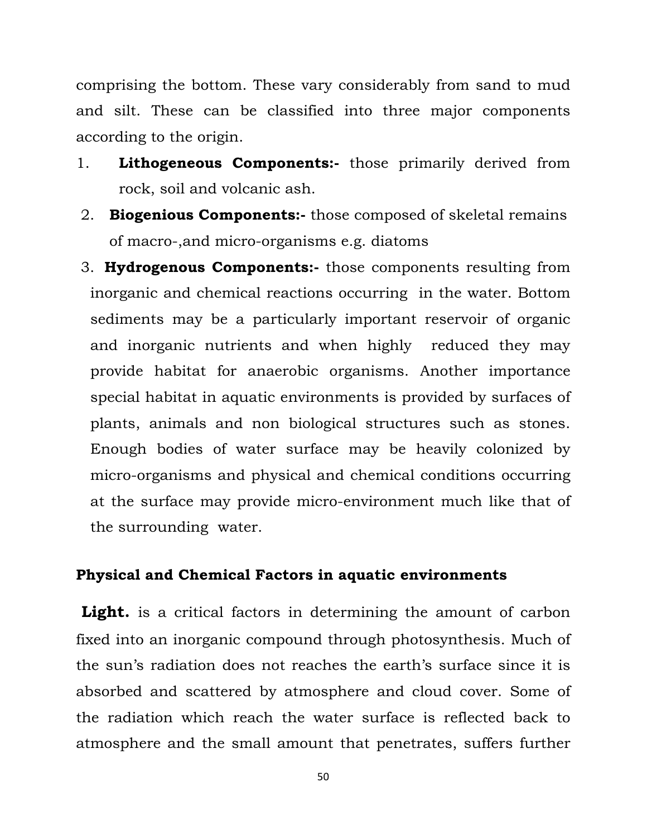comprising the bottom. These vary considerably from sand to mud and silt. These can be classified into three major components according to the origin.

- 1. **Lithogeneous Components:-** those primarily derived from rock, soil and volcanic ash.
- 2. **Biogenious Components:-** those composed of skeletal remains of macro-,and micro-organisms e.g. diatoms
- 3. **Hydrogenous Components:-** those components resulting from inorganic and chemical reactions occurring in the water. Bottom sediments may be a particularly important reservoir of organic and inorganic nutrients and when highly reduced they may provide habitat for anaerobic organisms. Another importance special habitat in aquatic environments is provided by surfaces of plants, animals and non biological structures such as stones. Enough bodies of water surface may be heavily colonized by micro-organisms and physical and chemical conditions occurring at the surface may provide micro-environment much like that of the surrounding water.

#### **Physical and Chemical Factors in aquatic environments**

Light. is a critical factors in determining the amount of carbon fixed into an inorganic compound through photosynthesis. Much of the sun's radiation does not reaches the earth's surface since it is absorbed and scattered by atmosphere and cloud cover. Some of the radiation which reach the water surface is reflected back to atmosphere and the small amount that penetrates, suffers further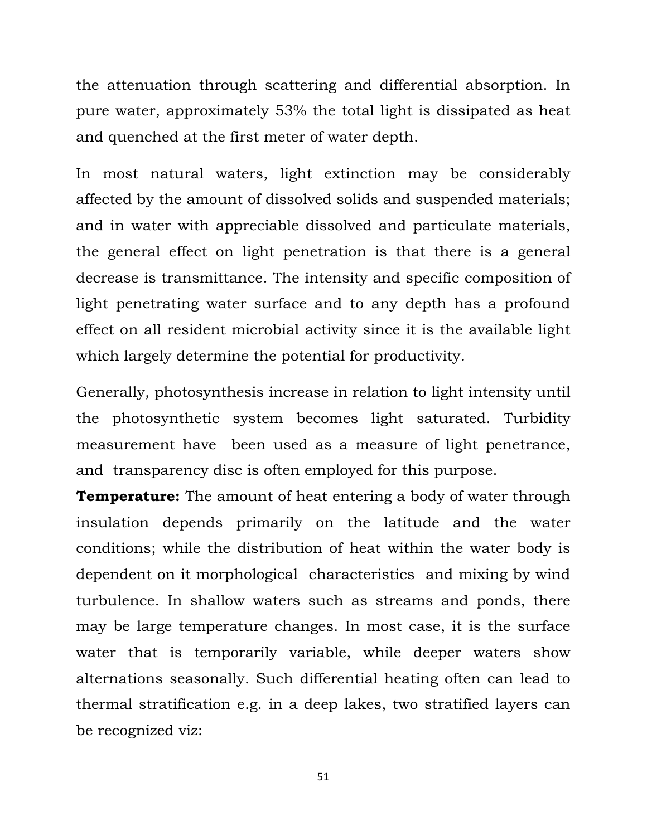the attenuation through scattering and differential absorption. In pure water, approximately 53% the total light is dissipated as heat and quenched at the first meter of water depth.

In most natural waters, light extinction may be considerably affected by the amount of dissolved solids and suspended materials; and in water with appreciable dissolved and particulate materials, the general effect on light penetration is that there is a general decrease is transmittance. The intensity and specific composition of light penetrating water surface and to any depth has a profound effect on all resident microbial activity since it is the available light which largely determine the potential for productivity.

Generally, photosynthesis increase in relation to light intensity until the photosynthetic system becomes light saturated. Turbidity measurement have been used as a measure of light penetrance, and transparency disc is often employed for this purpose.

**Temperature:** The amount of heat entering a body of water through insulation depends primarily on the latitude and the water conditions; while the distribution of heat within the water body is dependent on it morphological characteristics and mixing by wind turbulence. In shallow waters such as streams and ponds, there may be large temperature changes. In most case, it is the surface water that is temporarily variable, while deeper waters show alternations seasonally. Such differential heating often can lead to thermal stratification e.g. in a deep lakes, two stratified layers can be recognized viz: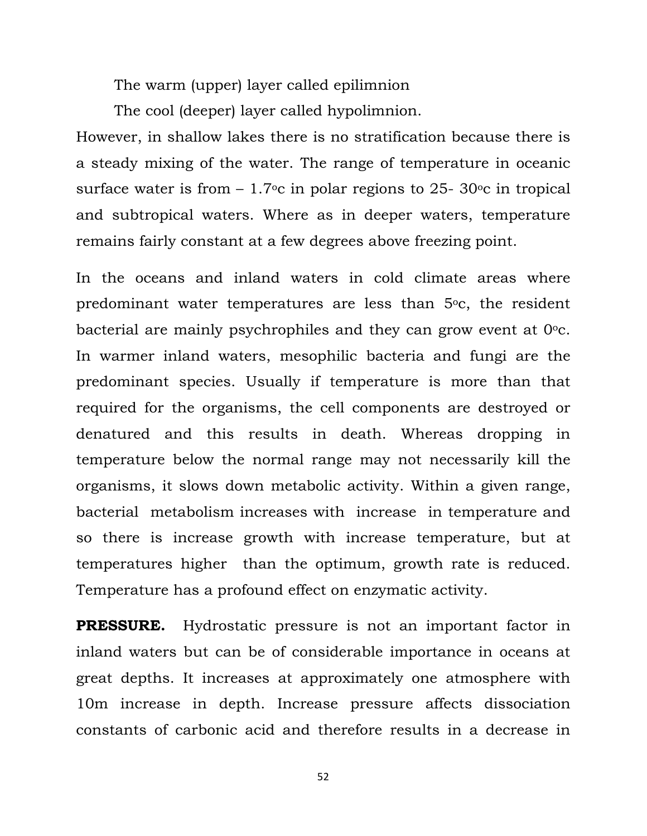The warm (upper) layer called epilimnion

The cool (deeper) layer called hypolimnion.

However, in shallow lakes there is no stratification because there is a steady mixing of the water. The range of temperature in oceanic surface water is from  $-1.7$ °c in polar regions to 25- 30°c in tropical and subtropical waters. Where as in deeper waters, temperature remains fairly constant at a few degrees above freezing point.

In the oceans and inland waters in cold climate areas where predominant water temperatures are less than 5<sup>o</sup>c, the resident bacterial are mainly psychrophiles and they can grow event at  $0^{\circ}$ c. In warmer inland waters, mesophilic bacteria and fungi are the predominant species. Usually if temperature is more than that required for the organisms, the cell components are destroyed or denatured and this results in death. Whereas dropping in temperature below the normal range may not necessarily kill the organisms, it slows down metabolic activity. Within a given range, bacterial metabolism increases with increase in temperature and so there is increase growth with increase temperature, but at temperatures higher than the optimum, growth rate is reduced. Temperature has a profound effect on enzymatic activity.

**PRESSURE.** Hydrostatic pressure is not an important factor in inland waters but can be of considerable importance in oceans at great depths. It increases at approximately one atmosphere with 10m increase in depth. Increase pressure affects dissociation constants of carbonic acid and therefore results in a decrease in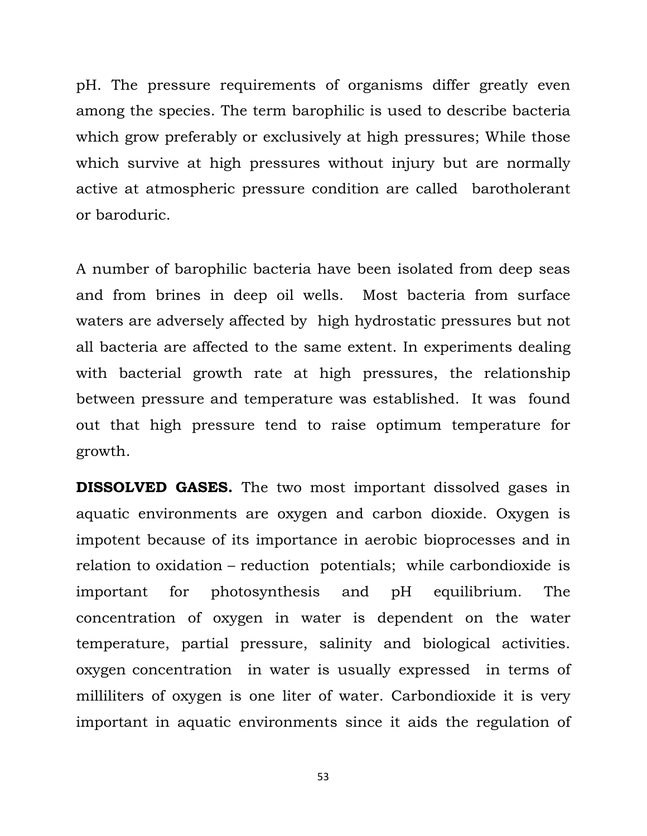pH. The pressure requirements of organisms differ greatly even among the species. The term barophilic is used to describe bacteria which grow preferably or exclusively at high pressures; While those which survive at high pressures without injury but are normally active at atmospheric pressure condition are called barotholerant or baroduric.

A number of barophilic bacteria have been isolated from deep seas and from brines in deep oil wells. Most bacteria from surface waters are adversely affected by high hydrostatic pressures but not all bacteria are affected to the same extent. In experiments dealing with bacterial growth rate at high pressures, the relationship between pressure and temperature was established. It was found out that high pressure tend to raise optimum temperature for growth.

**DISSOLVED GASES.** The two most important dissolved gases in aquatic environments are oxygen and carbon dioxide. Oxygen is impotent because of its importance in aerobic bioprocesses and in relation to oxidation – reduction potentials; while carbondioxide is important for photosynthesis and pH equilibrium. The concentration of oxygen in water is dependent on the water temperature, partial pressure, salinity and biological activities. oxygen concentration in water is usually expressed in terms of milliliters of oxygen is one liter of water. Carbondioxide it is very important in aquatic environments since it aids the regulation of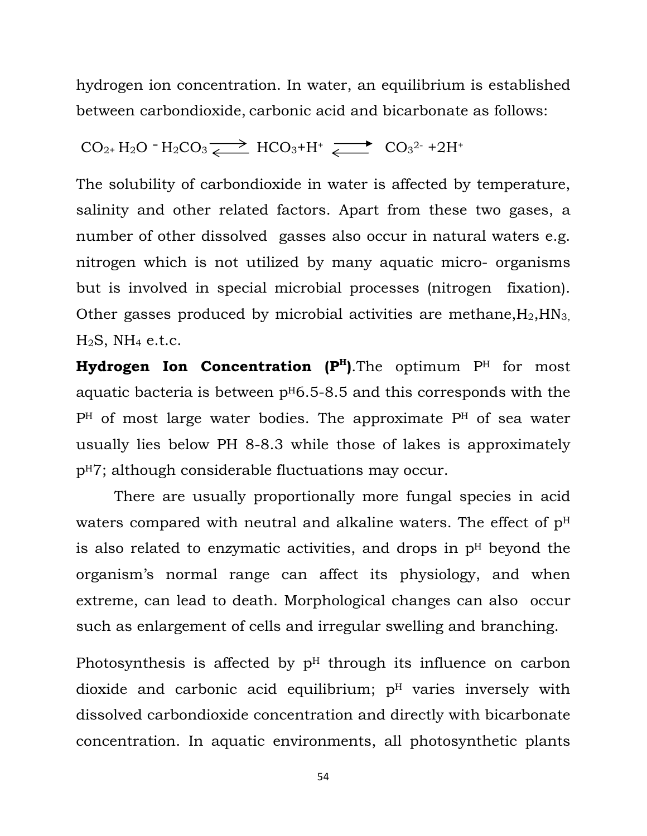hydrogen ion concentration. In water, an equilibrium is established between carbondioxide, carbonic acid and bicarbonate as follows:

$$
CO_{2+} H_2O = H_2CO_3 \xrightarrow{\longrightarrow} HCO_3 + H^+ \xrightarrow{\longrightarrow} CO_3^{2-} + 2H^+
$$

The solubility of carbondioxide in water is affected by temperature, salinity and other related factors. Apart from these two gases, a number of other dissolved gasses also occur in natural waters e.g. nitrogen which is not utilized by many aquatic micro- organisms but is involved in special microbial processes (nitrogen fixation). Other gasses produced by microbial activities are methane,  $H_2$ ,  $HN_3$ ,  $H_2S$ , NH<sub>4</sub> e.t.c.

Hydrogen Ion Concentration (P<sup>H</sup>). The optimum P<sup>H</sup> for most aquatic bacteria is between  $p<sup>H</sup>6.5-8.5$  and this corresponds with the PH of most large water bodies. The approximate PH of sea water usually lies below PH 8-8.3 while those of lakes is approximately pH7; although considerable fluctuations may occur.

 There are usually proportionally more fungal species in acid waters compared with neutral and alkaline waters. The effect of  $p<sup>H</sup>$ is also related to enzymatic activities, and drops in  $p<sup>H</sup>$  beyond the organism's normal range can affect its physiology, and when extreme, can lead to death. Morphological changes can also occur such as enlargement of cells and irregular swelling and branching.

Photosynthesis is affected by  $p<sup>H</sup>$  through its influence on carbon dioxide and carbonic acid equilibrium;  $p<sup>H</sup>$  varies inversely with dissolved carbondioxide concentration and directly with bicarbonate concentration. In aquatic environments, all photosynthetic plants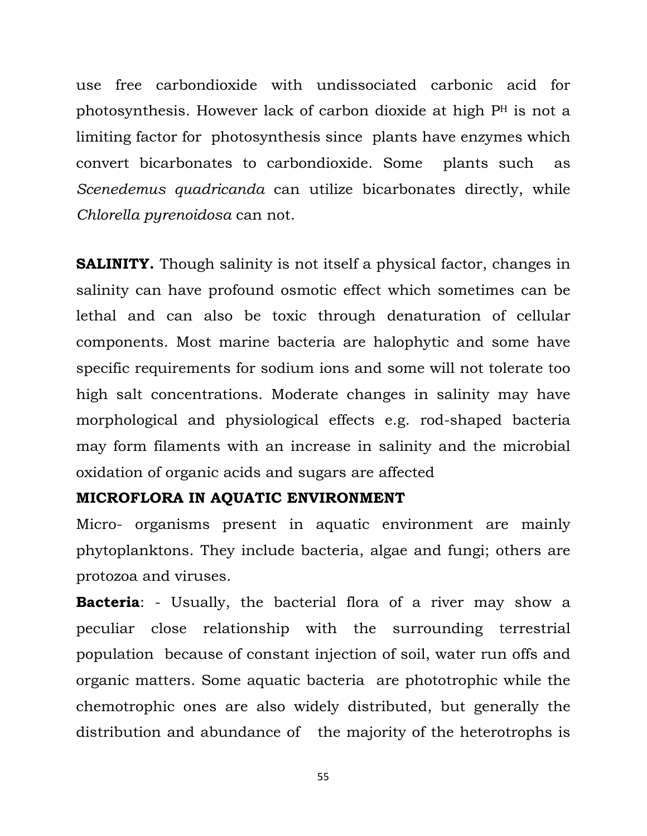use free carbondioxide with undissociated carbonic acid for photosynthesis. However lack of carbon dioxide at high PH is not a limiting factor for photosynthesis since plants have enzymes which convert bicarbonates to carbondioxide. Some plants such as *Scenedemus quadricanda* can utilize bicarbonates directly, while *Chlorella pyrenoidosa* can not.

**SALINITY.** Though salinity is not itself a physical factor, changes in salinity can have profound osmotic effect which sometimes can be lethal and can also be toxic through denaturation of cellular components. Most marine bacteria are halophytic and some have specific requirements for sodium ions and some will not tolerate too high salt concentrations. Moderate changes in salinity may have morphological and physiological effects e.g. rod-shaped bacteria may form filaments with an increase in salinity and the microbial oxidation of organic acids and sugars are affected

#### **MICROFLORA IN AQUATIC ENVIRONMENT**

Micro- organisms present in aquatic environment are mainly phytoplanktons. They include bacteria, algae and fungi; others are protozoa and viruses.

**Bacteria**: - Usually, the bacterial flora of a river may show a peculiar close relationship with the surrounding terrestrial population because of constant injection of soil, water run offs and organic matters. Some aquatic bacteria are phototrophic while the chemotrophic ones are also widely distributed, but generally the distribution and abundance of the majority of the heterotrophs is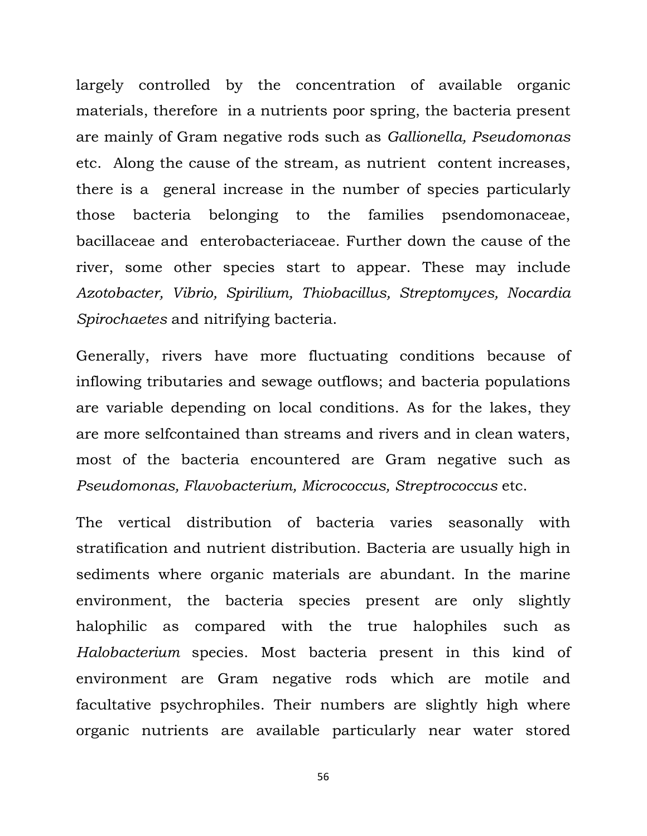largely controlled by the concentration of available organic materials, therefore in a nutrients poor spring, the bacteria present are mainly of Gram negative rods such as *Gallionella, Pseudomonas* etc. Along the cause of the stream, as nutrient content increases, there is a general increase in the number of species particularly those bacteria belonging to the families psendomonaceae, bacillaceae and enterobacteriaceae. Further down the cause of the river, some other species start to appear. These may include *Azotobacter, Vibrio, Spirilium, Thiobacillus, Streptomyces, Nocardia Spirochaetes* and nitrifying bacteria.

Generally, rivers have more fluctuating conditions because of inflowing tributaries and sewage outflows; and bacteria populations are variable depending on local conditions. As for the lakes, they are more selfcontained than streams and rivers and in clean waters, most of the bacteria encountered are Gram negative such as *Pseudomonas, Flavobacterium, Micrococcus, Streptrococcus* etc.

The vertical distribution of bacteria varies seasonally with stratification and nutrient distribution. Bacteria are usually high in sediments where organic materials are abundant. In the marine environment, the bacteria species present are only slightly halophilic as compared with the true halophiles such as *Halobacterium* species. Most bacteria present in this kind of environment are Gram negative rods which are motile and facultative psychrophiles. Their numbers are slightly high where organic nutrients are available particularly near water stored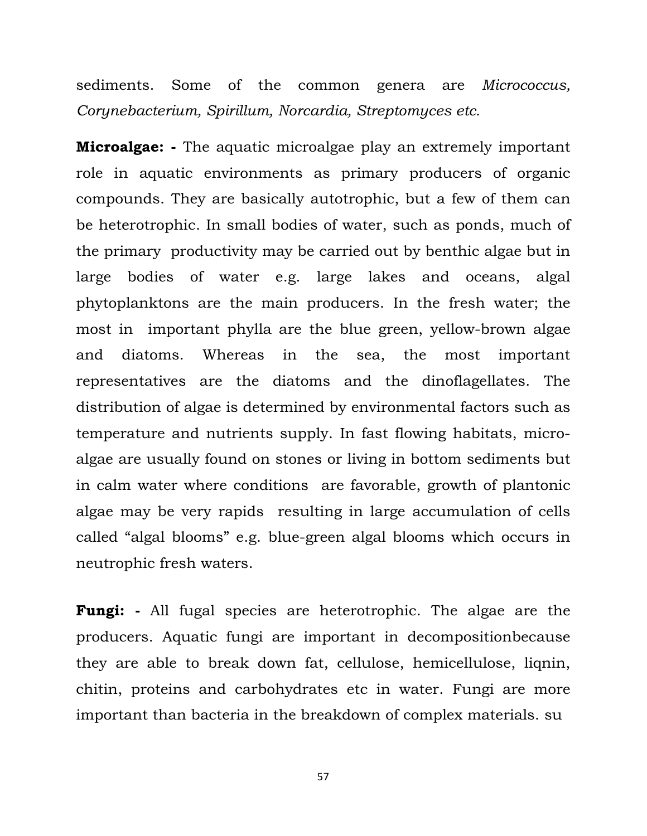sediments. Some of the common genera are *Micrococcus, Corynebacterium, Spirillum, Norcardia, Streptomyces etc.* 

**Microalgae: -** The aquatic microalgae play an extremely important role in aquatic environments as primary producers of organic compounds. They are basically autotrophic, but a few of them can be heterotrophic. In small bodies of water, such as ponds, much of the primary productivity may be carried out by benthic algae but in large bodies of water e.g. large lakes and oceans, algal phytoplanktons are the main producers. In the fresh water; the most in important phylla are the blue green, yellow-brown algae and diatoms. Whereas in the sea, the most important representatives are the diatoms and the dinoflagellates. The distribution of algae is determined by environmental factors such as temperature and nutrients supply. In fast flowing habitats, microalgae are usually found on stones or living in bottom sediments but in calm water where conditions are favorable, growth of plantonic algae may be very rapids resulting in large accumulation of cells called "algal blooms" e.g. blue-green algal blooms which occurs in neutrophic fresh waters.

**Fungi: -** All fugal species are heterotrophic. The algae are the producers. Aquatic fungi are important in decompositionbecause they are able to break down fat, cellulose, hemicellulose, liqnin, chitin, proteins and carbohydrates etc in water. Fungi are more important than bacteria in the breakdown of complex materials. su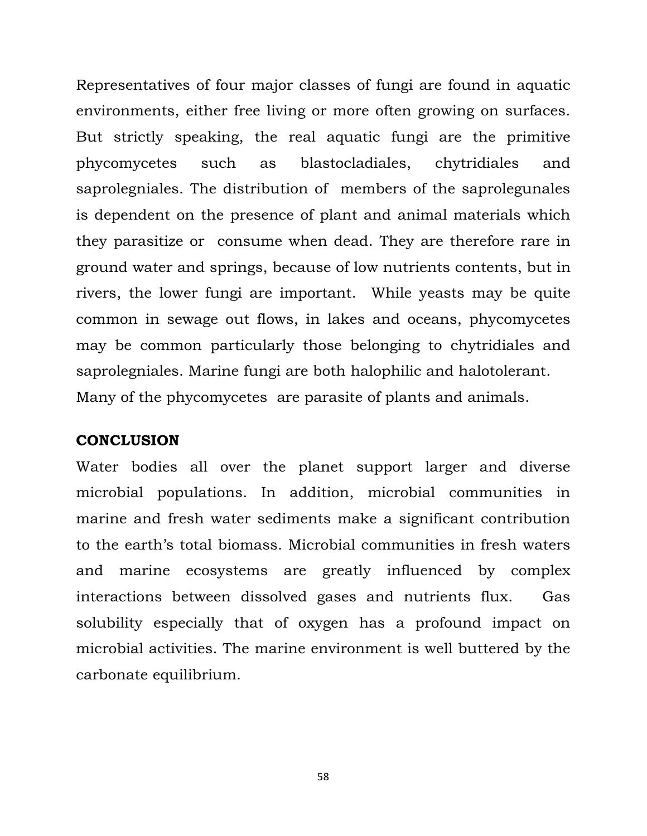Representatives of four major classes of fungi are found in aquatic environments, either free living or more often growing on surfaces. But strictly speaking, the real aquatic fungi are the primitive phycomycetes such as blastocladiales, chytridiales and saprolegniales. The distribution of members of the saprolegunales is dependent on the presence of plant and animal materials which they parasitize or consume when dead. They are therefore rare in ground water and springs, because of low nutrients contents, but in rivers, the lower fungi are important. While yeasts may be quite common in sewage out flows, in lakes and oceans, phycomycetes may be common particularly those belonging to chytridiales and saprolegniales. Marine fungi are both halophilic and halotolerant. Many of the phycomycetes are parasite of plants and animals.

#### **CONCLUSION**

Water bodies all over the planet support larger and diverse microbial populations. In addition, microbial communities in marine and fresh water sediments make a significant contribution to the earth's total biomass. Microbial communities in fresh waters and marine ecosystems are greatly influenced by complex interactions between dissolved gases and nutrients flux. Gas solubility especially that of oxygen has a profound impact on microbial activities. The marine environment is well buttered by the carbonate equilibrium.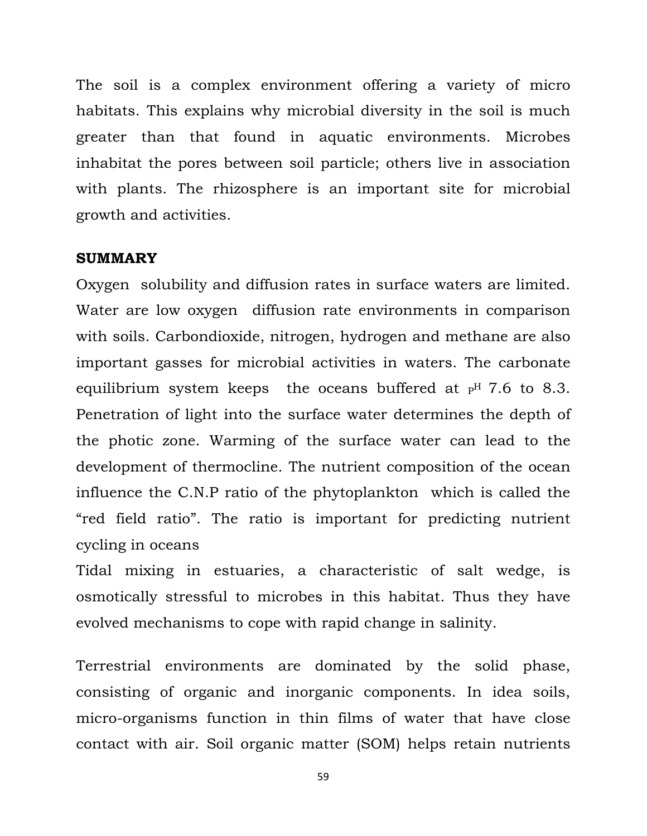The soil is a complex environment offering a variety of micro habitats. This explains why microbial diversity in the soil is much greater than that found in aquatic environments. Microbes inhabitat the pores between soil particle; others live in association with plants. The rhizosphere is an important site for microbial growth and activities.

#### **SUMMARY**

Oxygen solubility and diffusion rates in surface waters are limited. Water are low oxygen diffusion rate environments in comparison with soils. Carbondioxide, nitrogen, hydrogen and methane are also important gasses for microbial activities in waters. The carbonate equilibrium system keeps the oceans buffered at  $P$ <sup>H</sup> 7.6 to 8.3. Penetration of light into the surface water determines the depth of the photic zone. Warming of the surface water can lead to the development of thermocline. The nutrient composition of the ocean influence the C.N.P ratio of the phytoplankton which is called the "red field ratio". The ratio is important for predicting nutrient cycling in oceans

Tidal mixing in estuaries, a characteristic of salt wedge, is osmotically stressful to microbes in this habitat. Thus they have evolved mechanisms to cope with rapid change in salinity.

Terrestrial environments are dominated by the solid phase, consisting of organic and inorganic components. In idea soils, micro-organisms function in thin films of water that have close contact with air. Soil organic matter (SOM) helps retain nutrients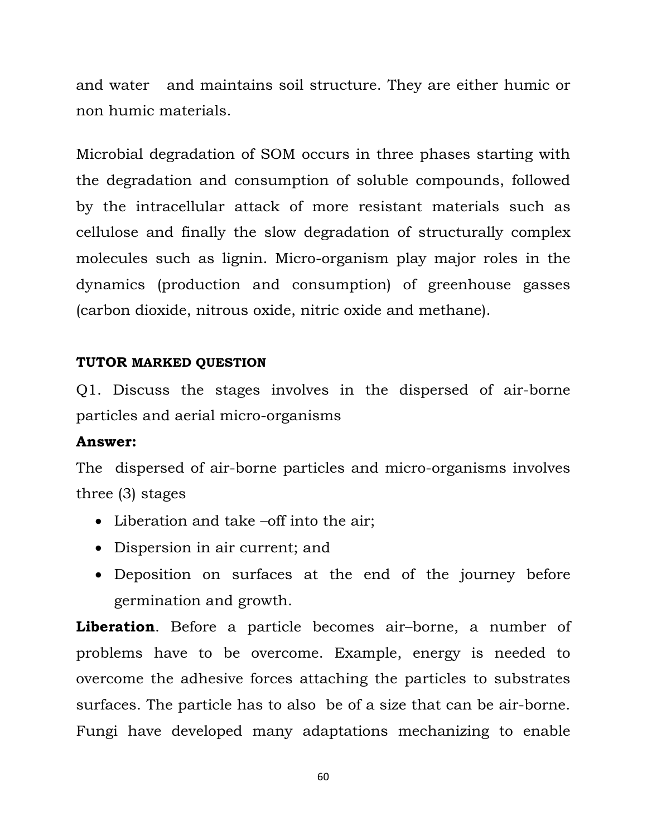and water and maintains soil structure. They are either humic or non humic materials.

Microbial degradation of SOM occurs in three phases starting with the degradation and consumption of soluble compounds, followed by the intracellular attack of more resistant materials such as cellulose and finally the slow degradation of structurally complex molecules such as lignin. Micro-organism play major roles in the dynamics (production and consumption) of greenhouse gasses (carbon dioxide, nitrous oxide, nitric oxide and methane).

#### **TUTOR MARKED QUESTION**

Q1. Discuss the stages involves in the dispersed of air-borne particles and aerial micro-organisms

#### **Answer:**

The dispersed of air-borne particles and micro-organisms involves three (3) stages

- Liberation and take –off into the air;
- Dispersion in air current; and
- Deposition on surfaces at the end of the journey before germination and growth.

**Liberation**. Before a particle becomes air–borne, a number of problems have to be overcome. Example, energy is needed to overcome the adhesive forces attaching the particles to substrates surfaces. The particle has to also be of a size that can be air-borne. Fungi have developed many adaptations mechanizing to enable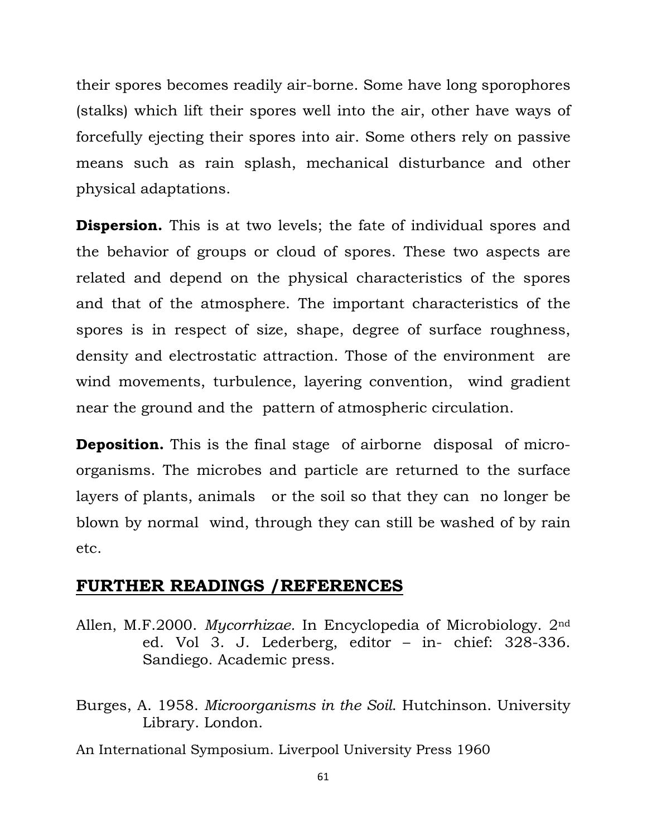their spores becomes readily air-borne. Some have long sporophores (stalks) which lift their spores well into the air, other have ways of forcefully ejecting their spores into air. Some others rely on passive means such as rain splash, mechanical disturbance and other physical adaptations.

**Dispersion.** This is at two levels; the fate of individual spores and the behavior of groups or cloud of spores. These two aspects are related and depend on the physical characteristics of the spores and that of the atmosphere. The important characteristics of the spores is in respect of size, shape, degree of surface roughness, density and electrostatic attraction. Those of the environment are wind movements, turbulence, layering convention, wind gradient near the ground and the pattern of atmospheric circulation.

**Deposition.** This is the final stage of airborne disposal of microorganisms. The microbes and particle are returned to the surface layers of plants, animals or the soil so that they can no longer be blown by normal wind, through they can still be washed of by rain etc.

### **FURTHER READINGS /REFERENCES**

- Allen, M.F.2000. *Mycorrhizae.* In Encyclopedia of Microbiology. 2nd ed. Vol 3. J. Lederberg, editor – in- chief: 328-336. Sandiego. Academic press.
- Burges, A. 1958. *Microorganisms in the Soil*. Hutchinson. University Library. London.

An International Symposium. Liverpool University Press 1960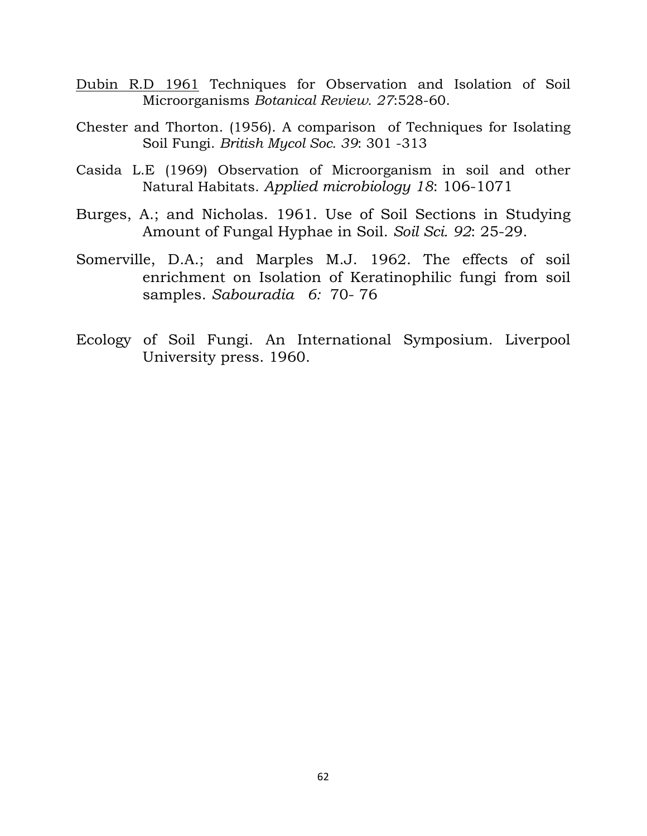- Dubin R.D 1961 Techniques for Observation and Isolation of Soil Microorganisms *Botanical Review. 27*:528-60.
- Chester and Thorton. (1956). A comparison of Techniques for Isolating Soil Fungi. *British Mycol Soc. 39*: 301 -313
- Casida L.E (1969) Observation of Microorganism in soil and other Natural Habitats. *Applied microbiology 18*: 106-1071
- Burges, A.; and Nicholas. 1961. Use of Soil Sections in Studying Amount of Fungal Hyphae in Soil. *Soil Sci. 92*: 25-29.
- Somerville, D.A.; and Marples M.J. 1962. The effects of soil enrichment on Isolation of Keratinophilic fungi from soil samples. *Sabouradia 6:* 70- 76
- Ecology of Soil Fungi. An International Symposium. Liverpool University press. 1960.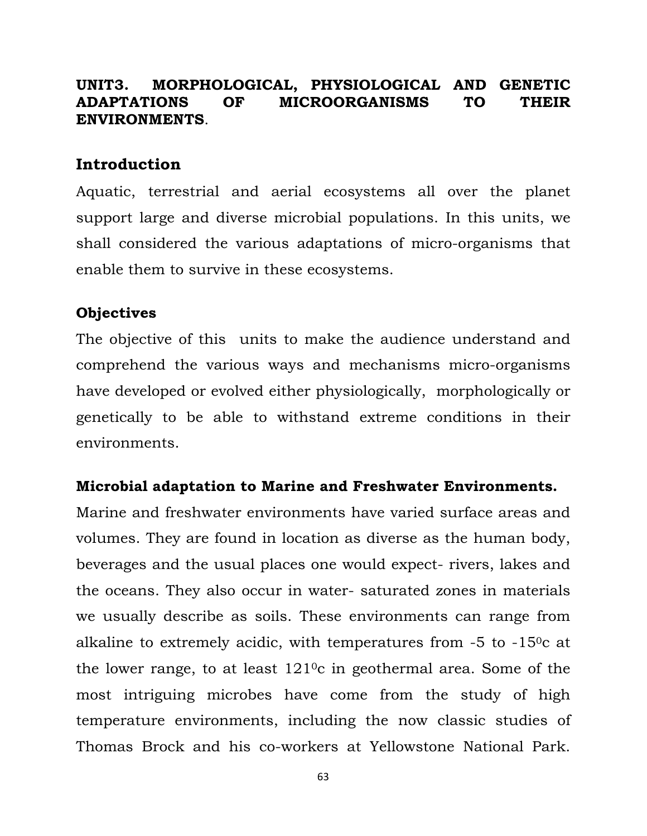### **UNIT3. MORPHOLOGICAL, PHYSIOLOGICAL AND GENETIC ADAPTATIONS OF MICROORGANISMS TO THEIR ENVIRONMENTS**.

### **Introduction**

Aquatic, terrestrial and aerial ecosystems all over the planet support large and diverse microbial populations. In this units, we shall considered the various adaptations of micro-organisms that enable them to survive in these ecosystems.

#### **Objectives**

The objective of this units to make the audience understand and comprehend the various ways and mechanisms micro-organisms have developed or evolved either physiologically, morphologically or genetically to be able to withstand extreme conditions in their environments.

#### **Microbial adaptation to Marine and Freshwater Environments.**

Marine and freshwater environments have varied surface areas and volumes. They are found in location as diverse as the human body, beverages and the usual places one would expect- rivers, lakes and the oceans. They also occur in water- saturated zones in materials we usually describe as soils. These environments can range from alkaline to extremely acidic, with temperatures from  $-5$  to  $-15^{\circ}$ c at the lower range, to at least  $121\degree$ c in geothermal area. Some of the most intriguing microbes have come from the study of high temperature environments, including the now classic studies of Thomas Brock and his co-workers at Yellowstone National Park.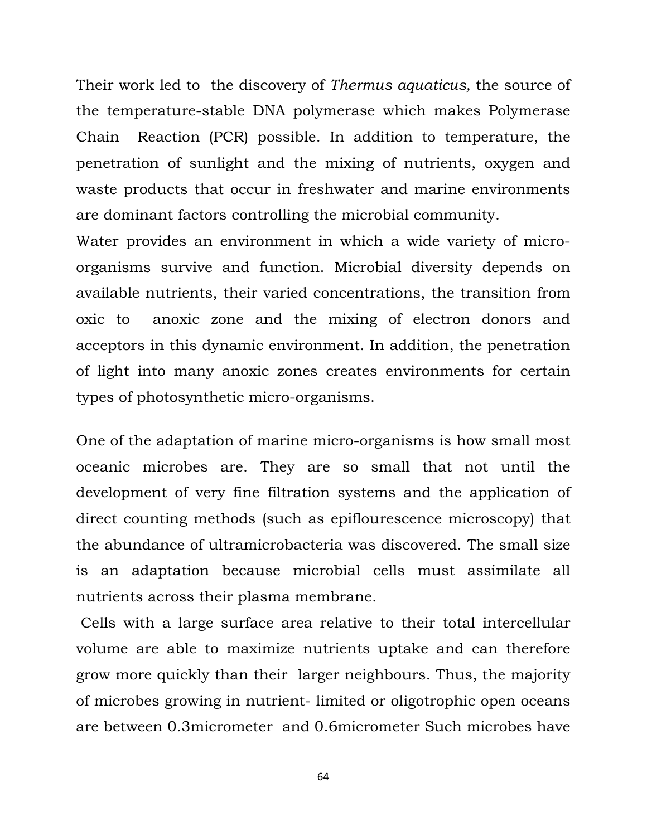Their work led to the discovery of *Thermus aquaticus,* the source of the temperature-stable DNA polymerase which makes Polymerase Chain Reaction (PCR) possible. In addition to temperature, the penetration of sunlight and the mixing of nutrients, oxygen and waste products that occur in freshwater and marine environments are dominant factors controlling the microbial community.

Water provides an environment in which a wide variety of microorganisms survive and function. Microbial diversity depends on available nutrients, their varied concentrations, the transition from oxic to anoxic zone and the mixing of electron donors and acceptors in this dynamic environment. In addition, the penetration of light into many anoxic zones creates environments for certain types of photosynthetic micro-organisms.

One of the adaptation of marine micro-organisms is how small most oceanic microbes are. They are so small that not until the development of very fine filtration systems and the application of direct counting methods (such as epiflourescence microscopy) that the abundance of ultramicrobacteria was discovered. The small size is an adaptation because microbial cells must assimilate all nutrients across their plasma membrane.

 Cells with a large surface area relative to their total intercellular volume are able to maximize nutrients uptake and can therefore grow more quickly than their larger neighbours. Thus, the majority of microbes growing in nutrient- limited or oligotrophic open oceans are between 0.3micrometer and 0.6micrometer Such microbes have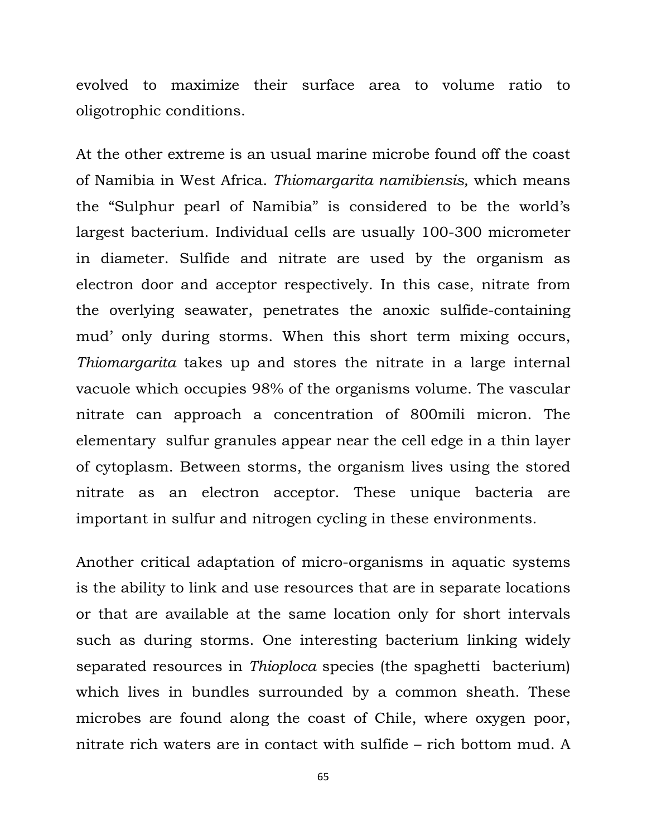evolved to maximize their surface area to volume ratio to oligotrophic conditions.

At the other extreme is an usual marine microbe found off the coast of Namibia in West Africa. *Thiomargarita namibiensis,* which means the "Sulphur pearl of Namibia" is considered to be the world's largest bacterium. Individual cells are usually 100-300 micrometer in diameter. Sulfide and nitrate are used by the organism as electron door and acceptor respectively. In this case, nitrate from the overlying seawater, penetrates the anoxic sulfide-containing mud' only during storms. When this short term mixing occurs, *Thiomargarita* takes up and stores the nitrate in a large internal vacuole which occupies 98% of the organisms volume. The vascular nitrate can approach a concentration of 800mili micron. The elementary sulfur granules appear near the cell edge in a thin layer of cytoplasm. Between storms, the organism lives using the stored nitrate as an electron acceptor. These unique bacteria are important in sulfur and nitrogen cycling in these environments.

Another critical adaptation of micro-organisms in aquatic systems is the ability to link and use resources that are in separate locations or that are available at the same location only for short intervals such as during storms. One interesting bacterium linking widely separated resources in *Thioploca* species (the spaghetti bacterium) which lives in bundles surrounded by a common sheath. These microbes are found along the coast of Chile, where oxygen poor, nitrate rich waters are in contact with sulfide – rich bottom mud. A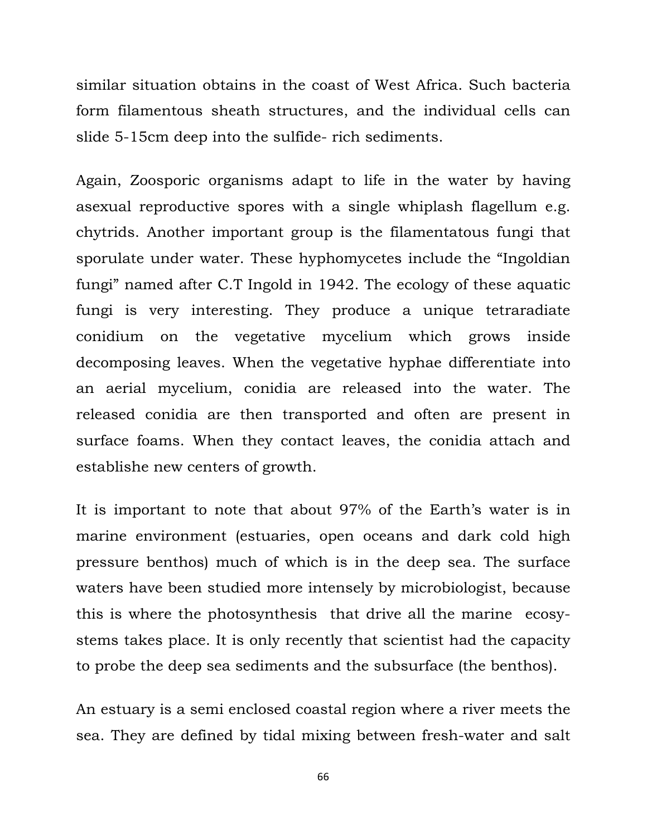similar situation obtains in the coast of West Africa. Such bacteria form filamentous sheath structures, and the individual cells can slide 5-15cm deep into the sulfide- rich sediments.

Again, Zoosporic organisms adapt to life in the water by having asexual reproductive spores with a single whiplash flagellum e.g. chytrids. Another important group is the filamentatous fungi that sporulate under water. These hyphomycetes include the "Ingoldian fungi" named after C.T Ingold in 1942. The ecology of these aquatic fungi is very interesting. They produce a unique tetraradiate conidium on the vegetative mycelium which grows inside decomposing leaves. When the vegetative hyphae differentiate into an aerial mycelium, conidia are released into the water. The released conidia are then transported and often are present in surface foams. When they contact leaves, the conidia attach and establishe new centers of growth.

It is important to note that about 97% of the Earth's water is in marine environment (estuaries, open oceans and dark cold high pressure benthos) much of which is in the deep sea. The surface waters have been studied more intensely by microbiologist, because this is where the photosynthesis that drive all the marine ecosystems takes place. It is only recently that scientist had the capacity to probe the deep sea sediments and the subsurface (the benthos).

An estuary is a semi enclosed coastal region where a river meets the sea. They are defined by tidal mixing between fresh-water and salt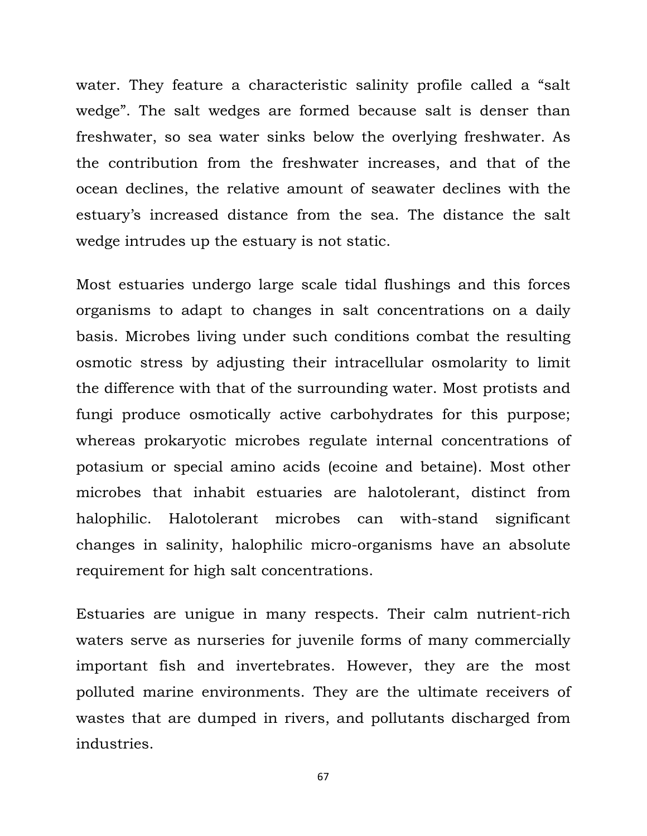water. They feature a characteristic salinity profile called a "salt wedge". The salt wedges are formed because salt is denser than freshwater, so sea water sinks below the overlying freshwater. As the contribution from the freshwater increases, and that of the ocean declines, the relative amount of seawater declines with the estuary's increased distance from the sea. The distance the salt wedge intrudes up the estuary is not static.

Most estuaries undergo large scale tidal flushings and this forces organisms to adapt to changes in salt concentrations on a daily basis. Microbes living under such conditions combat the resulting osmotic stress by adjusting their intracellular osmolarity to limit the difference with that of the surrounding water. Most protists and fungi produce osmotically active carbohydrates for this purpose; whereas prokaryotic microbes regulate internal concentrations of potasium or special amino acids (ecoine and betaine). Most other microbes that inhabit estuaries are halotolerant, distinct from halophilic. Halotolerant microbes can with-stand significant changes in salinity, halophilic micro-organisms have an absolute requirement for high salt concentrations.

Estuaries are unigue in many respects. Their calm nutrient-rich waters serve as nurseries for juvenile forms of many commercially important fish and invertebrates. However, they are the most polluted marine environments. They are the ultimate receivers of wastes that are dumped in rivers, and pollutants discharged from industries.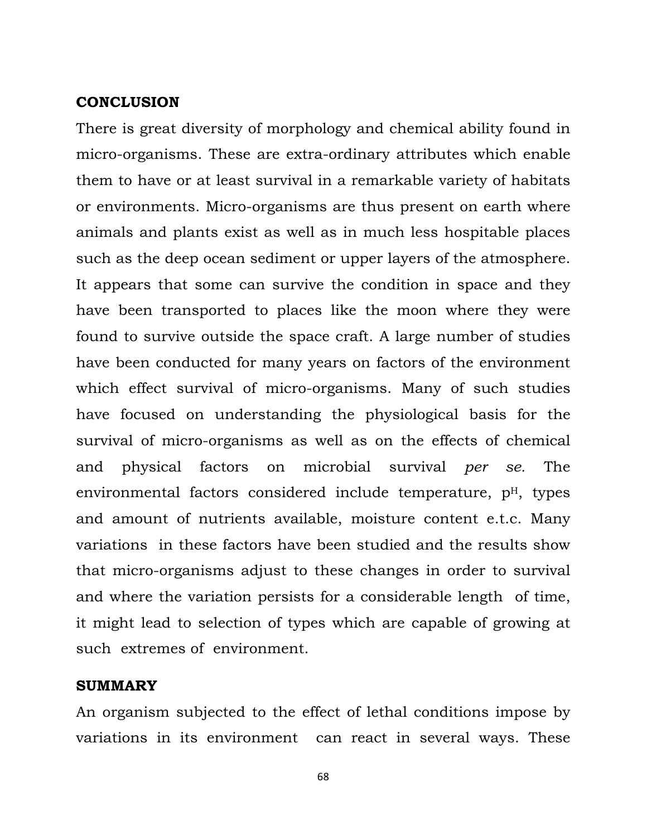#### **CONCLUSION**

There is great diversity of morphology and chemical ability found in micro-organisms. These are extra-ordinary attributes which enable them to have or at least survival in a remarkable variety of habitats or environments. Micro-organisms are thus present on earth where animals and plants exist as well as in much less hospitable places such as the deep ocean sediment or upper layers of the atmosphere. It appears that some can survive the condition in space and they have been transported to places like the moon where they were found to survive outside the space craft. A large number of studies have been conducted for many years on factors of the environment which effect survival of micro-organisms. Many of such studies have focused on understanding the physiological basis for the survival of micro-organisms as well as on the effects of chemical and physical factors on microbial survival *per se.* The environmental factors considered include temperature,  $p<sup>H</sup>$ , types and amount of nutrients available, moisture content e.t.c. Many variations in these factors have been studied and the results show that micro-organisms adjust to these changes in order to survival and where the variation persists for a considerable length of time, it might lead to selection of types which are capable of growing at such extremes of environment.

#### **SUMMARY**

An organism subjected to the effect of lethal conditions impose by variations in its environment can react in several ways. These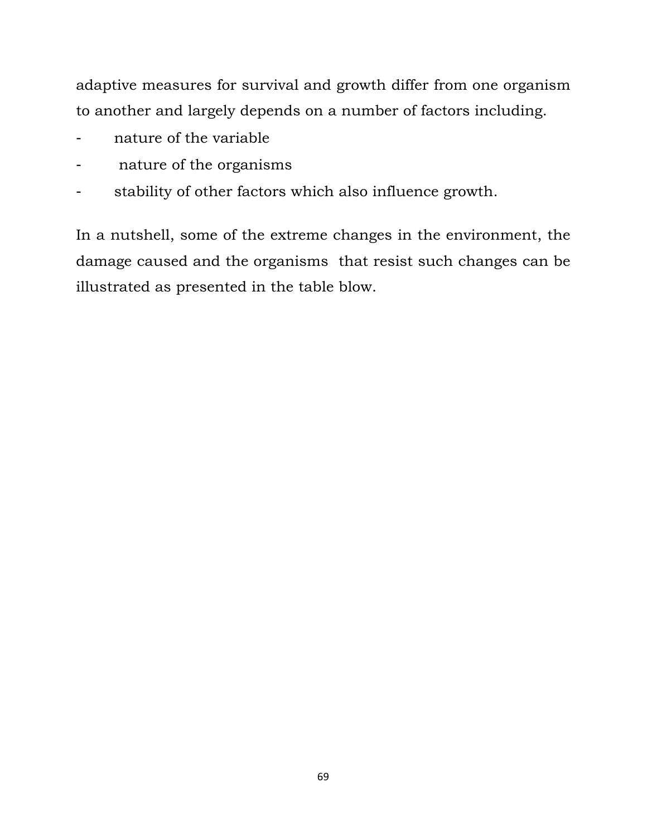adaptive measures for survival and growth differ from one organism to another and largely depends on a number of factors including.

- nature of the variable
- nature of the organisms
- stability of other factors which also influence growth.

In a nutshell, some of the extreme changes in the environment, the damage caused and the organisms that resist such changes can be illustrated as presented in the table blow.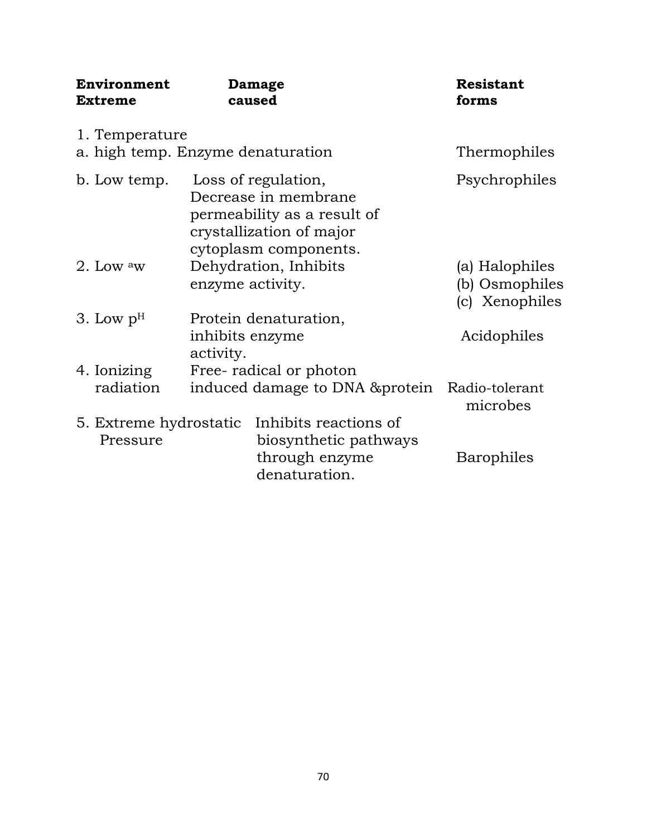| Environment<br><b>Extreme</b>                       | Damage<br>caused                                                                                                                |                                                                                   | <b>Resistant</b><br>forms                          |
|-----------------------------------------------------|---------------------------------------------------------------------------------------------------------------------------------|-----------------------------------------------------------------------------------|----------------------------------------------------|
| 1. Temperature<br>a. high temp. Enzyme denaturation |                                                                                                                                 |                                                                                   | Thermophiles                                       |
| b. Low temp.                                        | Loss of regulation,<br>Decrease in membrane<br>permeability as a result of<br>crystallization of major<br>cytoplasm components. |                                                                                   | Psychrophiles                                      |
| 2. Low $\mathrm{^aw}$                               | enzyme activity.                                                                                                                | Dehydration, Inhibits                                                             | (a) Halophiles<br>(b) Osmophiles<br>(c) Xenophiles |
| 3. Low $pH$                                         | inhibits enzyme<br>activity.                                                                                                    | Protein denaturation,                                                             | Acidophiles                                        |
| 4. Ionizing<br>radiation                            |                                                                                                                                 | Free-radical or photon<br>induced damage to DNA & protein                         | Radio-tolerant<br>microbes                         |
| 5. Extreme hydrostatic<br>Pressure                  |                                                                                                                                 | Inhibits reactions of<br>biosynthetic pathways<br>through enzyme<br>denaturation. | Barophiles                                         |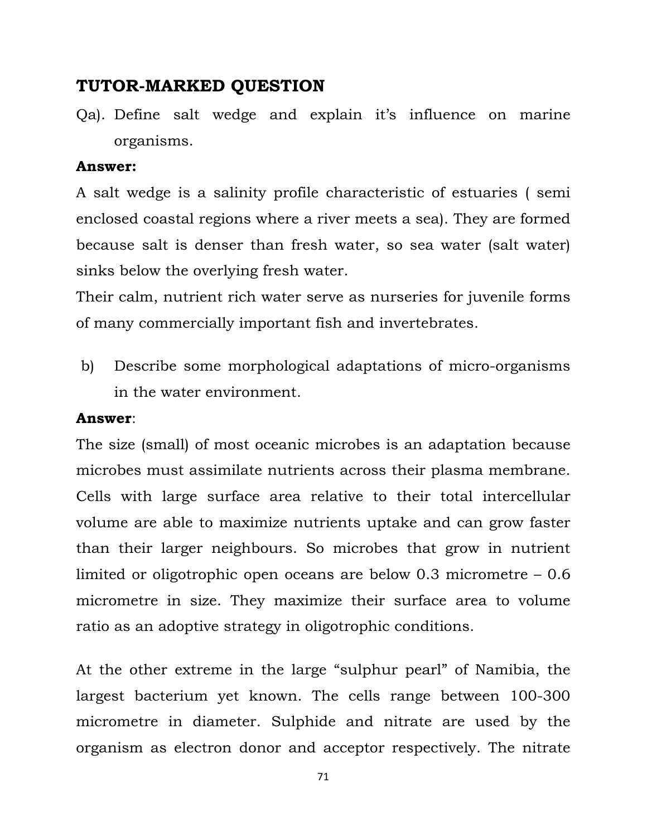# **TUTOR-MARKED QUESTION**

Qa). Define salt wedge and explain it's influence on marine organisms.

#### **Answer:**

A salt wedge is a salinity profile characteristic of estuaries ( semi enclosed coastal regions where a river meets a sea). They are formed because salt is denser than fresh water, so sea water (salt water) sinks below the overlying fresh water.

Their calm, nutrient rich water serve as nurseries for juvenile forms of many commercially important fish and invertebrates.

 b) Describe some morphological adaptations of micro-organisms in the water environment.

#### **Answer**:

The size (small) of most oceanic microbes is an adaptation because microbes must assimilate nutrients across their plasma membrane. Cells with large surface area relative to their total intercellular volume are able to maximize nutrients uptake and can grow faster than their larger neighbours. So microbes that grow in nutrient limited or oligotrophic open oceans are below 0.3 micrometre – 0.6 micrometre in size. They maximize their surface area to volume ratio as an adoptive strategy in oligotrophic conditions.

At the other extreme in the large "sulphur pearl" of Namibia, the largest bacterium yet known. The cells range between 100-300 micrometre in diameter. Sulphide and nitrate are used by the organism as electron donor and acceptor respectively. The nitrate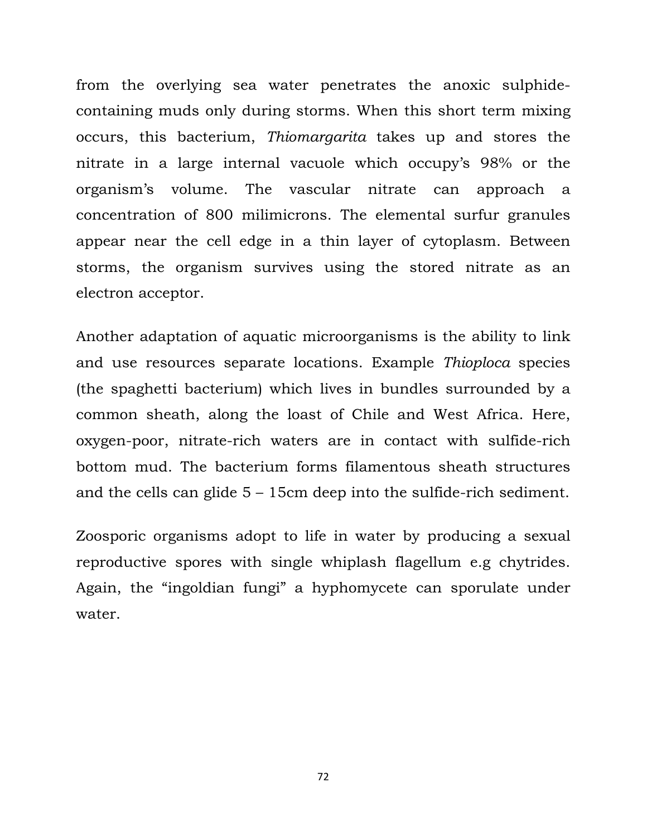from the overlying sea water penetrates the anoxic sulphidecontaining muds only during storms. When this short term mixing occurs, this bacterium, *Thiomargarita* takes up and stores the nitrate in a large internal vacuole which occupy's 98% or the organism's volume. The vascular nitrate can approach a concentration of 800 milimicrons. The elemental surfur granules appear near the cell edge in a thin layer of cytoplasm. Between storms, the organism survives using the stored nitrate as an electron acceptor.

Another adaptation of aquatic microorganisms is the ability to link and use resources separate locations. Example *Thioploca* species (the spaghetti bacterium) which lives in bundles surrounded by a common sheath, along the loast of Chile and West Africa. Here, oxygen-poor, nitrate-rich waters are in contact with sulfide-rich bottom mud. The bacterium forms filamentous sheath structures and the cells can glide 5 – 15cm deep into the sulfide-rich sediment.

Zoosporic organisms adopt to life in water by producing a sexual reproductive spores with single whiplash flagellum e.g chytrides. Again, the "ingoldian fungi" a hyphomycete can sporulate under water.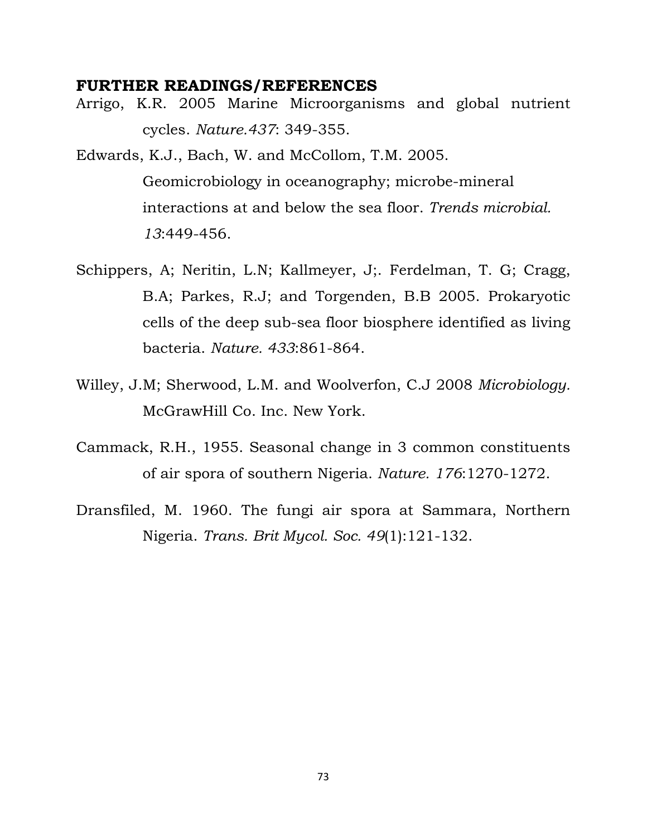## **FURTHER READINGS/REFERENCES**

Arrigo, K.R. 2005 Marine Microorganisms and global nutrient cycles. *Nature.437*: 349-355.

Edwards, K.J., Bach, W. and McCollom, T.M. 2005. Geomicrobiology in oceanography; microbe-mineral interactions at and below the sea floor. *Trends microbial. 13*:449-456.

- Schippers, A; Neritin, L.N; Kallmeyer, J;. Ferdelman, T. G; Cragg, B.A; Parkes, R.J; and Torgenden, B.B 2005. Prokaryotic cells of the deep sub-sea floor biosphere identified as living bacteria. *Nature. 433*:861-864.
- Willey, J.M; Sherwood, L.M. and Woolverfon, C.J 2008 *Microbiology.* McGrawHill Co. Inc. New York.
- Cammack, R.H., 1955. Seasonal change in 3 common constituents of air spora of southern Nigeria. *Nature. 176*:1270-1272.
- Dransfiled, M. 1960. The fungi air spora at Sammara, Northern Nigeria. *Trans. Brit Mycol. Soc. 49*(1):121-132.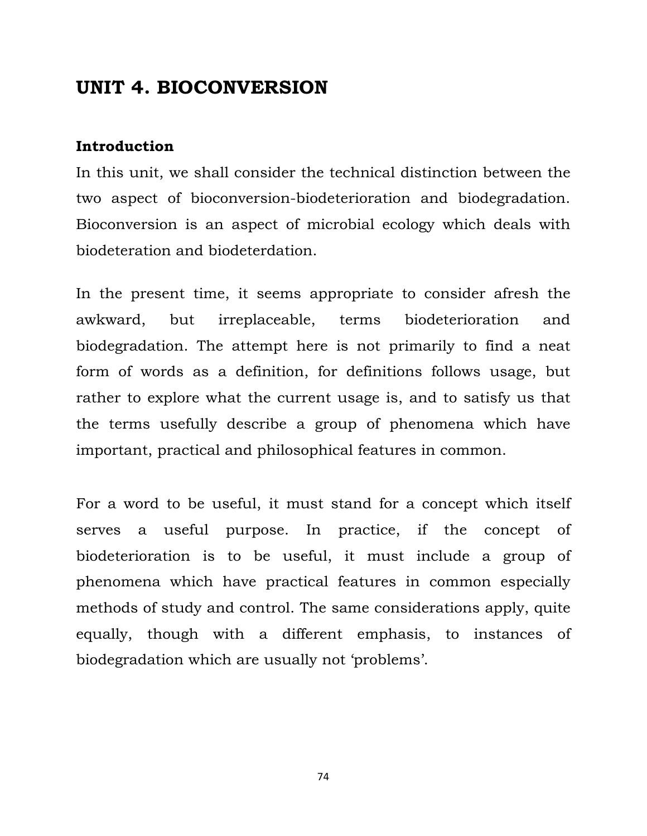# **UNIT 4. BIOCONVERSION**

## **Introduction**

In this unit, we shall consider the technical distinction between the two aspect of bioconversion-biodeterioration and biodegradation. Bioconversion is an aspect of microbial ecology which deals with biodeteration and biodeterdation.

In the present time, it seems appropriate to consider afresh the awkward, but irreplaceable, terms biodeterioration and biodegradation. The attempt here is not primarily to find a neat form of words as a definition, for definitions follows usage, but rather to explore what the current usage is, and to satisfy us that the terms usefully describe a group of phenomena which have important, practical and philosophical features in common.

For a word to be useful, it must stand for a concept which itself serves a useful purpose. In practice, if the concept of biodeterioration is to be useful, it must include a group of phenomena which have practical features in common especially methods of study and control. The same considerations apply, quite equally, though with a different emphasis, to instances of biodegradation which are usually not 'problems'.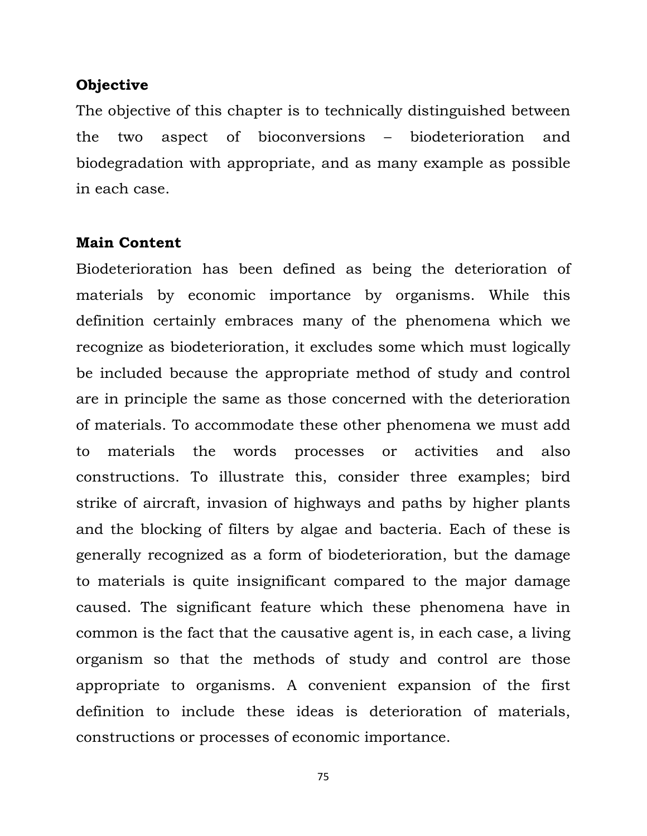#### **Objective**

The objective of this chapter is to technically distinguished between the two aspect of bioconversions – biodeterioration and biodegradation with appropriate, and as many example as possible in each case.

## **Main Content**

Biodeterioration has been defined as being the deterioration of materials by economic importance by organisms. While this definition certainly embraces many of the phenomena which we recognize as biodeterioration, it excludes some which must logically be included because the appropriate method of study and control are in principle the same as those concerned with the deterioration of materials. To accommodate these other phenomena we must add to materials the words processes or activities and also constructions. To illustrate this, consider three examples; bird strike of aircraft, invasion of highways and paths by higher plants and the blocking of filters by algae and bacteria. Each of these is generally recognized as a form of biodeterioration, but the damage to materials is quite insignificant compared to the major damage caused. The significant feature which these phenomena have in common is the fact that the causative agent is, in each case, a living organism so that the methods of study and control are those appropriate to organisms. A convenient expansion of the first definition to include these ideas is deterioration of materials, constructions or processes of economic importance.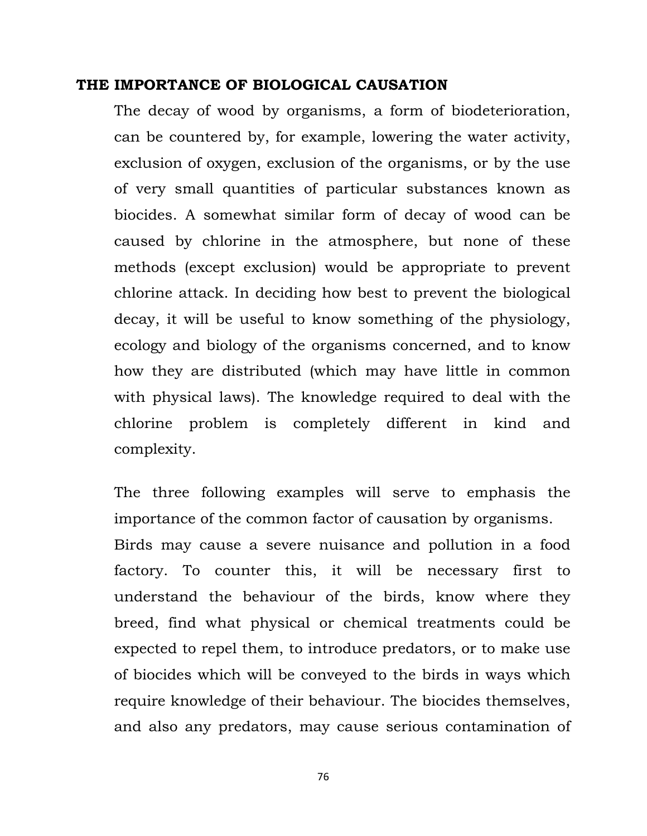#### **THE IMPORTANCE OF BIOLOGICAL CAUSATION**

The decay of wood by organisms, a form of biodeterioration, can be countered by, for example, lowering the water activity, exclusion of oxygen, exclusion of the organisms, or by the use of very small quantities of particular substances known as biocides. A somewhat similar form of decay of wood can be caused by chlorine in the atmosphere, but none of these methods (except exclusion) would be appropriate to prevent chlorine attack. In deciding how best to prevent the biological decay, it will be useful to know something of the physiology, ecology and biology of the organisms concerned, and to know how they are distributed (which may have little in common with physical laws). The knowledge required to deal with the chlorine problem is completely different in kind and complexity.

The three following examples will serve to emphasis the importance of the common factor of causation by organisms. Birds may cause a severe nuisance and pollution in a food factory. To counter this, it will be necessary first to understand the behaviour of the birds, know where they breed, find what physical or chemical treatments could be expected to repel them, to introduce predators, or to make use of biocides which will be conveyed to the birds in ways which require knowledge of their behaviour. The biocides themselves, and also any predators, may cause serious contamination of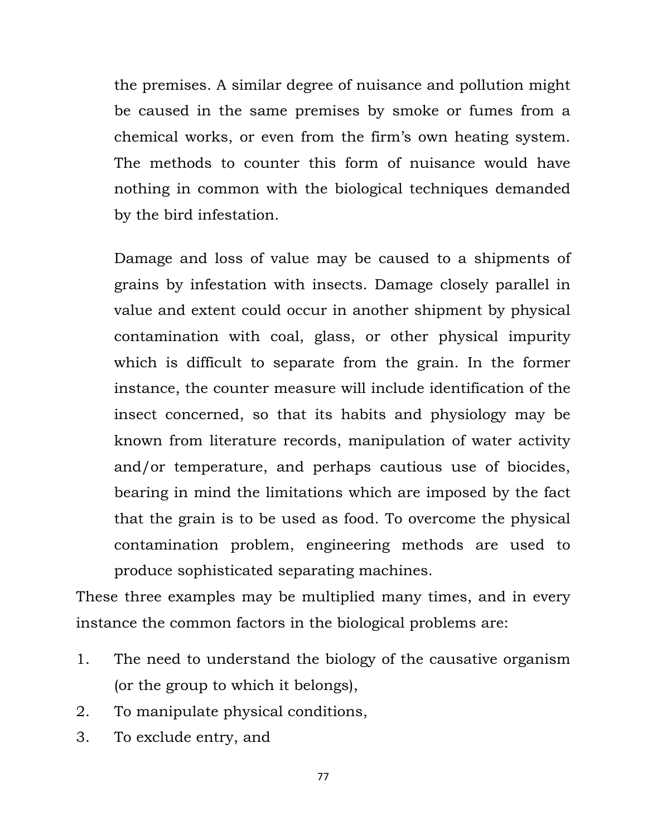the premises. A similar degree of nuisance and pollution might be caused in the same premises by smoke or fumes from a chemical works, or even from the firm's own heating system. The methods to counter this form of nuisance would have nothing in common with the biological techniques demanded by the bird infestation.

 Damage and loss of value may be caused to a shipments of grains by infestation with insects. Damage closely parallel in value and extent could occur in another shipment by physical contamination with coal, glass, or other physical impurity which is difficult to separate from the grain. In the former instance, the counter measure will include identification of the insect concerned, so that its habits and physiology may be known from literature records, manipulation of water activity and/or temperature, and perhaps cautious use of biocides, bearing in mind the limitations which are imposed by the fact that the grain is to be used as food. To overcome the physical contamination problem, engineering methods are used to produce sophisticated separating machines.

These three examples may be multiplied many times, and in every instance the common factors in the biological problems are:

- 1. The need to understand the biology of the causative organism (or the group to which it belongs),
- 2. To manipulate physical conditions,
- 3. To exclude entry, and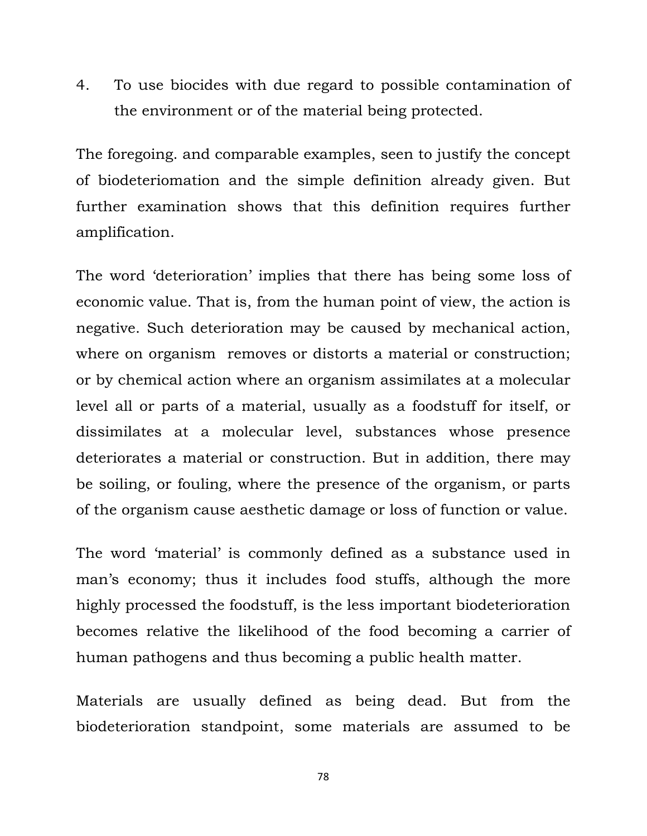4. To use biocides with due regard to possible contamination of the environment or of the material being protected.

The foregoing. and comparable examples, seen to justify the concept of biodeteriomation and the simple definition already given. But further examination shows that this definition requires further amplification.

The word 'deterioration' implies that there has being some loss of economic value. That is, from the human point of view, the action is negative. Such deterioration may be caused by mechanical action, where on organism removes or distorts a material or construction; or by chemical action where an organism assimilates at a molecular level all or parts of a material, usually as a foodstuff for itself, or dissimilates at a molecular level, substances whose presence deteriorates a material or construction. But in addition, there may be soiling, or fouling, where the presence of the organism, or parts of the organism cause aesthetic damage or loss of function or value.

The word 'material' is commonly defined as a substance used in man's economy; thus it includes food stuffs, although the more highly processed the foodstuff, is the less important biodeterioration becomes relative the likelihood of the food becoming a carrier of human pathogens and thus becoming a public health matter.

Materials are usually defined as being dead. But from the biodeterioration standpoint, some materials are assumed to be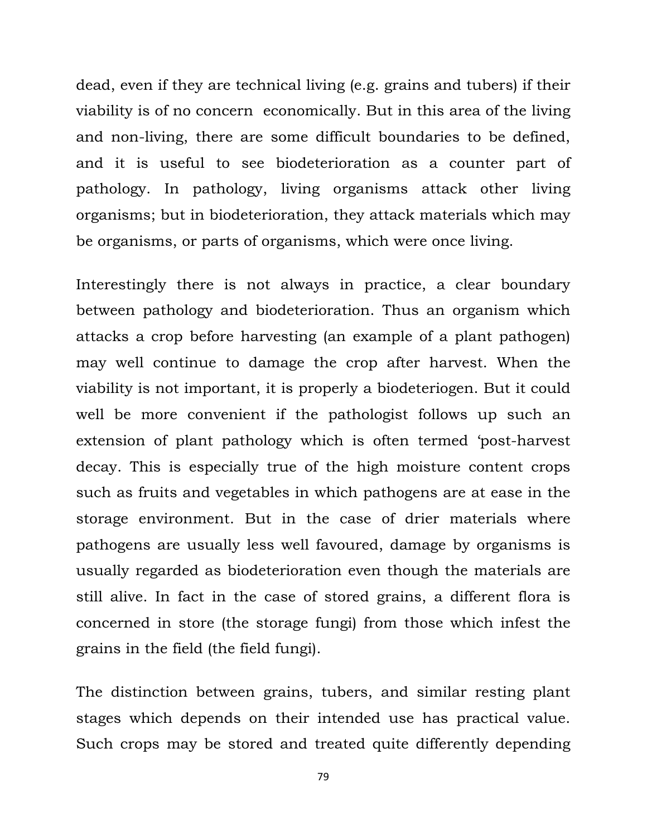dead, even if they are technical living (e.g. grains and tubers) if their viability is of no concern economically. But in this area of the living and non-living, there are some difficult boundaries to be defined, and it is useful to see biodeterioration as a counter part of pathology. In pathology, living organisms attack other living organisms; but in biodeterioration, they attack materials which may be organisms, or parts of organisms, which were once living.

Interestingly there is not always in practice, a clear boundary between pathology and biodeterioration. Thus an organism which attacks a crop before harvesting (an example of a plant pathogen) may well continue to damage the crop after harvest. When the viability is not important, it is properly a biodeteriogen. But it could well be more convenient if the pathologist follows up such an extension of plant pathology which is often termed 'post-harvest decay. This is especially true of the high moisture content crops such as fruits and vegetables in which pathogens are at ease in the storage environment. But in the case of drier materials where pathogens are usually less well favoured, damage by organisms is usually regarded as biodeterioration even though the materials are still alive. In fact in the case of stored grains, a different flora is concerned in store (the storage fungi) from those which infest the grains in the field (the field fungi).

The distinction between grains, tubers, and similar resting plant stages which depends on their intended use has practical value. Such crops may be stored and treated quite differently depending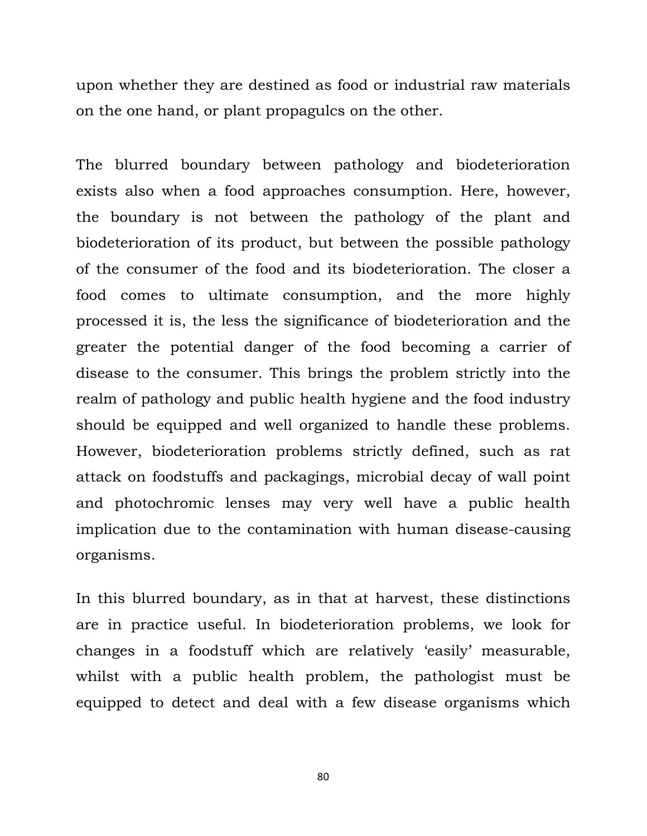upon whether they are destined as food or industrial raw materials on the one hand, or plant propagulcs on the other.

The blurred boundary between pathology and biodeterioration exists also when a food approaches consumption. Here, however, the boundary is not between the pathology of the plant and biodeterioration of its product, but between the possible pathology of the consumer of the food and its biodeterioration. The closer a food comes to ultimate consumption, and the more highly processed it is, the less the significance of biodeterioration and the greater the potential danger of the food becoming a carrier of disease to the consumer. This brings the problem strictly into the realm of pathology and public health hygiene and the food industry should be equipped and well organized to handle these problems. However, biodeterioration problems strictly defined, such as rat attack on foodstuffs and packagings, microbial decay of wall point and photochromic lenses may very well have a public health implication due to the contamination with human disease-causing organisms.

In this blurred boundary, as in that at harvest, these distinctions are in practice useful. In biodeterioration problems, we look for changes in a foodstuff which are relatively 'easily' measurable, whilst with a public health problem, the pathologist must be equipped to detect and deal with a few disease organisms which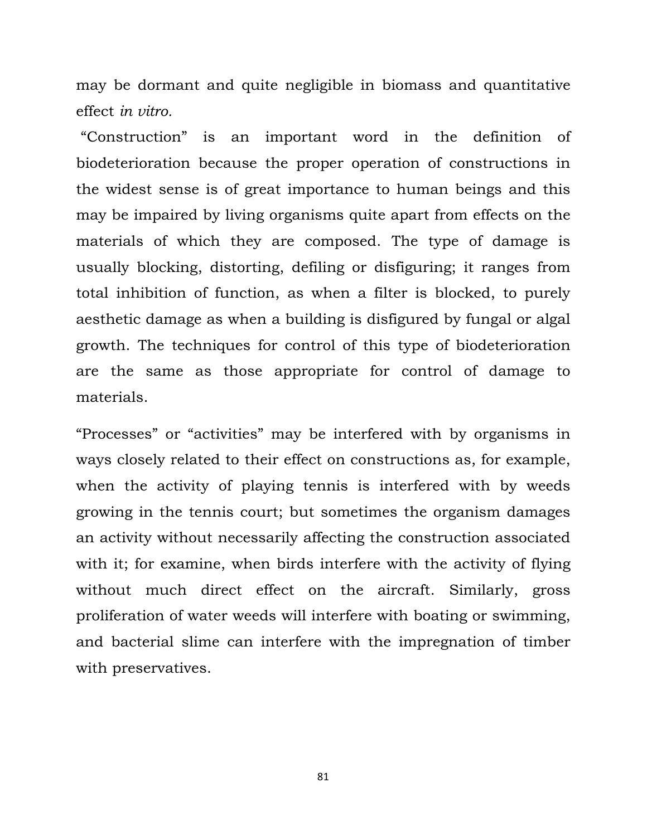may be dormant and quite negligible in biomass and quantitative effect *in vitro.*

 "Construction" is an important word in the definition of biodeterioration because the proper operation of constructions in the widest sense is of great importance to human beings and this may be impaired by living organisms quite apart from effects on the materials of which they are composed. The type of damage is usually blocking, distorting, defiling or disfiguring; it ranges from total inhibition of function, as when a filter is blocked, to purely aesthetic damage as when a building is disfigured by fungal or algal growth. The techniques for control of this type of biodeterioration are the same as those appropriate for control of damage to materials.

"Processes" or "activities" may be interfered with by organisms in ways closely related to their effect on constructions as, for example, when the activity of playing tennis is interfered with by weeds growing in the tennis court; but sometimes the organism damages an activity without necessarily affecting the construction associated with it; for examine, when birds interfere with the activity of flying without much direct effect on the aircraft. Similarly, gross proliferation of water weeds will interfere with boating or swimming, and bacterial slime can interfere with the impregnation of timber with preservatives.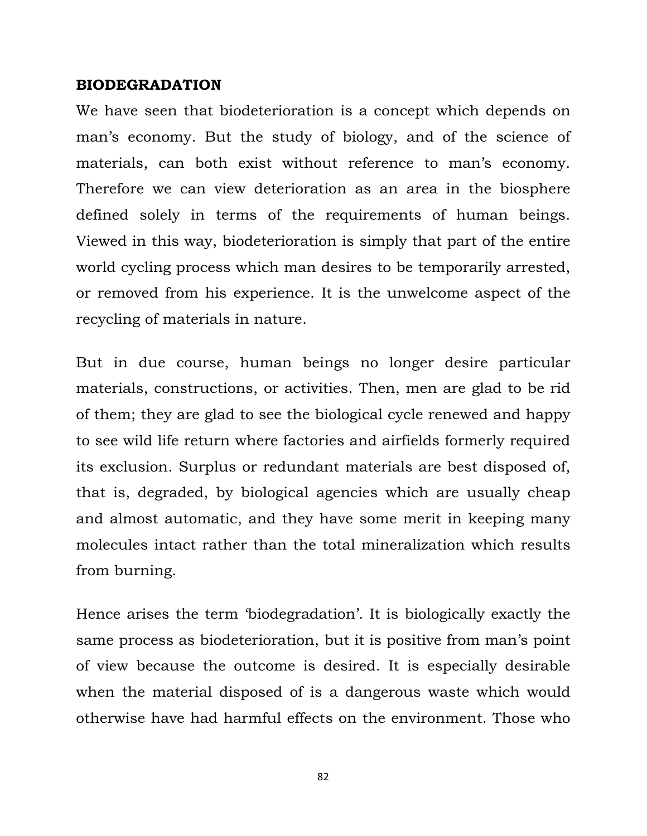#### **BIODEGRADATION**

We have seen that biodeterioration is a concept which depends on man's economy. But the study of biology, and of the science of materials, can both exist without reference to man's economy. Therefore we can view deterioration as an area in the biosphere defined solely in terms of the requirements of human beings. Viewed in this way, biodeterioration is simply that part of the entire world cycling process which man desires to be temporarily arrested, or removed from his experience. It is the unwelcome aspect of the recycling of materials in nature.

But in due course, human beings no longer desire particular materials, constructions, or activities. Then, men are glad to be rid of them; they are glad to see the biological cycle renewed and happy to see wild life return where factories and airfields formerly required its exclusion. Surplus or redundant materials are best disposed of, that is, degraded, by biological agencies which are usually cheap and almost automatic, and they have some merit in keeping many molecules intact rather than the total mineralization which results from burning.

Hence arises the term 'biodegradation'. It is biologically exactly the same process as biodeterioration, but it is positive from man's point of view because the outcome is desired. It is especially desirable when the material disposed of is a dangerous waste which would otherwise have had harmful effects on the environment. Those who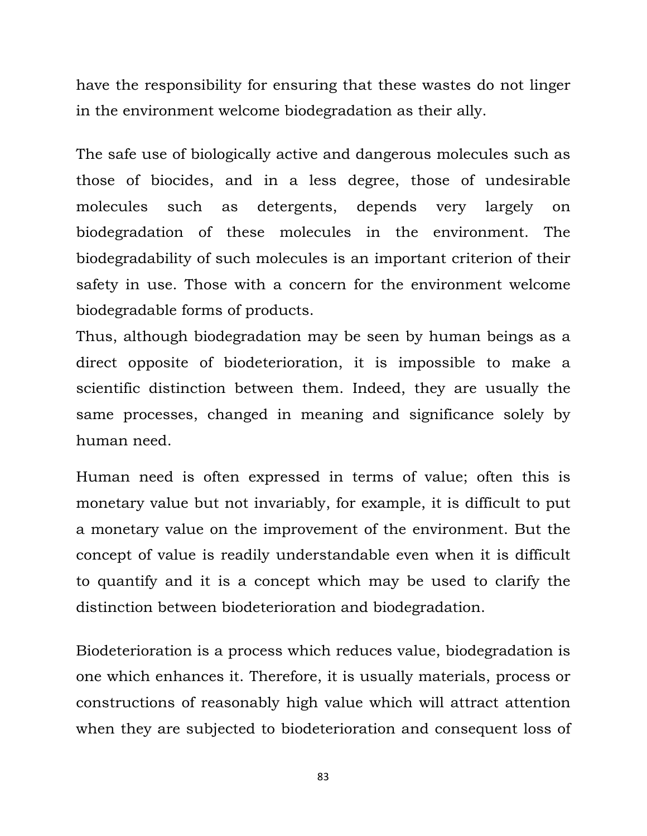have the responsibility for ensuring that these wastes do not linger in the environment welcome biodegradation as their ally.

The safe use of biologically active and dangerous molecules such as those of biocides, and in a less degree, those of undesirable molecules such as detergents, depends very largely on biodegradation of these molecules in the environment. The biodegradability of such molecules is an important criterion of their safety in use. Those with a concern for the environment welcome biodegradable forms of products.

Thus, although biodegradation may be seen by human beings as a direct opposite of biodeterioration, it is impossible to make a scientific distinction between them. Indeed, they are usually the same processes, changed in meaning and significance solely by human need.

Human need is often expressed in terms of value; often this is monetary value but not invariably, for example, it is difficult to put a monetary value on the improvement of the environment. But the concept of value is readily understandable even when it is difficult to quantify and it is a concept which may be used to clarify the distinction between biodeterioration and biodegradation.

Biodeterioration is a process which reduces value, biodegradation is one which enhances it. Therefore, it is usually materials, process or constructions of reasonably high value which will attract attention when they are subjected to biodeterioration and consequent loss of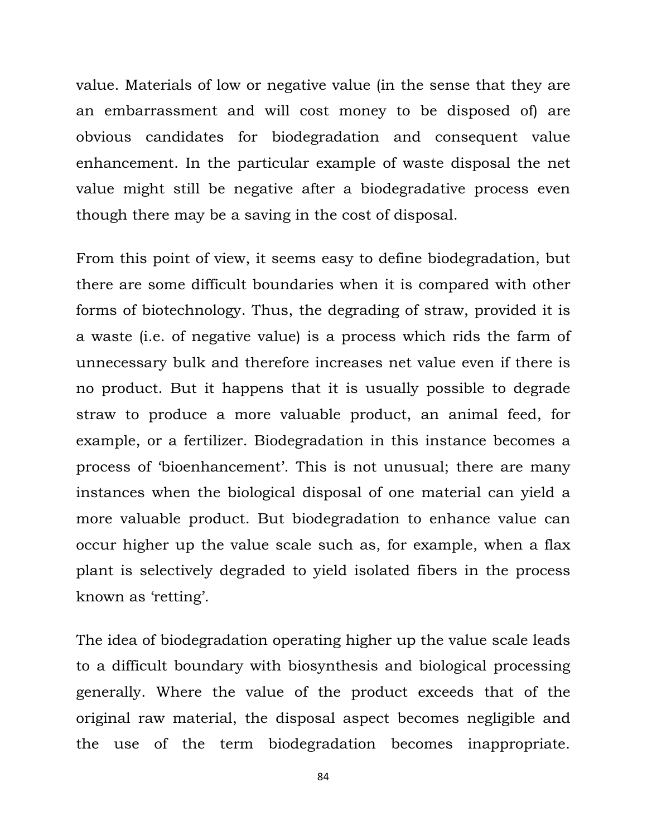value. Materials of low or negative value (in the sense that they are an embarrassment and will cost money to be disposed of) are obvious candidates for biodegradation and consequent value enhancement. In the particular example of waste disposal the net value might still be negative after a biodegradative process even though there may be a saving in the cost of disposal.

From this point of view, it seems easy to define biodegradation, but there are some difficult boundaries when it is compared with other forms of biotechnology. Thus, the degrading of straw, provided it is a waste (i.e. of negative value) is a process which rids the farm of unnecessary bulk and therefore increases net value even if there is no product. But it happens that it is usually possible to degrade straw to produce a more valuable product, an animal feed, for example, or a fertilizer. Biodegradation in this instance becomes a process of 'bioenhancement'. This is not unusual; there are many instances when the biological disposal of one material can yield a more valuable product. But biodegradation to enhance value can occur higher up the value scale such as, for example, when a flax plant is selectively degraded to yield isolated fibers in the process known as 'retting'.

The idea of biodegradation operating higher up the value scale leads to a difficult boundary with biosynthesis and biological processing generally. Where the value of the product exceeds that of the original raw material, the disposal aspect becomes negligible and the use of the term biodegradation becomes inappropriate.

<sup>84</sup>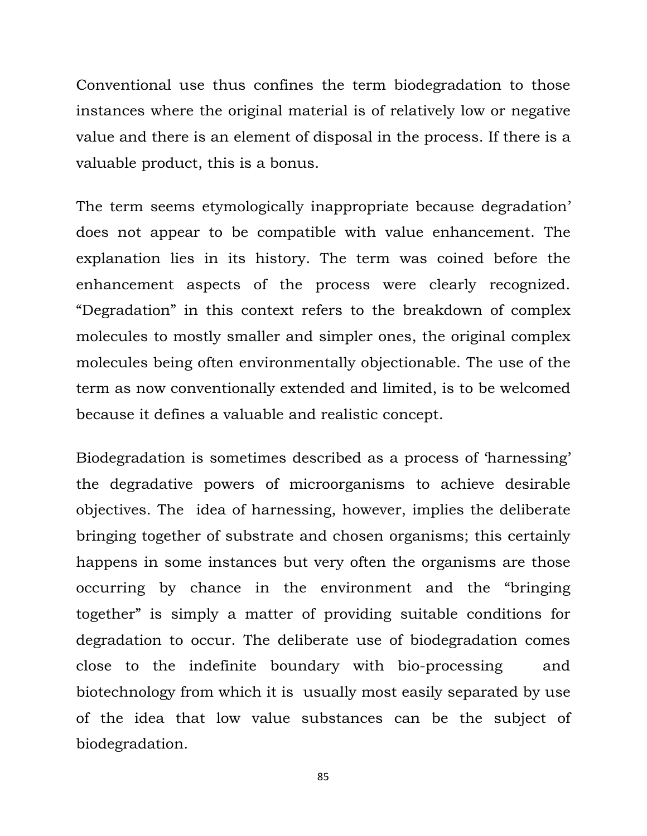Conventional use thus confines the term biodegradation to those instances where the original material is of relatively low or negative value and there is an element of disposal in the process. If there is a valuable product, this is a bonus.

The term seems etymologically inappropriate because degradation' does not appear to be compatible with value enhancement. The explanation lies in its history. The term was coined before the enhancement aspects of the process were clearly recognized. "Degradation" in this context refers to the breakdown of complex molecules to mostly smaller and simpler ones, the original complex molecules being often environmentally objectionable. The use of the term as now conventionally extended and limited, is to be welcomed because it defines a valuable and realistic concept.

Biodegradation is sometimes described as a process of 'harnessing' the degradative powers of microorganisms to achieve desirable objectives. The idea of harnessing, however, implies the deliberate bringing together of substrate and chosen organisms; this certainly happens in some instances but very often the organisms are those occurring by chance in the environment and the "bringing together" is simply a matter of providing suitable conditions for degradation to occur. The deliberate use of biodegradation comes close to the indefinite boundary with bio-processing and biotechnology from which it is usually most easily separated by use of the idea that low value substances can be the subject of biodegradation.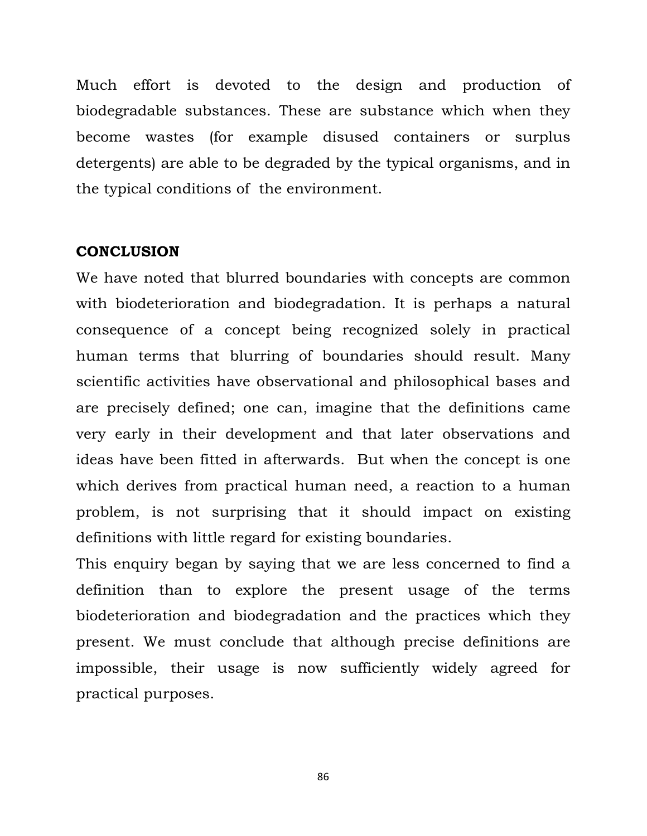Much effort is devoted to the design and production of biodegradable substances. These are substance which when they become wastes (for example disused containers or surplus detergents) are able to be degraded by the typical organisms, and in the typical conditions of the environment.

#### **CONCLUSION**

We have noted that blurred boundaries with concepts are common with biodeterioration and biodegradation. It is perhaps a natural consequence of a concept being recognized solely in practical human terms that blurring of boundaries should result. Many scientific activities have observational and philosophical bases and are precisely defined; one can, imagine that the definitions came very early in their development and that later observations and ideas have been fitted in afterwards. But when the concept is one which derives from practical human need, a reaction to a human problem, is not surprising that it should impact on existing definitions with little regard for existing boundaries.

This enquiry began by saying that we are less concerned to find a definition than to explore the present usage of the terms biodeterioration and biodegradation and the practices which they present. We must conclude that although precise definitions are impossible, their usage is now sufficiently widely agreed for practical purposes.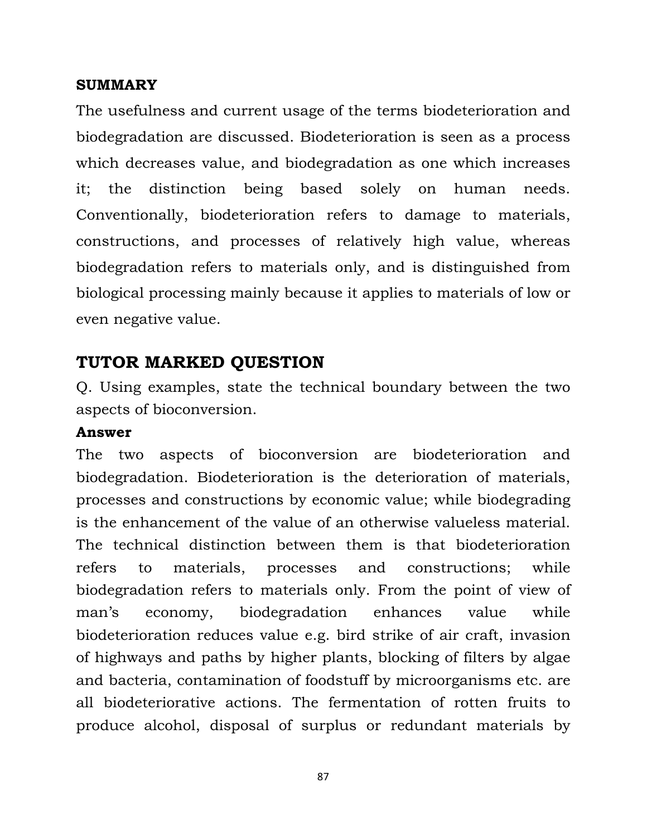## **SUMMARY**

The usefulness and current usage of the terms biodeterioration and biodegradation are discussed. Biodeterioration is seen as a process which decreases value, and biodegradation as one which increases it; the distinction being based solely on human needs. Conventionally, biodeterioration refers to damage to materials, constructions, and processes of relatively high value, whereas biodegradation refers to materials only, and is distinguished from biological processing mainly because it applies to materials of low or even negative value.

# **TUTOR MARKED QUESTION**

Q. Using examples, state the technical boundary between the two aspects of bioconversion.

## **Answer**

The two aspects of bioconversion are biodeterioration and biodegradation. Biodeterioration is the deterioration of materials, processes and constructions by economic value; while biodegrading is the enhancement of the value of an otherwise valueless material. The technical distinction between them is that biodeterioration refers to materials, processes and constructions; while biodegradation refers to materials only. From the point of view of man's economy, biodegradation enhances value while biodeterioration reduces value e.g. bird strike of air craft, invasion of highways and paths by higher plants, blocking of filters by algae and bacteria, contamination of foodstuff by microorganisms etc. are all biodeteriorative actions. The fermentation of rotten fruits to produce alcohol, disposal of surplus or redundant materials by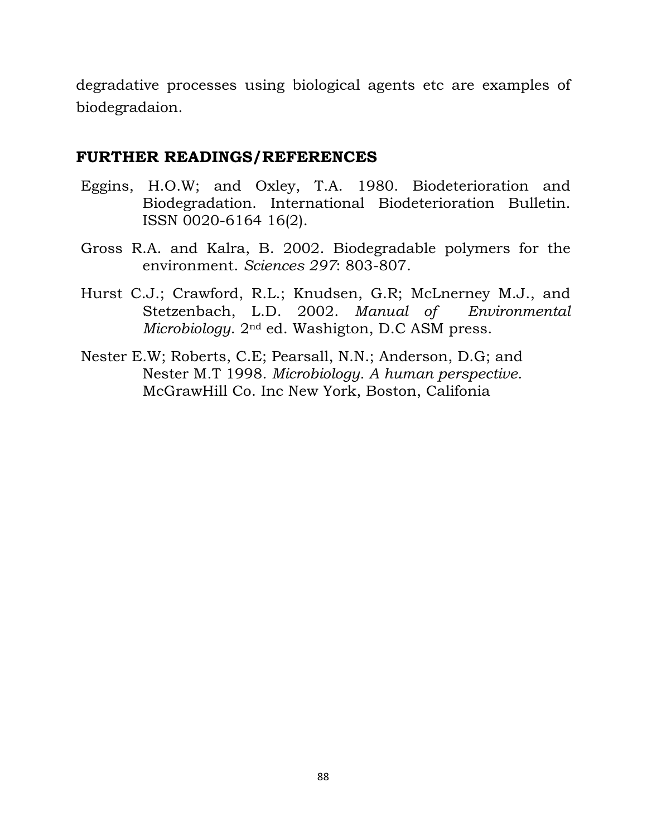degradative processes using biological agents etc are examples of biodegradaion.

## **FURTHER READINGS/REFERENCES**

- Eggins, H.O.W; and Oxley, T.A. 1980. Biodeterioration and Biodegradation. International Biodeterioration Bulletin. ISSN 0020-6164 16(2).
- Gross R.A. and Kalra, B. 2002. Biodegradable polymers for the environment. *Sciences 297*: 803-807.
- Hurst C.J.; Crawford, R.L.; Knudsen, G.R; McLnerney M.J., and Stetzenbach, L.D. 2002. *Manual of Environmental Microbiology*. 2nd ed. Washigton, D.C ASM press.
- Nester E.W; Roberts, C.E; Pearsall, N.N.; Anderson, D.G; and Nester M.T 1998. *Microbiology. A human perspective*. McGrawHill Co. Inc New York, Boston, Califonia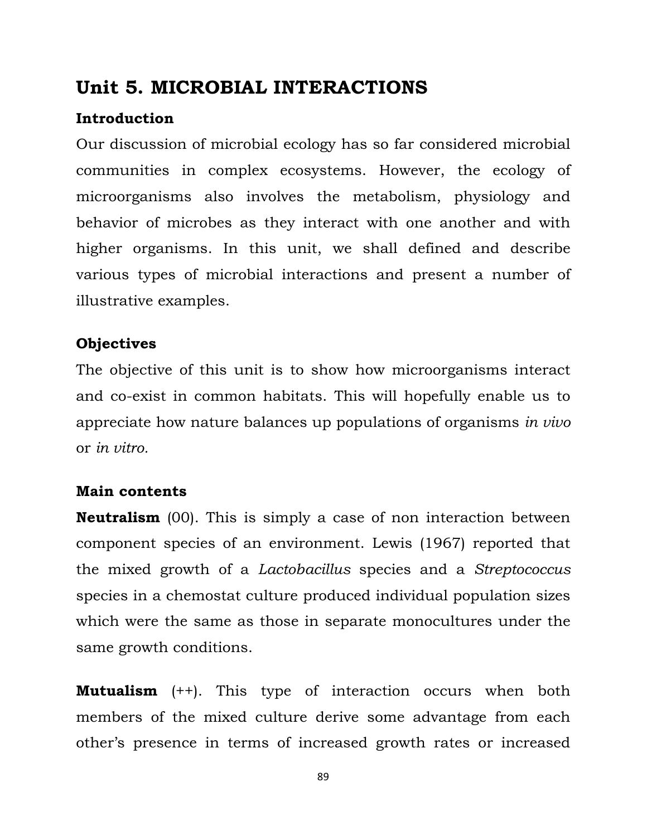# **Unit 5. MICROBIAL INTERACTIONS**

# **Introduction**

Our discussion of microbial ecology has so far considered microbial communities in complex ecosystems. However, the ecology of microorganisms also involves the metabolism, physiology and behavior of microbes as they interact with one another and with higher organisms. In this unit, we shall defined and describe various types of microbial interactions and present a number of illustrative examples.

# **Objectives**

The objective of this unit is to show how microorganisms interact and co-exist in common habitats. This will hopefully enable us to appreciate how nature balances up populations of organisms *in vivo*  or *in vitro.*

# **Main contents**

**Neutralism** (00). This is simply a case of non interaction between component species of an environment. Lewis (1967) reported that the mixed growth of a *Lactobacillus* species and a *Streptococcus* species in a chemostat culture produced individual population sizes which were the same as those in separate monocultures under the same growth conditions.

**Mutualism** (++). This type of interaction occurs when both members of the mixed culture derive some advantage from each other's presence in terms of increased growth rates or increased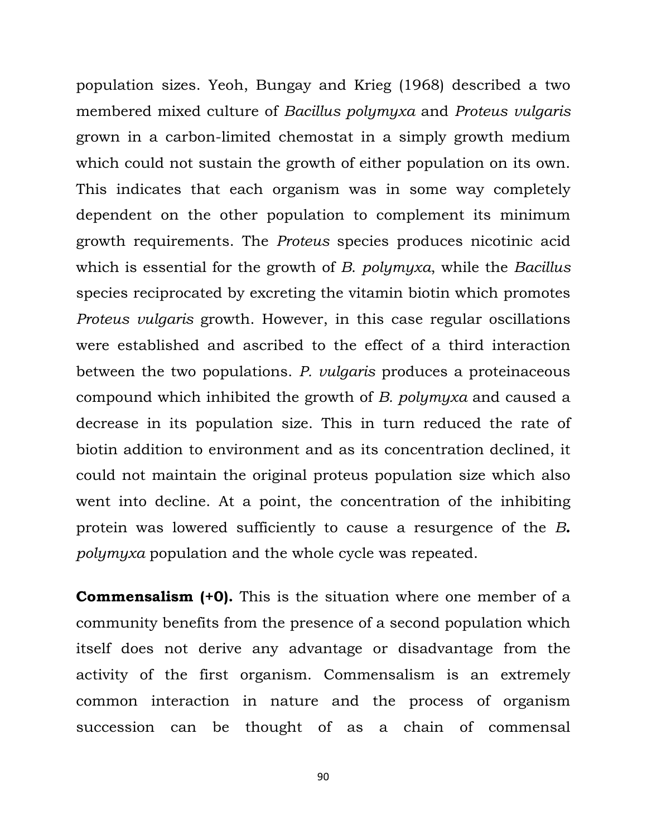population sizes. Yeoh, Bungay and Krieg (1968) described a two membered mixed culture of *Bacillus polymyxa* and *Proteus vulgaris* grown in a carbon-limited chemostat in a simply growth medium which could not sustain the growth of either population on its own. This indicates that each organism was in some way completely dependent on the other population to complement its minimum growth requirements. The *Proteus* species produces nicotinic acid which is essential for the growth of *B*. *polymyxa*, while the *Bacillus* species reciprocated by excreting the vitamin biotin which promotes *Proteus vulgaris* growth. However, in this case regular oscillations were established and ascribed to the effect of a third interaction between the two populations. *P. vulgaris* produces a proteinaceous compound which inhibited the growth of *B. polymyxa* and caused a decrease in its population size. This in turn reduced the rate of biotin addition to environment and as its concentration declined, it could not maintain the original proteus population size which also went into decline. At a point, the concentration of the inhibiting protein was lowered sufficiently to cause a resurgence of the *B. polymyxa* population and the whole cycle was repeated.

**Commensalism (+0).** This is the situation where one member of a community benefits from the presence of a second population which itself does not derive any advantage or disadvantage from the activity of the first organism. Commensalism is an extremely common interaction in nature and the process of organism succession can be thought of as a chain of commensal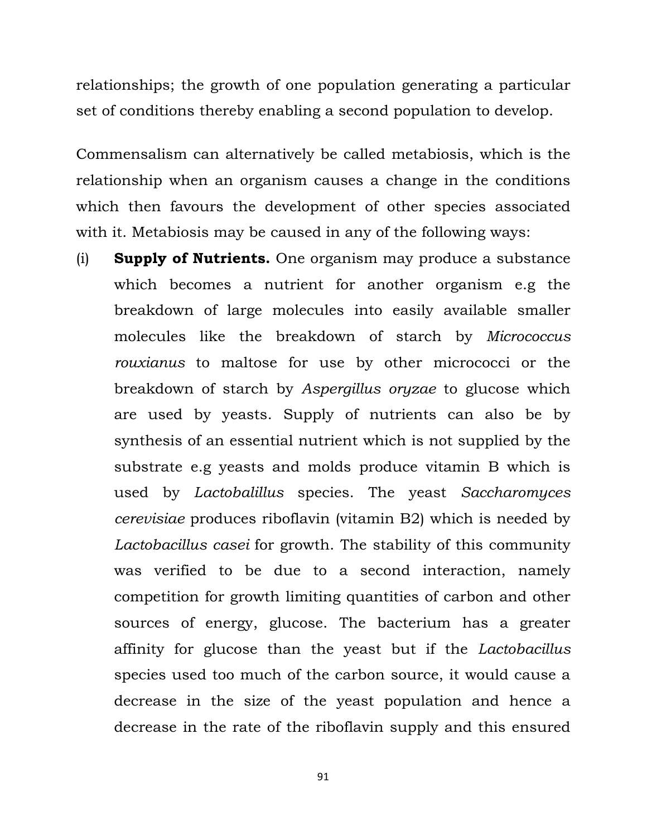relationships; the growth of one population generating a particular set of conditions thereby enabling a second population to develop.

Commensalism can alternatively be called metabiosis, which is the relationship when an organism causes a change in the conditions which then favours the development of other species associated with it. Metabiosis may be caused in any of the following ways:

(i) **Supply of Nutrients.** One organism may produce a substance which becomes a nutrient for another organism e.g the breakdown of large molecules into easily available smaller molecules like the breakdown of starch by *Micrococcus rouxianus* to maltose for use by other micrococci or the breakdown of starch by *Aspergillus oryzae* to glucose which are used by yeasts. Supply of nutrients can also be by synthesis of an essential nutrient which is not supplied by the substrate e.g yeasts and molds produce vitamin B which is used by *Lactobalillus* species. The yeast *Saccharomyces cerevisiae* produces riboflavin (vitamin B2) which is needed by *Lactobacillus casei* for growth. The stability of this community was verified to be due to a second interaction, namely competition for growth limiting quantities of carbon and other sources of energy, glucose. The bacterium has a greater affinity for glucose than the yeast but if the *Lactobacillus*  species used too much of the carbon source, it would cause a decrease in the size of the yeast population and hence a decrease in the rate of the riboflavin supply and this ensured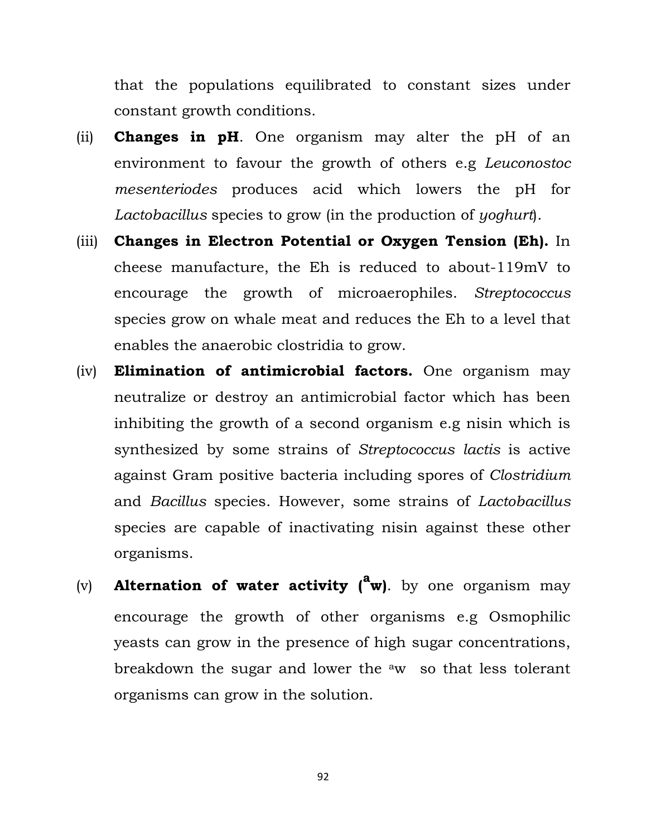that the populations equilibrated to constant sizes under constant growth conditions.

- (ii) **Changes in pH**. One organism may alter the pH of an environment to favour the growth of others e.g *Leuconostoc mesenteriodes* produces acid which lowers the pH for *Lactobacillus* species to grow (in the production of *yoghurt*).
- (iii) **Changes in Electron Potential or Oxygen Tension (Eh).** In cheese manufacture, the Eh is reduced to about-119mV to encourage the growth of microaerophiles. *Streptococcus* species grow on whale meat and reduces the Eh to a level that enables the anaerobic clostridia to grow.
- (iv) **Elimination of antimicrobial factors.** One organism may neutralize or destroy an antimicrobial factor which has been inhibiting the growth of a second organism e.g nisin which is synthesized by some strains of *Streptococcus lactis* is active against Gram positive bacteria including spores of *Clostridium* and *Bacillus* species. However, some strains of *Lactobacillus* species are capable of inactivating nisin against these other organisms.
- (v) **Alternation of water activity (<sup>a</sup> w)**. by one organism may encourage the growth of other organisms e.g Osmophilic yeasts can grow in the presence of high sugar concentrations, breakdown the sugar and lower the  $\alpha$  so that less tolerant organisms can grow in the solution.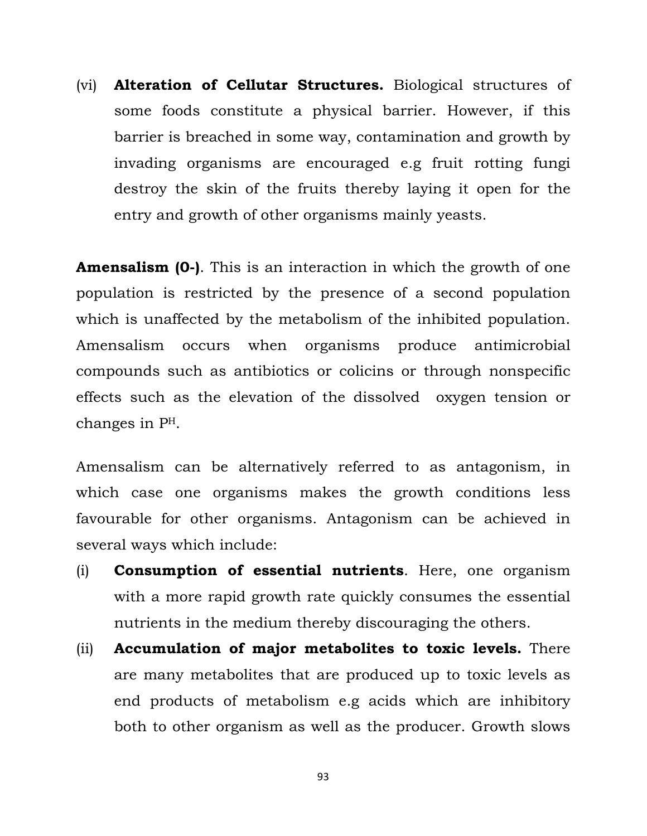(vi) **Alteration of Cellutar Structures.** Biological structures of some foods constitute a physical barrier. However, if this barrier is breached in some way, contamination and growth by invading organisms are encouraged e.g fruit rotting fungi destroy the skin of the fruits thereby laying it open for the entry and growth of other organisms mainly yeasts.

**Amensalism (0-)**. This is an interaction in which the growth of one population is restricted by the presence of a second population which is unaffected by the metabolism of the inhibited population. Amensalism occurs when organisms produce antimicrobial compounds such as antibiotics or colicins or through nonspecific effects such as the elevation of the dissolved oxygen tension or changes in PH.

Amensalism can be alternatively referred to as antagonism, in which case one organisms makes the growth conditions less favourable for other organisms. Antagonism can be achieved in several ways which include:

- (i) **Consumption of essential nutrients**. Here, one organism with a more rapid growth rate quickly consumes the essential nutrients in the medium thereby discouraging the others.
- (ii) **Accumulation of major metabolites to toxic levels.** There are many metabolites that are produced up to toxic levels as end products of metabolism e.g acids which are inhibitory both to other organism as well as the producer. Growth slows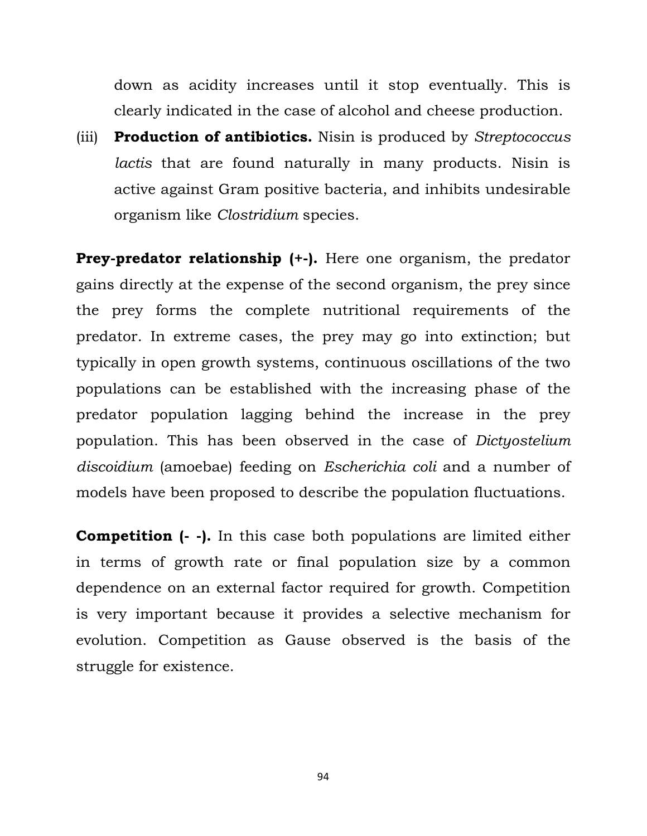down as acidity increases until it stop eventually. This is clearly indicated in the case of alcohol and cheese production.

(iii) **Production of antibiotics.** Nisin is produced by *Streptococcus lactis* that are found naturally in many products. Nisin is active against Gram positive bacteria, and inhibits undesirable organism like *Clostridium* species.

**Prey-predator relationship (+-).** Here one organism, the predator gains directly at the expense of the second organism, the prey since the prey forms the complete nutritional requirements of the predator. In extreme cases, the prey may go into extinction; but typically in open growth systems, continuous oscillations of the two populations can be established with the increasing phase of the predator population lagging behind the increase in the prey population. This has been observed in the case of *Dictyostelium discoidium* (amoebae) feeding on *Escherichia coli* and a number of models have been proposed to describe the population fluctuations.

**Competition (- -).** In this case both populations are limited either in terms of growth rate or final population size by a common dependence on an external factor required for growth. Competition is very important because it provides a selective mechanism for evolution. Competition as Gause observed is the basis of the struggle for existence.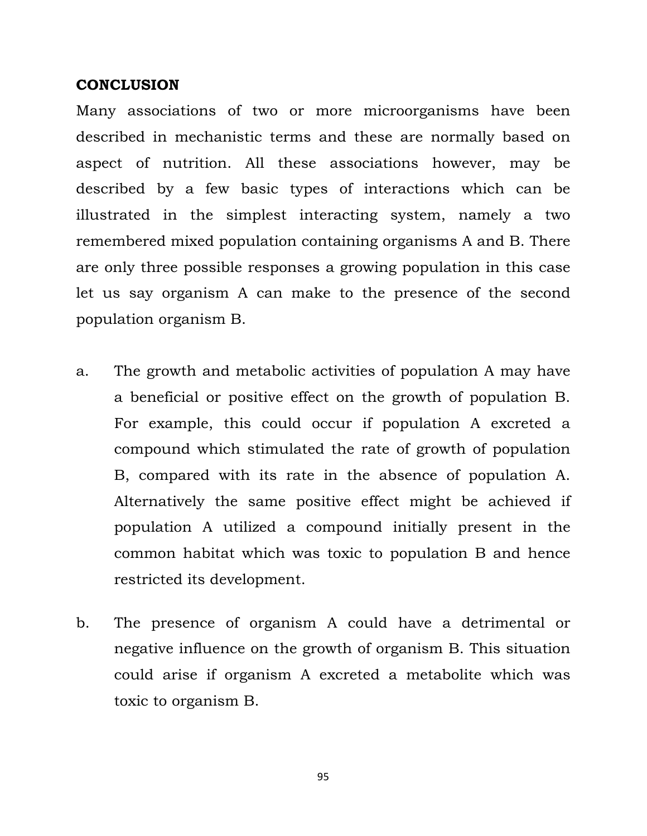## **CONCLUSION**

Many associations of two or more microorganisms have been described in mechanistic terms and these are normally based on aspect of nutrition. All these associations however, may be described by a few basic types of interactions which can be illustrated in the simplest interacting system, namely a two remembered mixed population containing organisms A and B. There are only three possible responses a growing population in this case let us say organism A can make to the presence of the second population organism B.

- a. The growth and metabolic activities of population A may have a beneficial or positive effect on the growth of population B. For example, this could occur if population A excreted a compound which stimulated the rate of growth of population B, compared with its rate in the absence of population A. Alternatively the same positive effect might be achieved if population A utilized a compound initially present in the common habitat which was toxic to population B and hence restricted its development.
- b. The presence of organism A could have a detrimental or negative influence on the growth of organism B. This situation could arise if organism A excreted a metabolite which was toxic to organism B.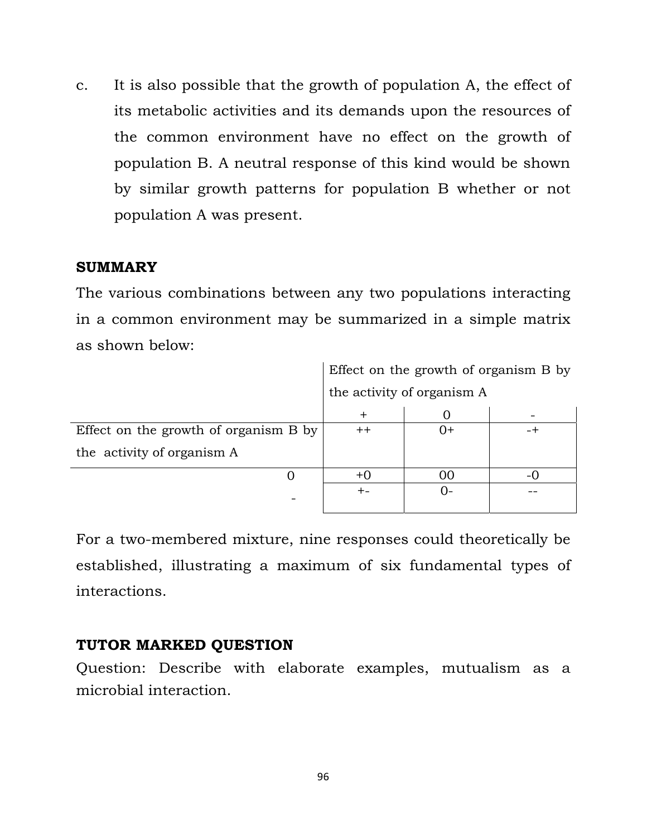c. It is also possible that the growth of population A, the effect of its metabolic activities and its demands upon the resources of the common environment have no effect on the growth of population B. A neutral response of this kind would be shown by similar growth patterns for population B whether or not population A was present.

## **SUMMARY**

The various combinations between any two populations interacting in a common environment may be summarized in a simple matrix as shown below:

|                                       | Effect on the growth of organism B by |        |  |
|---------------------------------------|---------------------------------------|--------|--|
|                                       | the activity of organism A            |        |  |
|                                       |                                       |        |  |
| Effect on the growth of organism B by | $^{\mathrm{++}}$                      | $(1 +$ |  |
| the activity of organism A            |                                       |        |  |
|                                       |                                       |        |  |
|                                       |                                       |        |  |
|                                       |                                       |        |  |

For a two-membered mixture, nine responses could theoretically be established, illustrating a maximum of six fundamental types of interactions.

## **TUTOR MARKED QUESTION**

Question: Describe with elaborate examples, mutualism as a microbial interaction.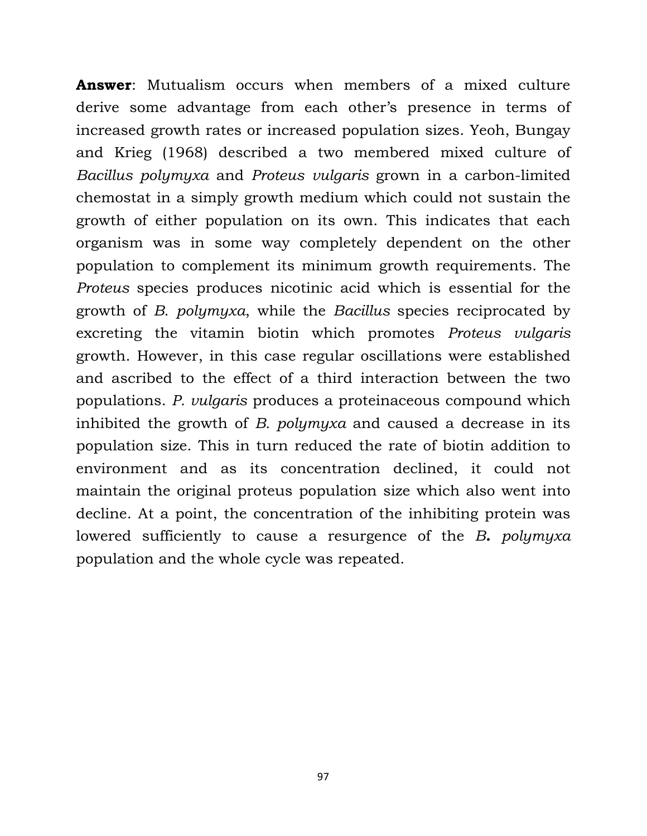**Answer**: Mutualism occurs when members of a mixed culture derive some advantage from each other's presence in terms of increased growth rates or increased population sizes. Yeoh, Bungay and Krieg (1968) described a two membered mixed culture of *Bacillus polymyxa* and *Proteus vulgaris* grown in a carbon-limited chemostat in a simply growth medium which could not sustain the growth of either population on its own. This indicates that each organism was in some way completely dependent on the other population to complement its minimum growth requirements. The *Proteus* species produces nicotinic acid which is essential for the growth of *B*. *polymyxa*, while the *Bacillus* species reciprocated by excreting the vitamin biotin which promotes *Proteus vulgaris* growth. However, in this case regular oscillations were established and ascribed to the effect of a third interaction between the two populations. *P. vulgaris* produces a proteinaceous compound which inhibited the growth of *B. polymyxa* and caused a decrease in its population size. This in turn reduced the rate of biotin addition to environment and as its concentration declined, it could not maintain the original proteus population size which also went into decline. At a point, the concentration of the inhibiting protein was lowered sufficiently to cause a resurgence of the *B. polymyxa* population and the whole cycle was repeated.